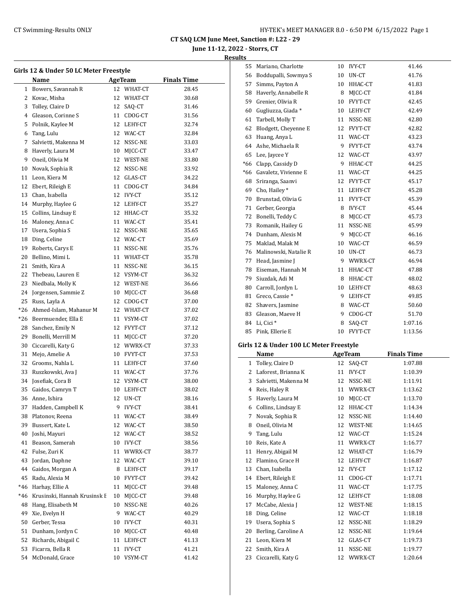**June 11-12, 2022 - Storrs, CT**

#### **Results**

 $\overline{a}$ 

| Girls 12 & Under 50 LC Meter Freestyle |                              |    |               |                    |  |  |
|----------------------------------------|------------------------------|----|---------------|--------------------|--|--|
|                                        | Name                         |    | AgeTeam       | <b>Finals Time</b> |  |  |
| 1                                      | Bowers. Savannah R           |    | 12 WHAT-CT    | 28.45              |  |  |
| 2                                      | Kovac, Misha                 |    | 12 WHAT-CT    | 30.68              |  |  |
| 3                                      | Tolley, Claire D             |    | 12 SAQ-CT     | 31.46              |  |  |
| $\overline{4}$                         | Gleason, Corinne S           |    | 11 CDOG-CT    | 31.56              |  |  |
| 5                                      | Polnik, Kaylee M             |    | 12 LEHY-CT    | 32.74              |  |  |
| 6                                      | Tang, Lulu                   |    | 12 WAC-CT     | 32.84              |  |  |
| 7                                      | Salvietti, Makenna M         |    | 12 NSSC-NE    | 33.03              |  |  |
| 8                                      | Haverly, Laura M             |    | 10 MJCC-CT    | 33.47              |  |  |
| 9                                      | Oneil, Olivia M              |    | 12 WEST-NE    | 33.80              |  |  |
| 10                                     | Novak, Sophia R              |    | 12 NSSC-NE    | 33.92              |  |  |
| 11                                     | Leon, Kiera M                |    | 12 GLAS-CT    | 34.22              |  |  |
| 12                                     | Ebert, Rileigh E             |    | 11 CDOG-CT    | 34.84              |  |  |
| 13                                     | Chan, Isabella               |    | 12 IVY-CT     | 35.12              |  |  |
| 14                                     | Murphy, Haylee G             |    | 12 LEHY-CT    | 35.27              |  |  |
| 15                                     | Collins, Lindsay E           |    | 12 HHAC-CT    | 35.32              |  |  |
| 16                                     | Maloney, Anna C              |    | 11 WAC-CT     | 35.41              |  |  |
| 17                                     | Usera, Sophia S              |    | 12 NSSC-NE    | 35.65              |  |  |
| 18                                     | Ding, Celine                 |    | 12 WAC-CT     | 35.69              |  |  |
| 19                                     | Roberts, Carys E             |    | 11 NSSC-NE    | 35.76              |  |  |
| 20                                     | Bellino, Mimi L              |    | 11 WHAT-CT    | 35.78              |  |  |
| 21                                     | Smith, Kira A                |    | 11 NSSC-NE    | 36.15              |  |  |
| 22                                     | Thebeau, Lauren E            |    | 12 VSYM-CT    | 36.32              |  |  |
| 23                                     | Niedbala, Molly K            |    | 12 WEST-NE    | 36.66              |  |  |
| 24                                     | Jorgensen, Sammie Z          |    | 10 MJCC-CT    | 36.68              |  |  |
| 25                                     | Russ, Layla A                |    | 12 CDOG-CT    | 37.00              |  |  |
| $*26$                                  | Ahmed-Islam, Mahanur M       |    | 12 WHAT-CT    | 37.02              |  |  |
| *26                                    | Beermuender, Ella E          |    | 11 VSYM-CT    | 37.02              |  |  |
| 28                                     | Sanchez, Emily N             |    | 12 FVYT-CT    | 37.12              |  |  |
| 29                                     | Bonelli, Merrill M           |    | 11 MJCC-CT    | 37.20              |  |  |
| 30                                     | Ciccarelli, Katy G           |    | 12 WWRX-CT    | 37.33              |  |  |
| 31                                     | Mejo, Amelie A               |    | 10 FVYT-CT    | 37.53              |  |  |
| 32                                     | Grooms, Nahla L              |    | 11 LEHY-CT    | 37.60              |  |  |
| 33                                     | Ruszkowski, Ava J            |    | 11 WAC-CT     | 37.76              |  |  |
| 34                                     | Josefiak, Cora B             |    | 12 VSYM-CT    | 38.00              |  |  |
| 35                                     | Gaidos, Camryn T             |    | 10 LEHY-CT    | 38.02              |  |  |
| 36                                     | Anne, Ishira                 |    | 12 UN-CT      | 38.16              |  |  |
| 37                                     | Hadden, Campbell K           | 9  | <b>IVY-CT</b> | 38.41              |  |  |
| 38                                     | Platonov, Reena              | 11 | WAC-CT        | 38.49              |  |  |
| 39                                     | Bussert, Kate L              | 12 | WAC-CT        | 38.50              |  |  |
| 40                                     | Joshi, Mayuri                | 12 | WAC-CT        | 38.52              |  |  |
| 41                                     | Beason, Samerah              | 10 | IVY-CT        | 38.56              |  |  |
| 42                                     | Fulse, Zuri K                | 11 | WWRX-CT       | 38.77              |  |  |
| 43                                     | Jordan, Daphne               | 12 | WAC-CT        | 39.10              |  |  |
| 44                                     | Gaidos, Morgan A             | 8  | LEHY-CT       | 39.17              |  |  |
| 45                                     | Radu, Alexia M               | 10 | FVYT-CT       | 39.42              |  |  |
| *46                                    | Harhay, Ellie A              | 11 | MJCC-CT       | 39.48              |  |  |
| *46                                    | Krusinski, Hannah Krusinsk E | 10 | MJCC-CT       | 39.48              |  |  |
| 48                                     | Hang, Elisabeth M            | 10 | NSSC-NE       | 40.26              |  |  |
| 49                                     | Xie, Evelyn H                | 9  | WAC-CT        | 40.29              |  |  |
| 50                                     | Gerber, Tessa                | 10 | IVY-CT        | 40.31              |  |  |
| 51                                     | Dunham, Jordyn C             | 10 | MJCC-CT       | 40.48              |  |  |
| 52                                     | Richards, Abigail C          | 11 | LEHY-CT       | 41.13              |  |  |
| 53                                     | Ficarra, Bella R             | 11 | <b>IVY-CT</b> | 41.21              |  |  |
| 54                                     | McDonald, Grace              | 10 | VSYM-CT       | 41.42              |  |  |

| 55    | Mariano, Charlotte                      | 10 | <b>IVY-CT</b>  | 41.46              |  |
|-------|-----------------------------------------|----|----------------|--------------------|--|
| 56    | Boddupalli, Sowmya S                    | 10 | UN-CT          | 41.76              |  |
| 57    | Simms, Payton A                         | 10 | HHAC-CT        | 41.83              |  |
| 58    | Haverly, Annabelle R                    | 8  | MJCC-CT        | 41.84              |  |
| 59    | Grenier, Olivia R                       | 10 | FVYT-CT        | 42.45              |  |
| 60    | Gugliuzza, Giada*                       | 10 | LEHY-CT        | 42.49              |  |
| 61    | Tarbell, Molly T                        | 11 | NSSC-NE        | 42.80              |  |
| 62    | Blodgett, Cheyenne E                    | 12 | FVYT-CT        | 42.82              |  |
| 63    | Huang, Anya L                           | 11 | WAC-CT         | 43.23              |  |
| 64    | Ashe, Michaela R                        | 9  | FVYT-CT        | 43.74              |  |
| 65    | Lee, Jaycee Y                           | 12 | WAC-CT         | 43.97              |  |
| $*66$ | Clapp, Cassidy D                        | 9  | HHAC-CT        | 44.25              |  |
| *66   | Gavaletz, Vivienne E                    | 11 | WAC-CT         | 44.25              |  |
| 68    | Sriranga, Saanvi                        | 12 | FVYT-CT        | 45.17              |  |
| 69    | Cho, Hailey*                            | 11 | LEHY-CT        | 45.28              |  |
| 70    | Brunstad, Olivia G                      | 11 | FVYT-CT        | 45.39              |  |
| 71    | Gerber, Georgia                         | 8  | <b>IVY-CT</b>  | 45.44              |  |
| 72    | Bonelli, Teddy C                        | 8  | MICC-CT        | 45.73              |  |
| 73    | Romanik, Hailey G                       | 11 | NSSC-NE        | 45.99              |  |
| 74    | Dunham, Alexis M                        | 9  | MICC-CT        | 46.16              |  |
| 75    | Maklad, Malak M                         | 10 | WAC-CT         | 46.59              |  |
| 76    | Malinowski, Natalie R                   | 10 | UN-CT          | 46.73              |  |
| 77    | Head, Jasmine J                         | 9  | WWRX-CT        | 46.94              |  |
| 78    | Eiseman, Hannah M                       | 11 | HHAC-CT        | 47.88              |  |
| 79    | Siuzdak, Adi M                          | 8  | HHAC-CT        | 48.02              |  |
| 80    | Carroll, Jordyn L                       | 10 | LEHY-CT        | 48.63              |  |
| 81    | Greco, Cassie*                          | 9  | LEHY-CT        | 49.85              |  |
| 82    | Shavers, Jasmine                        | 8  | WAC-CT         | 50.60              |  |
| 83    | Gleason, Maeve H                        | 9  | CDOG-CT        | 51.70              |  |
| 84    | Li, Cici*                               | 8  | SAQ-CT         | 1:07.16            |  |
| 85    | Pink, Ellerie E                         | 10 | FVYT-CT        | 1:13.56            |  |
|       | Girls 12 & Under 100 LC Meter Freestyle |    |                |                    |  |
|       | Name                                    |    | <b>AgeTeam</b> | <b>Finals Time</b> |  |
| 1     | Tolley, Claire D                        | 12 | SAQ-CT         | 1:07.88            |  |
| 2     | Laforest, Brianna K                     | 11 | <b>IVY-CT</b>  | 1:10.39            |  |
| 3     | Salvietti, Makenna M                    | 12 | NSSC-NE        | 1:11.91            |  |

4 Reis, Haley R 11 WWRX-CT 1:13.62 5 Haverly, Laura M 10 MJCC-CT 1:13.70 6 Collins, Lindsay E 12 HHAC-CT 1:14.34 Novak, Sophia R 12 NSSC-NE 1:14.40 8 Oneil, Olivia M 12 WEST-NE 1:14.65 9 Tang, Lulu 12 WAC-CT 1:15.24 10 Reis, Kate A 11 WWRX-CT 1:16.77 11 Henry, Abigail M 12 WHAT-CT 1:16.79 12 Flamino, Grace H 12 LEHY-CT 1:16.87 13 Chan, Isabella 12 IVY-CT 1:17.12 14 Ebert, Rileigh E 11 CDOG-CT 1:17.71 15 Maloney, Anna C 11 WAC-CT 1:17.75 16 Murphy, Haylee G 12 LEHY-CT 1:18.08 17 McCabe, Alexia J 12 WEST-NE 1:18.15 18 Ding, Celine 12 WAC-CT 1:18.18 19 Usera, Sophia S 12 NSSC-NE 1:18.29 20 Berling, Caroline A 12 NSSC-NE 1:19.64 21 Leon, Kiera M 12 GLAS-CT 1:19.73 22 Smith, Kira A 11 NSSC-NE 1:19.77 23 Ciccarelli, Katy G 12 WWRX-CT 1:20.64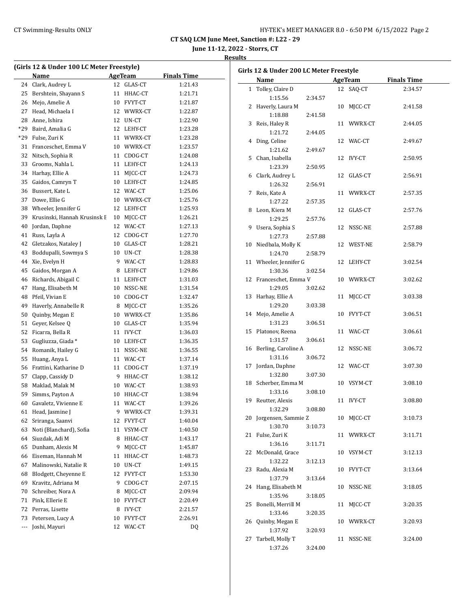**June 11-12, 2022 - Storrs, CT**

| (Girls 12 & Under 100 LC Meter Freestyle) |                              |    |                |                    |  |  |  |
|-------------------------------------------|------------------------------|----|----------------|--------------------|--|--|--|
|                                           | Name                         |    | <b>AgeTeam</b> | <b>Finals Time</b> |  |  |  |
| 24                                        | Clark, Audrey L              | 12 | GLAS-CT        | 1:21.43            |  |  |  |
| 25                                        | Bershtein, Shayann S         | 11 | HHAC-CT        | 1:21.71            |  |  |  |
| 26                                        | Mejo, Amelie A               |    | 10 FVYT-CT     | 1:21.87            |  |  |  |
| 27                                        | Head, Michaela I             |    | 12 WWRX-CT     | 1:22.87            |  |  |  |
| 28                                        | Anne, Ishira                 | 12 | UN-CT          | 1:22.90            |  |  |  |
| $*29$                                     | Baird, Amalia G              |    | 12 LEHY-CT     | 1:23.28            |  |  |  |
| *29                                       | Fulse, Zuri K                |    | 11 WWRX-CT     | 1:23.28            |  |  |  |
| 31                                        | Franceschet, Emma V          |    | 10 WWRX-CT     | 1:23.57            |  |  |  |
| 32                                        | Nitsch, Sophia R             | 11 | CDOG-CT        | 1:24.08            |  |  |  |
| 33                                        | Grooms, Nahla L              | 11 | LEHY-CT        | 1:24.13            |  |  |  |
| 34                                        | Harhay, Ellie A              | 11 | MJCC-CT        | 1:24.73            |  |  |  |
| 35                                        | Gaidos, Camryn T             | 10 | LEHY-CT        | 1:24.85            |  |  |  |
| 36                                        | Bussert, Kate L              | 12 | WAC-CT         | 1:25.06            |  |  |  |
| 37                                        | Dowe, Ellie G                |    | 10 WWRX-CT     | 1:25.76            |  |  |  |
| 38                                        | Wheeler, Jennifer G          | 12 | LEHY-CT        | 1:25.93            |  |  |  |
| 39                                        | Krusinski, Hannah Krusinsk E | 10 | MJCC-CT        | 1:26.21            |  |  |  |
| 40                                        | Jordan, Daphne               | 12 | WAC-CT         | 1:27.13            |  |  |  |
| 41                                        | Russ, Layla A                | 12 | CDOG-CT        | 1:27.70            |  |  |  |
| 42                                        | Gletzakos, Nataley J         |    | 10 GLAS-CT     | 1:28.21            |  |  |  |
| 43                                        | Boddupalli, Sowmya S         |    | 10 UN-CT       | 1:28.38            |  |  |  |
| 44                                        | Xie, Evelyn H                | 9  | WAC-CT         | 1:28.83            |  |  |  |
| 45                                        | Gaidos, Morgan A             | 8  | LEHY-CT        | 1:29.86            |  |  |  |
| 46                                        | Richards, Abigail C          | 11 | LEHY-CT        | 1:31.03            |  |  |  |
| 47                                        | Hang, Elisabeth M            | 10 | NSSC-NE        | 1:31.54            |  |  |  |
| 48                                        | Pfeil, Vivian E              | 10 | CDOG-CT        | 1:32.47            |  |  |  |
| 49                                        | Haverly, Annabelle R         | 8  | MJCC-CT        | 1:35.26            |  |  |  |
| 50                                        | Quinby, Megan E              | 10 | WWRX-CT        | 1:35.86            |  |  |  |
| 51                                        | Geyer, Kelsee Q              |    | 10 GLAS-CT     | 1:35.94            |  |  |  |
| 52                                        | Ficarra, Bella R             | 11 | <b>IVY-CT</b>  | 1:36.03            |  |  |  |
| 53                                        | Gugliuzza, Giada *           |    | 10 LEHY-CT     | 1:36.35            |  |  |  |
| 54                                        | Romanik, Hailey G            |    | 11 NSSC-NE     | 1:36.55            |  |  |  |
| 55                                        | Huang, Anya L                |    | 11 WAC-CT      | 1:37.14            |  |  |  |
| 56                                        | Frattini, Katharine D        |    | 11 CDOG-CT     | 1:37.19            |  |  |  |
| 57                                        | Clapp, Cassidy D             |    | 9 HHAC-CT      | 1:38.12            |  |  |  |
| 58                                        | Maklad, Malak M              |    | 10 WAC-CT      | 1:38.93            |  |  |  |
| 59                                        | Simms, Payton A              | 10 | HHAC-CT        | 1:38.94            |  |  |  |
| 60                                        | Gavaletz, Vivienne E         | 11 | WAC-CT         | 1:39.26            |  |  |  |
| 61                                        | Head, Jasmine J              | 9  | WWRX-CT        | 1:39.31            |  |  |  |
| 62                                        | Sriranga, Saanvi             | 12 | FVYT-CT        | 1:40.04            |  |  |  |
| 63                                        | Noti (Blanchard), Sofia      | 11 | VSYM-CT        | 1:40.50            |  |  |  |
| 64                                        | Siuzdak, Adi M               | 8  | HHAC-CT        | 1:43.17            |  |  |  |
| 65                                        | Dunham, Alexis M             | 9  | MICC-CT        | 1:45.87            |  |  |  |
| 66                                        | Eiseman, Hannah M            | 11 | HHAC-CT        | 1:48.73            |  |  |  |
| 67                                        | Malinowski, Natalie R        | 10 | UN-CT          | 1:49.15            |  |  |  |
| 68                                        | Blodgett, Cheyenne E         | 12 | FVYT-CT        | 1:53.30            |  |  |  |
| 69                                        | Kravitz, Adriana M           | 9  | CDOG-CT        | 2:07.15            |  |  |  |
| 70                                        | Schreiber, Nora A            | 8  | MJCC-CT        | 2:09.94            |  |  |  |
| 71                                        | Pink, Ellerie E              | 10 | FVYT-CT        | 2:20.49            |  |  |  |
| 72                                        | Perras, Lisette              | 8  | IVY-CT         | 2:21.57            |  |  |  |
| 73                                        | Petersen, Lucy A             | 10 | FVYT-CT        | 2:26.91            |  |  |  |
| ---                                       | Joshi, Mayuri                | 12 | WAC-CT         | DQ                 |  |  |  |
|                                           |                              |    |                |                    |  |  |  |

| Girls 12 & Under 200 LC Meter Freestyle |                             |         |    |            |                    |  |
|-----------------------------------------|-----------------------------|---------|----|------------|--------------------|--|
|                                         | Name                        |         |    | AgeTeam    | <b>Finals Time</b> |  |
| $\mathbf{1}$                            | Tolley, Claire D            |         |    | 12 SAQ-CT  | 2:34.57            |  |
|                                         | 1:15.56                     | 2:34.57 |    |            |                    |  |
| 2                                       | Haverly, Laura M            |         |    | 10 MICC-CT | 2:41.58            |  |
|                                         | 1:18.88                     | 2:41.58 |    |            |                    |  |
| 3                                       | Reis, Haley R               |         |    | 11 WWRX-CT | 2:44.05            |  |
|                                         | 1:21.72                     | 2:44.05 |    |            |                    |  |
|                                         | 4 Ding, Celine              |         |    | 12 WAC-CT  | 2:49.67            |  |
|                                         | 1:21.62                     | 2:49.67 |    |            |                    |  |
|                                         | 5 Chan, Isabella            |         |    | 12 IVY-CT  | 2:50.95            |  |
|                                         | 1:23.39                     | 2:50.95 |    |            |                    |  |
| 6                                       | Clark, Audrey L             |         |    | 12 GLAS-CT | 2:56.91            |  |
|                                         | 1:26.32                     | 2:56.91 |    |            |                    |  |
| 7                                       | Reis, Kate A                |         |    | 11 WWRX-CT | 2:57.35            |  |
|                                         | 1:27.22                     | 2:57.35 |    |            |                    |  |
|                                         | 8 Leon, Kiera M             |         |    | 12 GLAS-CT | 2:57.76            |  |
|                                         | 1:29.25                     | 2:57.76 |    |            |                    |  |
| 9                                       | Usera, Sophia S             |         |    | 12 NSSC-NE | 2:57.88            |  |
|                                         | 1:27.73                     | 2:57.88 |    |            |                    |  |
| 10                                      | Niedbala, Molly K           |         |    | 12 WEST-NE | 2:58.79            |  |
|                                         | 1:24.70                     | 2:58.79 |    |            |                    |  |
|                                         | 11 Wheeler, Jennifer G      |         |    | 12 LEHY-CT | 3:02.54            |  |
|                                         | 1:30.36                     | 3:02.54 |    |            |                    |  |
|                                         | 12 Franceschet, Emma V      |         |    | 10 WWRX-CT | 3:02.62            |  |
|                                         | 1:29.05                     | 3:02.62 |    |            |                    |  |
| 13                                      | Harhay, Ellie A             |         |    | 11 MJCC-CT | 3:03.38            |  |
|                                         | 1:29.20                     | 3:03.38 |    |            |                    |  |
|                                         | 14 Mejo, Amelie A           |         |    | 10 FVYT-CT | 3:06.51            |  |
|                                         | 1:31.23                     | 3:06.51 |    |            |                    |  |
| 15                                      | Platonov, Reena             |         |    | 11 WAC-CT  | 3:06.61            |  |
|                                         | 1:31.57                     | 3:06.61 |    |            |                    |  |
|                                         | 16 Berling, Caroline A      |         |    | 12 NSSC-NE | 3:06.72            |  |
|                                         | 1:31.16                     | 3:06.72 |    |            |                    |  |
| 17                                      | Jordan, Daphne              |         |    | 12 WAC-CT  | 3:07.30            |  |
|                                         | 1:32.80                     | 3:07.30 |    |            |                    |  |
| 18                                      | Scherber, Emma M            |         |    | 10 VSYM-CT | 3:08.10            |  |
|                                         | 1:33.16                     | 3:08.10 |    |            |                    |  |
|                                         | 19 Reutter, Alexis          |         |    | 11 IVY-CT  | 3:08.80            |  |
|                                         | 1:32.29                     | 3:08.80 |    |            |                    |  |
|                                         | 20 Jorgensen, Sammie Z      |         |    | 10 MJCC-CT | 3:10.73            |  |
|                                         | 1:30.70                     | 3:10.73 |    |            |                    |  |
| 21                                      | Fulse, Zuri K               |         |    | 11 WWRX-CT | 3:11.71            |  |
|                                         | 1:36.16                     | 3:11.71 |    |            |                    |  |
| 22                                      | McDonald, Grace             |         |    | 10 VSYM-CT | 3:12.13            |  |
|                                         | 1:32.22                     | 3:12.13 |    |            |                    |  |
| 23                                      | Radu, Alexia M              |         |    | 10 FVYT-CT | 3:13.64            |  |
|                                         | 1:37.79                     | 3:13.64 |    |            |                    |  |
| 24                                      | Hang, Elisabeth M           |         | 10 | NSSC-NE    | 3:18.05            |  |
|                                         | 1:35.96                     | 3:18.05 |    |            |                    |  |
| 25                                      | Bonelli, Merrill M          |         | 11 | MICC-CT    | 3:20.35            |  |
|                                         | 1:33.46                     | 3:20.35 |    |            |                    |  |
| 26                                      | Quinby, Megan E             |         |    | 10 WWRX-CT | 3:20.93            |  |
|                                         | 1:37.92                     | 3:20.93 |    |            |                    |  |
| 27                                      | Tarbell, Molly T<br>1:37.26 |         | 11 | NSSC-NE    | 3:24.00            |  |
|                                         |                             | 3:24.00 |    |            |                    |  |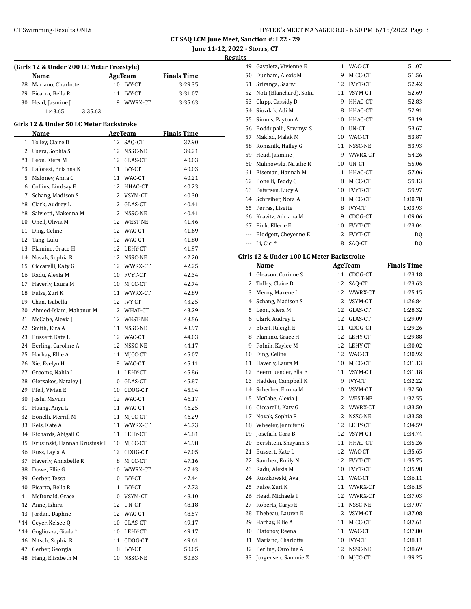| HY-TEK's MEET MANAGER 8.0 - 6:50 PM 6/15/2022 Page 3 |  |  |  |
|------------------------------------------------------|--|--|--|
|------------------------------------------------------|--|--|--|

**June 11-12, 2022 - Storrs, CT**

**Results**

|     | (Girls 12 & Under 200 LC Meter Freestyle) |    |                |                    |
|-----|-------------------------------------------|----|----------------|--------------------|
|     | Name                                      |    | <b>AgeTeam</b> | <b>Finals Time</b> |
|     | 28 Mariano, Charlotte                     |    | 10 IVY-CT      | 3:29.35            |
|     | 29 Ficarra, Bella R                       | 11 | <b>IVY-CT</b>  | 3:31.07            |
|     | 30 Head, Jasmine J                        | 9  | WWRX-CT        | 3:35.63            |
|     | 1:43.65<br>3:35.63                        |    |                |                    |
|     | Girls 12 & Under 50 LC Meter Backstroke   |    |                |                    |
|     | Name                                      |    | <b>AgeTeam</b> | <b>Finals Time</b> |
|     | 1 Tolley, Claire D                        | 12 | SAQ-CT         | 37.90              |
|     | 2 Usera, Sophia S                         | 12 | NSSC-NE        | 39.21              |
|     | *3 Leon, Kiera M                          |    | 12 GLAS-CT     | 40.03              |
|     | *3 Laforest, Brianna K                    |    | 11 IVY-CT      | 40.03              |
|     | 5 Maloney, Anna C                         |    | 11 WAC-CT      | 40.21              |
|     | 6 Collins, Lindsay E                      |    | 12 HHAC-CT     | 40.23              |
|     | 7 Schang, Madison S                       |    | 12 VSYM-CT     | 40.30              |
|     | *8 Clark, Audrey L                        |    | 12 GLAS-CT     | 40.41              |
|     | *8 Salvietti, Makenna M                   |    | 12 NSSC-NE     | 40.41              |
|     | 10 Oneil, Olivia M                        |    | 12 WEST-NE     | 41.46              |
|     | 11 Ding, Celine                           |    | 12 WAC-CT      | 41.69              |
| 12  | Tang, Lulu                                |    | 12 WAC-CT      | 41.80              |
|     | 13 Flamino, Grace H                       |    | 12 LEHY-CT     | 41.97              |
|     | 14 Novak, Sophia R                        |    | 12 NSSC-NE     | 42.20              |
|     | 15 Ciccarelli, Katy G                     |    | 12 WWRX-CT     | 42.25              |
|     | 16 Radu, Alexia M                         |    | 10 FVYT-CT     | 42.34              |
|     | 17 Haverly, Laura M                       |    | 10 MJCC-CT     | 42.74              |
|     | 18 Fulse, Zuri K                          |    | 11 WWRX-CT     | 42.89              |
|     | 19 Chan, Isabella                         |    | 12 IVY-CT      | 43.25              |
|     | 20 Ahmed-Islam, Mahanur M                 |    | 12 WHAT-CT     | 43.29              |
|     | 21 McCabe, Alexia J                       |    | 12 WEST-NE     | 43.56              |
|     | 22 Smith, Kira A                          |    | 11 NSSC-NE     | 43.97              |
|     | 23 Bussert, Kate L                        |    | 12 WAC-CT      | 44.03              |
|     | 24 Berling, Caroline A                    |    | 12 NSSC-NE     | 44.17              |
| 25  | Harhay, Ellie A                           | 11 | MJCC-CT        | 45.07              |
| 26  | Xie, Evelyn H                             |    | 9 WAC-CT       | 45.11              |
|     | 27 Grooms, Nahla L                        |    | 11 LEHY-CT     | 45.86              |
|     | 28 Gletzakos, Nataley J                   |    | 10 GLAS-CT     | 45.87              |
|     | 29 Pfeil, Vivian E                        | 10 | CDOG-CT        | 45.94              |
| 30  | Joshi, Mayuri                             | 12 | WAC-CT         | 46.17              |
| 31  | Huang, Anya L                             | 11 | WAC-CT         | 46.25              |
| 32  | Bonelli, Merrill M                        | 11 | MJCC-CT        | 46.29              |
| 33  | Reis, Kate A                              | 11 | WWRX-CT        | 46.73              |
| 34  | Richards, Abigail C                       | 11 | LEHY-CT        | 46.81              |
| 35  | Krusinski, Hannah Krusinsk E              | 10 | MJCC-CT        | 46.98              |
| 36  | Russ, Layla A                             | 12 | CDOG-CT        | 47.05              |
| 37  | Haverly, Annabelle R                      | 8  | MJCC-CT        | 47.16              |
| 38  | Dowe, Ellie G                             | 10 | WWRX-CT        | 47.43              |
| 39  | Gerber, Tessa                             | 10 | <b>IVY-CT</b>  | 47.44              |
| 40  | Ficarra, Bella R                          | 11 | IVY-CT         | 47.73              |
| 41  | McDonald, Grace                           | 10 | VSYM-CT        | 48.10              |
| 42  | Anne, Ishira                              | 12 | UN-CT          | 48.18              |
| 43  | Jordan, Daphne                            | 12 | WAC-CT         | 48.57              |
| *44 | Geyer, Kelsee Q                           | 10 | GLAS-CT        | 49.17              |
| *44 | Gugliuzza, Giada *                        | 10 | LEHY-CT        | 49.17              |
| 46  | Nitsch, Sophia R                          | 11 | CDOG-CT        | 49.61              |
| 47  | Gerber, Georgia                           | 8  | IVY-CT         | 50.05              |
| 48  | Hang, Elisabeth M                         | 10 | NSSC-NE        | 50.63              |

| 49 | Gavaletz, Vivienne E    | 11 | WAC-CT         | 51.07   |
|----|-------------------------|----|----------------|---------|
| 50 | Dunham, Alexis M        | 9  | MJCC-CT        | 51.56   |
| 51 | Sriranga, Saanvi        | 12 | <b>FVYT-CT</b> | 52.42   |
| 52 | Noti (Blanchard), Sofia | 11 | VSYM-CT        | 52.69   |
| 53 | Clapp, Cassidy D        | 9  | HHAC-CT        | 52.83   |
| 54 | Siuzdak, Adi M          | 8  | HHAC-CT        | 52.91   |
| 55 | Simms, Payton A         | 10 | HHAC-CT        | 53.19   |
| 56 | Boddupalli, Sowmya S    | 10 | UN-CT          | 53.67   |
| 57 | Maklad, Malak M         | 10 | WAC-CT         | 53.87   |
| 58 | Romanik, Hailey G       | 11 | NSSC-NE        | 53.93   |
| 59 | Head, Jasmine J         | 9  | WWRX-CT        | 54.26   |
| 60 | Malinowski, Natalie R   | 10 | UN-CT          | 55.06   |
| 61 | Eiseman, Hannah M       | 11 | HHAC-CT        | 57.06   |
| 62 | Bonelli, Teddy C        | 8  | MJCC-CT        | 59.13   |
| 63 | Petersen, Lucy A        | 10 | FVYT-CT        | 59.97   |
| 64 | Schreiber, Nora A       | 8  | MJCC-CT        | 1:00.78 |
| 65 | Perras, Lisette         | 8  | <b>IVY-CT</b>  | 1:03.93 |
| 66 | Kravitz, Adriana M      | 9  | CDOG-CT        | 1:09.06 |
| 67 | Pink, Ellerie E         | 10 | <b>FVYT-CT</b> | 1:23.04 |
|    | Blodgett, Cheyenne E    | 12 | <b>FVYT-CT</b> | DQ      |
|    | Li, Cici <sup>*</sup>   | 8  | SAQ-CT         | DQ      |
|    |                         |    |                |         |

# **Girls 12 & Under 100 LC Meter Backstroke**

|              | Name                 |    | <b>AgeTeam</b> | <b>Finals Time</b> |  |
|--------------|----------------------|----|----------------|--------------------|--|
| $\mathbf{1}$ | Gleason, Corinne S   | 11 | CDOG-CT        | 1:23.18            |  |
| 2            | Tolley, Claire D     | 12 | SAQ-CT         | 1:23.63            |  |
| 3            | Meroy, Maxene L      | 12 | WWRX-CT        | 1:25.15            |  |
| 4            | Schang, Madison S    | 12 | VSYM-CT        | 1:26.84            |  |
| 5            | Leon, Kiera M        | 12 | GLAS-CT        | 1:28.32            |  |
| 6            | Clark, Audrey L      | 12 | GLAS-CT        | 1:29.09            |  |
| 7            | Ebert, Rileigh E     | 11 | CDOG-CT        | 1:29.26            |  |
| 8            | Flamino, Grace H     | 12 | LEHY-CT        | 1:29.88            |  |
| 9            | Polnik, Kaylee M     | 12 | LEHY-CT        | 1:30.02            |  |
| 10           | Ding, Celine         | 12 | WAC-CT         | 1:30.92            |  |
| 11           | Haverly, Laura M     | 10 | MJCC-CT        | 1:31.13            |  |
| 12           | Beermuender, Ella E  | 11 | VSYM-CT        | 1:31.18            |  |
| 13           | Hadden, Campbell K   | 9  | <b>IVY-CT</b>  | 1:32.22            |  |
| 14           | Scherber, Emma M     | 10 | VSYM-CT        | 1:32.50            |  |
| 15           | McCabe, Alexia J     | 12 | WEST-NE        | 1:32.55            |  |
| 16           | Ciccarelli, Katy G   | 12 | WWRX-CT        | 1:33.50            |  |
| 17           | Novak, Sophia R      | 12 | NSSC-NE        | 1:33.58            |  |
| 18           | Wheeler, Jennifer G  | 12 | LEHY-CT        | 1:34.59            |  |
| 19           | Josefiak, Cora B     | 12 | VSYM-CT        | 1:34.74            |  |
| 20           | Bershtein, Shayann S | 11 | HHAC-CT        | 1:35.26            |  |
| 21           | Bussert, Kate L      | 12 | WAC-CT         | 1:35.65            |  |
| 22           | Sanchez, Emily N     | 12 | FVYT-CT        | 1:35.75            |  |
| 23           | Radu, Alexia M       | 10 | <b>FVYT-CT</b> | 1:35.98            |  |
| 24           | Ruszkowski, Ava J    | 11 | WAC-CT         | 1:36.11            |  |
| 25           | Fulse, Zuri K        | 11 | WWRX-CT        | 1:36.15            |  |
| 26           | Head, Michaela I     | 12 | WWRX-CT        | 1:37.03            |  |
| 27           | Roberts, Carys E     | 11 | NSSC-NE        | 1:37.07            |  |
| 28           | Thebeau, Lauren E    | 12 | VSYM-CT        | 1:37.08            |  |
| 29           | Harhay, Ellie A      | 11 | MICC-CT        | 1:37.61            |  |
| 30           | Platonov, Reena      | 11 | WAC-CT         | 1:37.80            |  |
| 31           | Mariano, Charlotte   | 10 | <b>IVY-CT</b>  | 1:38.11            |  |
| 32           | Berling, Caroline A  | 12 | NSSC-NE        | 1:38.69            |  |
| 33           | Jorgensen, Sammie Z  | 10 | MJCC-CT        | 1:39.25            |  |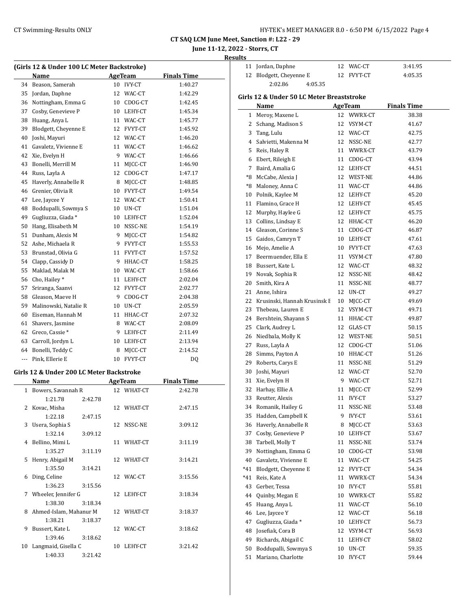| HY-TEK's MEET MANAGER 8.0 - 6:50 PM 6/15/2022 Page 4 |  |  |  |
|------------------------------------------------------|--|--|--|
|------------------------------------------------------|--|--|--|

# **June 11-12, 2022 - Storrs, CT**

**Results**

| (Girls 12 & Under 100 LC Meter Backstroke) |                       |    |                |                    |  |  |  |
|--------------------------------------------|-----------------------|----|----------------|--------------------|--|--|--|
|                                            | Name                  |    | <b>AgeTeam</b> | <b>Finals Time</b> |  |  |  |
| 34                                         | Beason, Samerah       | 10 | <b>IVY-CT</b>  | 1:40.27            |  |  |  |
| 35                                         | Jordan, Daphne        | 12 | WAC-CT         | 1:42.29            |  |  |  |
| 36                                         | Nottingham, Emma G    | 10 | CDOG-CT        | 1:42.45            |  |  |  |
| 37                                         | Cosby, Genevieve P    | 10 | LEHY-CT        | 1:45.34            |  |  |  |
| 38                                         | Huang, Anya L         |    | 11 WAC-CT      | 1:45.77            |  |  |  |
| 39                                         | Blodgett, Cheyenne E  | 12 | FVYT-CT        | 1:45.92            |  |  |  |
| 40                                         | Joshi, Mayuri         | 12 | WAC-CT         | 1:46.20            |  |  |  |
| 41                                         | Gavaletz, Vivienne E  | 11 | WAC-CT         | 1:46.62            |  |  |  |
| 42                                         | Xie, Evelyn H         | 9  | WAC-CT         | 1:46.66            |  |  |  |
| 43                                         | Bonelli, Merrill M    | 11 | MJCC-CT        | 1:46.90            |  |  |  |
| 44                                         | Russ, Layla A         | 12 | CDOG-CT        | 1:47.17            |  |  |  |
| 45                                         | Haverly, Annabelle R  | 8  | MJCC-CT        | 1:48.85            |  |  |  |
| 46                                         | Grenier, Olivia R     | 10 | FVYT-CT        | 1:49.54            |  |  |  |
| 47                                         | Lee, Jaycee Y         | 12 | WAC-CT         | 1:50.41            |  |  |  |
| 48                                         | Boddupalli, Sowmya S  | 10 | UN-CT          | 1:51.04            |  |  |  |
| 49                                         | Gugliuzza, Giada *    | 10 | LEHY-CT        | 1:52.04            |  |  |  |
| 50                                         | Hang, Elisabeth M     | 10 | NSSC-NE        | 1:54.19            |  |  |  |
| 51                                         | Dunham, Alexis M      | 9  | MJCC-CT        | 1:54.82            |  |  |  |
| 52                                         | Ashe, Michaela R      | 9  | FVYT-CT        | 1:55.53            |  |  |  |
| 53                                         | Brunstad, Olivia G    | 11 | FVYT-CT        | 1:57.52            |  |  |  |
| 54                                         | Clapp, Cassidy D      | 9  | HHAC-CT        | 1:58.25            |  |  |  |
| 55                                         | Maklad, Malak M       | 10 | WAC-CT         | 1:58.66            |  |  |  |
| 56                                         | Cho, Hailey*          | 11 | LEHY-CT        | 2:02.04            |  |  |  |
| 57                                         | Sriranga, Saanvi      | 12 | FVYT-CT        | 2:02.77            |  |  |  |
| 58                                         | Gleason, Maeve H      | 9  | CDOG-CT        | 2:04.38            |  |  |  |
| 59                                         | Malinowski, Natalie R | 10 | UN-CT          | 2:05.59            |  |  |  |
| 60                                         | Eiseman, Hannah M     | 11 | HHAC-CT        | 2:07.32            |  |  |  |
| 61                                         | Shavers, Jasmine      | 8  | WAC-CT         | 2:08.09            |  |  |  |
| 62                                         | Greco, Cassie*        | 9  | LEHY-CT        | 2:11.49            |  |  |  |
| 63                                         | Carroll, Jordyn L     | 10 | LEHY-CT        | 2:13.94            |  |  |  |
| 64                                         | Bonelli, Teddy C      | 8  | MJCC-CT        | 2:14.52            |  |  |  |
| ---                                        | Pink, Ellerie E       | 10 | FVYT-CT        | DQ                 |  |  |  |
|                                            |                       |    |                |                    |  |  |  |

#### **Girls 12 & Under 200 LC Meter Backstroke**

| Name |                        |         | AgeTeam | <b>Finals Time</b> |         |
|------|------------------------|---------|---------|--------------------|---------|
|      | 1 Bowers, Savannah R   |         |         | 12 WHAT-CT         | 2:42.78 |
|      | 1:21.78                | 2:42.78 |         |                    |         |
|      | 2 Kovac, Misha         |         |         | 12 WHAT-CT         | 2:47.15 |
|      | 1:22.18                | 2:47.15 |         |                    |         |
| 3    | Usera, Sophia S        |         |         | 12 NSSC-NE         | 3:09.12 |
|      | 1:32.14                | 3:09.12 |         |                    |         |
|      | 4 Bellino, Mimi L      |         |         | 11 WHAT-CT         | 3:11.19 |
|      | 1:35.27                | 3:11.19 |         |                    |         |
| 5.   | Henry, Abigail M       |         |         | 12 WHAT-CT         | 3:14.21 |
|      | 1:35.50                | 3:14.21 |         |                    |         |
| 6    | Ding, Celine           |         |         | 12 WAC-CT          | 3:15.56 |
|      | 1:36.23                | 3:15.56 |         |                    |         |
|      | 7 Wheeler, Jennifer G  |         |         | 12 LEHY-CT         | 3:18.34 |
|      | 1:38.30                | 3:18.34 |         |                    |         |
| 8    | Ahmed-Islam, Mahanur M |         |         | 12 WHAT-CT         | 3:18.37 |
|      | 1:38.21                | 3:18.37 |         |                    |         |
| 9    | Bussert, Kate L        |         |         | 12 WAC-CT          | 3:18.62 |
|      | 1:39.46                | 3:18.62 |         |                    |         |
| 10   | Langmaid, Gisella C    |         | 10      | LEHY-CT            | 3:21.42 |
|      | 1:40.33                | 3:21.42 |         |                    |         |

| 11 Jordan, Daphne       |         | 12 WAC-CT  | 3:41.95 |
|-------------------------|---------|------------|---------|
| 12 Blodgett, Cheyenne E |         | 12 FVYT-CT | 4:05.35 |
| 2:02.86                 | 4:05.35 |            |         |

#### **Girls 12 & Under 50 LC Meter Breaststroke**

|     | Name                            |    | <b>AgeTeam</b> | <b>Finals Time</b> |
|-----|---------------------------------|----|----------------|--------------------|
| 1   | Meroy, Maxene L                 | 12 | WWRX-CT        | 38.38              |
| 2   | Schang, Madison S               | 12 | VSYM-CT        | 41.67              |
| 3   | Tang, Lulu                      | 12 | WAC-CT         | 42.75              |
|     | 4 Salvietti, Makenna M          | 12 | NSSC-NE        | 42.77              |
| 5   | Reis, Haley R                   | 11 | WWRX-CT        | 43.79              |
|     | 6 Ebert, Rileigh E              | 11 | CDOG-CT        | 43.94              |
| 7   | Baird, Amalia G                 | 12 | LEHY-CT        | 44.51              |
|     | *8 McCabe, Alexia J             | 12 | WEST-NE        | 44.86              |
|     | *8 Maloney, Anna C              | 11 | WAC-CT         | 44.86              |
|     | 10 Polnik, Kaylee M             | 12 | LEHY-CT        | 45.20              |
|     | 11 Flamino, Grace H             | 12 | LEHY-CT        | 45.45              |
|     | 12 Murphy, Haylee G             | 12 | LEHY-CT        | 45.75              |
|     | 13 Collins, Lindsay E           | 12 | HHAC-CT        | 46.20              |
|     | 14 Gleason, Corinne S           | 11 | CDOG-CT        | 46.87              |
| 15  | Gaidos, Camryn T                | 10 | LEHY-CT        | 47.61              |
|     | 16 Mejo, Amelie A               | 10 | FVYT-CT        | 47.63              |
|     | 17 Beermuender, Ella E          | 11 | VSYM-CT        | 47.80              |
|     | 18 Bussert, Kate L              | 12 | WAC-CT         | 48.32              |
|     | 19 Novak, Sophia R              | 12 | NSSC-NE        | 48.42              |
| 20  | Smith, Kira A                   | 11 | NSSC-NE        | 48.77              |
|     | 21 Anne, Ishira                 | 12 | UN-CT          | 49.27              |
|     | 22 Krusinski, Hannah Krusinsk E | 10 | MICC-CT        | 49.69              |
|     | 23 Thebeau, Lauren E            | 12 | VSYM-CT        | 49.71              |
|     | 24 Bershtein, Shayann S         | 11 | HHAC-CT        | 49.87              |
|     | 25 Clark, Audrey L              | 12 | GLAS-CT        | 50.15              |
|     | 26 Niedbala, Molly K            | 12 | WEST-NE        | 50.51              |
|     | 27 Russ, Layla A                | 12 | CDOG-CT        | 51.06              |
|     | 28 Simms, Payton A              | 10 | HHAC-CT        | 51.26              |
|     | 29 Roberts, Carys E             | 11 | NSSC-NE        | 51.29              |
| 30  | Joshi, Mayuri                   | 12 | WAC-CT         | 52.70              |
| 31  | Xie, Evelyn H                   | 9  | WAC-CT         | 52.71              |
| 32  | Harhay, Ellie A                 | 11 | MJCC-CT        | 52.99              |
| 33  | Reutter, Alexis                 | 11 | <b>IVY-CT</b>  | 53.27              |
|     | 34 Romanik, Hailey G            | 11 | NSSC-NE        | 53.48              |
|     | 35 Hadden, Campbell K           | 9  | <b>IVY-CT</b>  | 53.61              |
|     | 36 Haverly, Annabelle R         | 8  | MJCC-CT        | 53.63              |
| 37  | Cosby, Genevieve P              | 10 | LEHY-CT        | 53.67              |
| 38  | Tarbell, Molly T                | 11 | NSSC-NE        | 53.74              |
| 39  | Nottingham, Emma G              | 10 | CDOG-CT        | 53.98              |
| 40  | Gavaletz, Vivienne E            | 11 | WAC-CT         | 54.25              |
| *41 | Blodgett, Cheyenne E            | 12 | FVYT-CT        | 54.34              |
| *41 | Reis, Kate A                    | 11 | WWRX-CT        | 54.34              |
| 43  | Gerber, Tessa                   | 10 | <b>IVY-CT</b>  | 55.81              |
| 44  | Quinby, Megan E                 | 10 | WWRX-CT        | 55.82              |
| 45  | Huang, Anya L                   | 11 | WAC-CT         | 56.10              |
| 46  | Lee, Jaycee Y                   | 12 | WAC-CT         | 56.18              |
| 47  | Gugliuzza, Giada*               | 10 | LEHY-CT        | 56.73              |
| 48  | Josefiak, Cora B                | 12 | VSYM-CT        | 56.93              |
| 49  | Richards, Abigail C             | 11 | LEHY-CT        | 58.02              |
| 50  | Boddupalli, Sowmya S            | 10 | UN-CT          | 59.35              |
| 51  | Mariano, Charlotte              | 10 | <b>IVY-CT</b>  | 59.44              |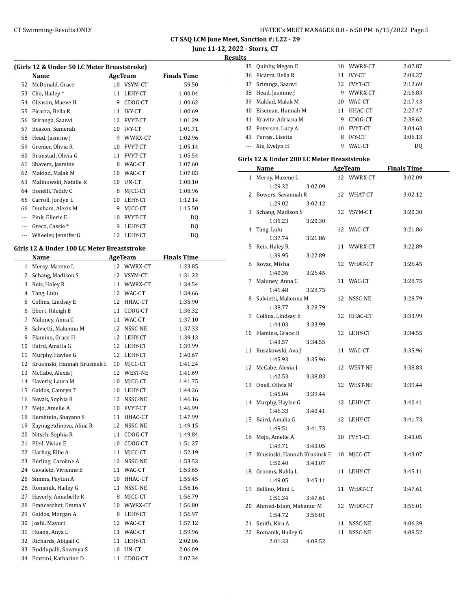**June 11-12, 2022 - Storrs, CT**

**Results**

| (Girls 12 & Under 50 LC Meter Breaststroke) |                       |                |                |                    |  |  |  |
|---------------------------------------------|-----------------------|----------------|----------------|--------------------|--|--|--|
|                                             | Name                  | <b>AgeTeam</b> |                | <b>Finals Time</b> |  |  |  |
| 52                                          | McDonald, Grace       | 10             | VSYM-CT        | 59.50              |  |  |  |
| 53                                          | Cho, Hailey*          | 11             | LEHY-CT        | 1:00.04            |  |  |  |
| 54                                          | Gleason, Maeve H      | 9              | CDOG-CT        | 1:00.62            |  |  |  |
| 55                                          | Ficarra, Bella R      | 11             | <b>IVY-CT</b>  | 1:00.69            |  |  |  |
| 56                                          | Sriranga, Saanvi      | 12             | <b>FVYT-CT</b> | 1:01.29            |  |  |  |
| 57                                          | Beason, Samerah       | 10             | <b>IVY-CT</b>  | 1:01.71            |  |  |  |
| 58                                          | Head, Jasmine J       | 9              | WWRX-CT        | 1:02.96            |  |  |  |
| 59                                          | Grenier, Olivia R     | 10             | <b>FVYT-CT</b> | 1:05.14            |  |  |  |
| 60                                          | Brunstad, Olivia G    | 11             | <b>FVYT-CT</b> | 1:05.54            |  |  |  |
| 61                                          | Shavers, Jasmine      | 8              | WAC-CT         | 1:07.60            |  |  |  |
| 62                                          | Maklad, Malak M       | 10             | WAC-CT         | 1:07.83            |  |  |  |
| 63                                          | Malinowski, Natalie R | 10             | UN-CT          | 1:08.10            |  |  |  |
| 64                                          | Bonelli, Teddy C      | 8              | MICC-CT        | 1:08.96            |  |  |  |
| 65                                          | Carroll, Jordyn L     | 10             | LEHY-CT        | 1:12.14            |  |  |  |
| 66                                          | Dunham, Alexis M      | 9              | MICC-CT        | 1:15.50            |  |  |  |
| $---$                                       | Pink, Ellerie E       | 10             | <b>FVYT-CT</b> | DQ                 |  |  |  |
| $---$                                       | Greco, Cassie*        | 9              | LEHY-CT        | DQ                 |  |  |  |
| $---$                                       | Wheeler, Jennifer G   | 12             | LEHY-CT        | DQ                 |  |  |  |
|                                             |                       |                |                |                    |  |  |  |

## **Girls 12 & Under 100 LC Meter Breaststroke**

 $\equiv$ 

|    | <b>Name</b>                  |    | <b>AgeTeam</b> | <b>Finals Time</b> |  |
|----|------------------------------|----|----------------|--------------------|--|
| 1  | Meroy, Maxene L              | 12 | WWRX-CT        | 1:23.85            |  |
| 2  | Schang, Madison S            | 12 | VSYM-CT        | 1:31.22            |  |
| 3  | Reis, Haley R                | 11 | WWRX-CT        | 1:34.54            |  |
| 4  | Tang, Lulu                   | 12 | WAC-CT         | 1:34.66            |  |
| 5  | Collins, Lindsay E           | 12 | HHAC-CT        | 1:35.90            |  |
| 6  | Ebert, Rileigh E             | 11 | CDOG-CT        | 1:36.32            |  |
| 7  | Maloney, Anna C              | 11 | WAC-CT         | 1:37.10            |  |
| 8  | Salvietti, Makenna M         | 12 | NSSC-NE        | 1:37.33            |  |
| 9  | Flamino, Grace H             | 12 | LEHY-CT        | 1:39.13            |  |
| 10 | Baird, Amalia G              | 12 | LEHY-CT        | 1:39.99            |  |
| 11 | Murphy, Haylee G             | 12 | LEHY-CT        | 1:40.67            |  |
| 12 | Krusinski, Hannah Krusinsk E | 10 | MJCC-CT        | 1:41.24            |  |
| 13 | McCabe, Alexia J             | 12 | WEST-NE        | 1:41.69            |  |
| 14 | Haverly, Laura M             | 10 | MJCC-CT        | 1:41.75            |  |
| 15 | Gaidos, Camryn T             | 10 | LEHY-CT        | 1:44.26            |  |
| 16 | Novak, Sophia R              | 12 | NSSC-NE        | 1:46.16            |  |
| 17 | Mejo, Amelie A               | 10 | FVYT-CT        | 1:46.99            |  |
| 18 | Bershtein, Shayann S         | 11 | HHAC-CT        | 1:47.99            |  |
| 19 | Zaynagetdinova, Alina R      | 12 | NSSC-NE        | 1:49.15            |  |
| 20 | Nitsch, Sophia R             | 11 | CDOG-CT        | 1:49.84            |  |
| 21 | Pfeil, Vivian E              | 10 | CDOG-CT        | 1:51.27            |  |
| 22 | Harhay, Ellie A              | 11 | MJCC-CT        | 1:52.19            |  |
| 23 | Berling, Caroline A          | 12 | NSSC-NE        | 1:53.53            |  |
| 24 | Gavaletz, Vivienne E         | 11 | WAC-CT         | 1:53.65            |  |
| 25 | Simms, Payton A              | 10 | HHAC-CT        | 1:55.45            |  |
| 26 | Romanik, Hailey G            | 11 | NSSC-NE        | 1:56.16            |  |
| 27 | Haverly, Annabelle R         | 8  | MJCC-CT        | 1:56.79            |  |
| 28 | Franceschet, Emma V          | 10 | WWRX-CT        | 1:56.80            |  |
| 29 | Gaidos, Morgan A             | 8  | LEHY-CT        | 1:56.97            |  |
| 30 | Joshi, Mayuri                | 12 | WAC-CT         | 1:57.12            |  |
| 31 | Huang, Anya L                | 11 | WAC-CT         | 1:59.96            |  |
| 32 | Richards, Abigail C          | 11 | LEHY-CT        | 2:02.06            |  |
| 33 | Boddupalli, Sowmya S         | 10 | UN-CT          | 2:06.09            |  |
| 34 | Frattini, Katharine D        | 11 | CDOG-CT        | 2:07.34            |  |

| 35 | Quinby, Megan E     |    | 10 WWRX-CT     | 2:07.87        |
|----|---------------------|----|----------------|----------------|
|    | 36 Ficarra, Bella R | 11 | <b>IVY-CT</b>  | 2:09.27        |
| 37 | Sriranga, Saanvi    |    | 12 FVYT-CT     | 2:12.69        |
| 38 | Head, Jasmine J     | 9  | WWRX-CT        | 2:16.83        |
| 39 | Maklad, Malak M     | 10 | WAC-CT         | 2:17.43        |
| 40 | Eiseman, Hannah M   | 11 | HHAC-CT        | 2:27.47        |
| 41 | Kravitz, Adriana M  | 9  | CDOG-CT        | 2:38.62        |
|    | 42 Petersen, Lucy A | 10 | <b>FVYT-CT</b> | 3:04.63        |
| 43 | Perras, Lisette     | 8  | <b>IVY-CT</b>  | 3:06.13        |
|    | --- Xie, Evelyn H   | 9  | WAC-CT         | D <sub>0</sub> |
|    |                     |    |                |                |

#### **Girls 12 & Under 200 LC Meter Breaststroke**

|    | <u>Name</u>                  |    | <b>AgeTeam</b> | <b>Finals Time</b> |  |
|----|------------------------------|----|----------------|--------------------|--|
| 1  | Meroy, Maxene L              | 12 | WWRX-CT        | 3:02.09            |  |
|    | 1:29.32<br>3:02.09           |    |                |                    |  |
| 2  | Bowers, Savannah R           |    | 12 WHAT-CT     | 3:02.12            |  |
|    | 1:29.02<br>3:02.12           |    |                |                    |  |
| 3  | Schang, Madison S            |    | 12 VSYM-CT     | 3:20.30            |  |
|    | 1:35.23<br>3:20.30           |    |                |                    |  |
| 4  | Tang, Lulu                   |    | 12 WAC-CT      | 3:21.86            |  |
|    | 1:37.74<br>3:21.86           |    |                |                    |  |
| 5  | Reis, Haley R                |    | 11 WWRX-CT     | 3:22.89            |  |
|    | 1:39.95<br>3:22.89           |    |                |                    |  |
| 6  | Kovac, Misha                 |    | 12 WHAT-CT     | 3:26.45            |  |
|    | 1:40.36<br>3:26.45           |    |                |                    |  |
| 7  | Maloney, Anna C              |    | 11 WAC-CT      | 3:28.75            |  |
|    | 1:41.48<br>3:28.75           |    |                |                    |  |
|    | 8 Salvietti, Makenna M       |    | 12 NSSC-NE     | 3:28.79            |  |
|    | 1:38.77<br>3:28.79           |    |                |                    |  |
| 9  | Collins, Lindsay E           |    | 12 HHAC-CT     | 3:33.99            |  |
|    | 1:44.03<br>3:33.99           |    |                |                    |  |
|    | 10 Flamino, Grace H          |    | 12 LEHY-CT     | 3:34.55            |  |
|    | 1:43.57<br>3:34.55           |    |                |                    |  |
| 11 | Ruszkowski, Ava J            |    | 11 WAC-CT      | 3:35.96            |  |
|    | 1:45.93<br>3:35.96           |    |                |                    |  |
|    | 12 McCabe, Alexia J          |    | 12 WEST-NE     | 3:38.83            |  |
|    | 1:42.53<br>3:38.83           |    |                |                    |  |
|    | 13 Oneil, Olivia M           |    | 12 WEST-NE     | 3:39.44            |  |
|    | 1:45.04<br>3:39.44           |    |                |                    |  |
|    | 14 Murphy, Haylee G          |    | 12 LEHY-CT     | 3:40.41            |  |
|    | 1:46.33<br>3:40.41           |    |                |                    |  |
| 15 | Baird, Amalia G              |    | 12 LEHY-CT     | 3:41.73            |  |
|    | 1:49.51<br>3:41.73           |    |                |                    |  |
| 16 | Mejo, Amelie A               |    | 10 FVYT-CT     | 3:43.05            |  |
|    | 1:49.71<br>3:43.05           |    |                |                    |  |
| 17 | Krusinski, Hannah Krusinsk E |    | 10 MJCC-CT     | 3:43.07            |  |
|    | 1:50.40<br>3:43.07           |    |                |                    |  |
|    | 18 Grooms, Nahla L           |    | 11 LEHY-CT     | 3:45.11            |  |
|    | 1:49.05<br>3:45.11           |    |                |                    |  |
| 19 | Bellino, Mimi L              |    | 11 WHAT-CT     | 3:47.61            |  |
|    | 1:51.34<br>3:47.61           |    |                |                    |  |
|    | 20 Ahmed-Islam, Mahanur M    |    | 12 WHAT-CT     | 3:56.01            |  |
|    | 1:54.72<br>3:56.01           |    |                |                    |  |
|    | 21 Smith, Kira A             |    | 11 NSSC-NE     | 4:06.39            |  |
|    | 22 Romanik, Hailey G         |    | 11 NSSC-NE     | 4:08.52            |  |
|    | 2:01.33<br>4:08.52           |    |                |                    |  |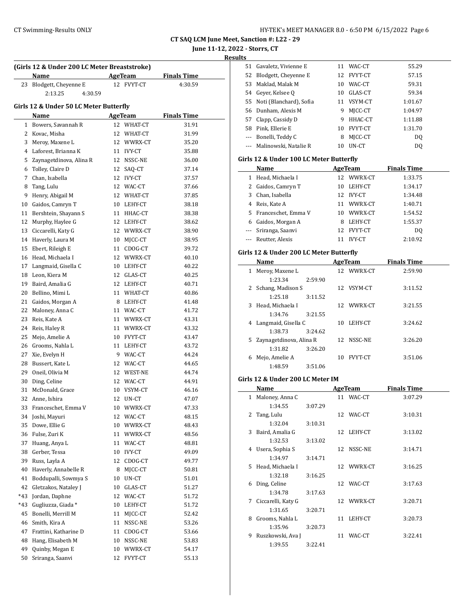51 Gavaletz, Vivienne E 11 WAC-CT 55.29

**CT SAQ LCM June Meet, Sanction #: L22 - 29**

# **June 11-12, 2022 - Storrs, CT**

|     | (Girls 12 & Under 200 LC Meter Breaststroke) |                |            |                    |  |  |  |
|-----|----------------------------------------------|----------------|------------|--------------------|--|--|--|
|     | Name                                         | <b>AgeTeam</b> |            | <b>Finals Time</b> |  |  |  |
| 23  | Blodgett, Cheyenne E<br>2:13.25<br>4:30.59   |                | 12 FVYT-CT | 4:30.59            |  |  |  |
|     |                                              |                |            |                    |  |  |  |
|     | Girls 12 & Under 50 LC Meter Butterfly       |                |            |                    |  |  |  |
|     | Name                                         |                | AgeTeam    | <b>Finals Time</b> |  |  |  |
|     | 1 Bowers, Savannah R                         |                | 12 WHAT-CT | 31.91              |  |  |  |
|     | 2 Kovac, Misha                               |                | 12 WHAT-CT | 31.99              |  |  |  |
|     | 3 Meroy, Maxene L                            |                | 12 WWRX-CT | 35.20              |  |  |  |
|     | 4 Laforest, Brianna K                        |                | 11 IVY-CT  | 35.88              |  |  |  |
|     | 5 Zaynagetdinova, Alina R                    |                | 12 NSSC-NE | 36.00              |  |  |  |
|     | 6 Tolley, Claire D                           |                | 12 SAQ-CT  | 37.14              |  |  |  |
|     | 7 Chan, Isabella                             |                | 12 IVY-CT  | 37.57              |  |  |  |
| 8   | Tang, Lulu                                   |                | 12 WAC-CT  | 37.66              |  |  |  |
| 9   | Henry, Abigail M                             |                | 12 WHAT-CT | 37.85              |  |  |  |
|     | 10 Gaidos, Camryn T                          |                | 10 LEHY-CT | 38.18              |  |  |  |
|     | 11 Bershtein, Shayann S                      |                | 11 HHAC-CT | 38.38              |  |  |  |
|     | 12 Murphy, Haylee G                          |                | 12 LEHY-CT | 38.62              |  |  |  |
|     | 13 Ciccarelli, Katy G                        |                | 12 WWRX-CT | 38.90              |  |  |  |
|     | 14 Haverly, Laura M                          |                | 10 MICC-CT | 38.95              |  |  |  |
|     | 15 Ebert, Rileigh E                          |                | 11 CDOG-CT | 39.72              |  |  |  |
|     | 16 Head, Michaela I                          |                | 12 WWRX-CT | 40.10              |  |  |  |
|     | 17 Langmaid, Gisella C                       |                | 10 LEHY-CT | 40.22              |  |  |  |
|     | 18 Leon, Kiera M                             |                | 12 GLAS-CT | 40.25              |  |  |  |
|     | 19 Baird, Amalia G                           |                | 12 LEHY-CT | 40.71              |  |  |  |
|     | 20 Bellino, Mimi L                           |                | 11 WHAT-CT | 40.86              |  |  |  |
|     | 21 Gaidos, Morgan A                          |                | 8 LEHY-CT  | 41.48              |  |  |  |
|     | 22 Maloney, Anna C                           |                | 11 WAC-CT  | 41.72              |  |  |  |
|     | 23 Reis, Kate A                              |                | 11 WWRX-CT | 43.31              |  |  |  |
|     | 24 Reis, Haley R                             |                | 11 WWRX-CT | 43.32              |  |  |  |
|     | 25 Mejo, Amelie A                            |                | 10 FVYT-CT | 43.47              |  |  |  |
|     | 26 Grooms, Nahla L                           |                | 11 LEHY-CT | 43.72              |  |  |  |
|     | 27 Xie, Evelyn H                             |                | 9 WAC-CT   | 44.24              |  |  |  |
|     | 28 Bussert, Kate L                           |                | 12 WAC-CT  | 44.65              |  |  |  |
|     | 29 Oneil, Olivia M                           |                | 12 WEST-NE | 44.74              |  |  |  |
|     | 30 Ding, Celine                              |                | 12 WAC-CT  | 44.91              |  |  |  |
|     | 31 McDonald, Grace                           |                | 10 VSYM-CT | 46.16              |  |  |  |
| 32  | Anne. Ishira                                 |                | 12 UN-CT   | 47.07              |  |  |  |
| 33  | Franceschet, Emma V                          | 10             | WWRX-CT    | 47.33              |  |  |  |
| 34  | Joshi, Mayuri                                | 12             | WAC-CT     | 48.15              |  |  |  |
| 35  | Dowe, Ellie G                                | 10             | WWRX-CT    | 48.43              |  |  |  |
| 36  | Fulse, Zuri K                                | 11             | WWRX-CT    | 48.56              |  |  |  |
| 37  | Huang, Anya L                                | 11             | WAC-CT     | 48.81              |  |  |  |
| 38  | Gerber, Tessa                                | 10             | IVY-CT     | 49.09              |  |  |  |
| 39  | Russ, Layla A                                | 12             | CDOG-CT    | 49.77              |  |  |  |
| 40  | Haverly, Annabelle R                         | 8              | MJCC-CT    | 50.81              |  |  |  |
| 41  | Boddupalli, Sowmya S                         | 10             | UN-CT      | 51.01              |  |  |  |
| 42  | Gletzakos, Nataley J                         | 10             | GLAS-CT    | 51.27              |  |  |  |
| *43 | Jordan, Daphne                               | 12             | WAC-CT     | 51.72              |  |  |  |
| *43 | Gugliuzza, Giada *                           | 10             | LEHY-CT    | 51.72              |  |  |  |
| 45  | Bonelli, Merrill M                           | 11             | MJCC-CT    | 52.42              |  |  |  |
| 46  | Smith, Kira A                                | 11             | NSSC-NE    | 53.26              |  |  |  |
| 47  | Frattini, Katharine D                        | 11             | CDOG-CT    | 53.66              |  |  |  |
| 48  | Hang, Elisabeth M                            | 10             | NSSC-NE    | 53.83              |  |  |  |
| 49  | Quinby, Megan E                              | 10             | WWRX-CT    | 54.17              |  |  |  |
| 50  | Sriranga, Saanvi                             | 12             | FVYT-CT    | 55.13              |  |  |  |

|              | 52 Blodgett, Cheyenne E                 |         |    | 12 FVYT-CT     | 57.15              |  |
|--------------|-----------------------------------------|---------|----|----------------|--------------------|--|
|              | 53 Maklad, Malak M                      |         |    | 10 WAC-CT      | 59.31              |  |
|              | 54 Geyer, Kelsee Q                      |         |    | 10 GLAS-CT     | 59.34              |  |
|              | 55 Noti (Blanchard), Sofia              |         |    | 11 VSYM-CT     | 1:01.67            |  |
|              | 56 Dunham, Alexis M                     |         |    | 9 MJCC-CT      | 1:04.97            |  |
|              | 57 Clapp, Cassidy D                     |         |    | 9 HHAC-CT      | 1:11.88            |  |
|              | 58 Pink, Ellerie E                      |         |    | 10 FVYT-CT     | 1:31.70            |  |
|              | --- Bonelli, Teddy C                    |         | 8  | MJCC-CT        | DQ                 |  |
|              | --- Malinowski, Natalie R               |         |    | 10 UN-CT       | DQ                 |  |
|              |                                         |         |    |                |                    |  |
|              | Girls 12 & Under 100 LC Meter Butterfly |         |    |                |                    |  |
|              | Name                                    |         |    | <b>AgeTeam</b> | <b>Finals Time</b> |  |
|              | 1 Head, Michaela I                      |         |    | 12 WWRX-CT     | 1:33.75            |  |
|              | 2 Gaidos, Camryn T                      |         |    | 10 LEHY-CT     | 1:34.17            |  |
|              | 3 Chan, Isabella                        |         |    | 12 IVY-CT      | 1:34.48            |  |
|              | 4 Reis, Kate A                          |         |    | 11 WWRX-CT     | 1:40.71            |  |
|              | 5 Franceschet, Emma V                   |         |    | 10 WWRX-CT     | 1:54.52            |  |
|              | 6 Gaidos, Morgan A                      |         |    | 8 LEHY-CT      | 1:55.37            |  |
|              | --- Sriranga, Saanvi                    |         |    | 12 FVYT-CT     | DQ                 |  |
|              | --- Reutter, Alexis                     |         |    | 11 IVY-CT      | 2:10.92            |  |
|              | Girls 12 & Under 200 LC Meter Butterfly |         |    |                |                    |  |
|              | <b>Name</b>                             |         |    | AgeTeam        | <b>Finals Time</b> |  |
| $\mathbf{1}$ | Meroy, Maxene L                         |         |    | 12 WWRX-CT     | 2:59.90            |  |
|              | 1:23.34                                 | 2:59.90 |    |                |                    |  |
|              | 2 Schang, Madison S                     |         |    | 12 VSYM-CT     | 3:11.52            |  |
|              | 1:25.18                                 | 3:11.52 |    |                |                    |  |
| 3            | Head, Michaela I                        |         |    | 12 WWRX-CT     | 3:21.55            |  |
|              | 1:34.76                                 | 3:21.55 |    |                |                    |  |
|              | 4 Langmaid, Gisella C                   |         |    | 10 LEHY-CT     | 3:24.62            |  |
|              | 1:38.73                                 | 3:24.62 |    |                |                    |  |
|              |                                         |         |    |                |                    |  |
|              |                                         |         |    |                |                    |  |
| 5            | Zaynagetdinova, Alina R                 |         | 12 | NSSC-NE        | 3:26.20            |  |
|              | 1:31.82                                 | 3:26.20 |    |                |                    |  |
| 6            | Mejo, Amelie A<br>1:48.59               | 3:51.06 | 10 | FVYT-CT        | 3:51.06            |  |
|              |                                         |         |    |                |                    |  |
|              | Girls 12 & Under 200 LC Meter IM        |         |    |                |                    |  |
|              | <b>Name</b>                             |         |    | <b>AgeTeam</b> | <b>Finals Time</b> |  |
|              | 1 Maloney, Anna C                       |         |    | 11 WAC-CT      | 3:07.29            |  |
|              | 1:34.55                                 | 3:07.29 |    |                |                    |  |
|              | 2 Tang, Lulu                            |         |    | 12 WAC-CT      | 3:10.31            |  |
|              | 1:32.04                                 | 3:10.31 |    |                |                    |  |
|              | 3 Baird, Amalia G                       |         |    | 12 LEHY-CT     | 3:13.02            |  |
|              | 1:32.53                                 | 3:13.02 |    |                |                    |  |
|              | 4 Usera, Sophia S                       |         |    | 12 NSSC-NE     | 3:14.71            |  |
|              | 1:34.97                                 | 3:14.71 |    |                |                    |  |
| 5            | Head, Michaela I                        |         |    | 12 WWRX-CT     | 3:16.25            |  |
|              | 1:32.18                                 | 3:16.25 |    |                |                    |  |
| 6            | Ding, Celine                            |         |    | 12 WAC-CT      | 3:17.63            |  |
|              | 1:34.78                                 | 3:17.63 |    |                |                    |  |
| 7            | Ciccarelli, Katy G                      |         |    | 12 WWRX-CT     | 3:20.71            |  |
|              | 1:31.65                                 | 3:20.71 |    |                |                    |  |
| 8            | Grooms, Nahla L                         |         |    | 11 LEHY-CT     | 3:20.73            |  |
|              | 1:35.96                                 | 3:20.73 |    |                |                    |  |
|              | 9 Ruszkowski, Ava J<br>1:39.55          | 3:22.41 |    | 11 WAC-CT      | 3:22.41            |  |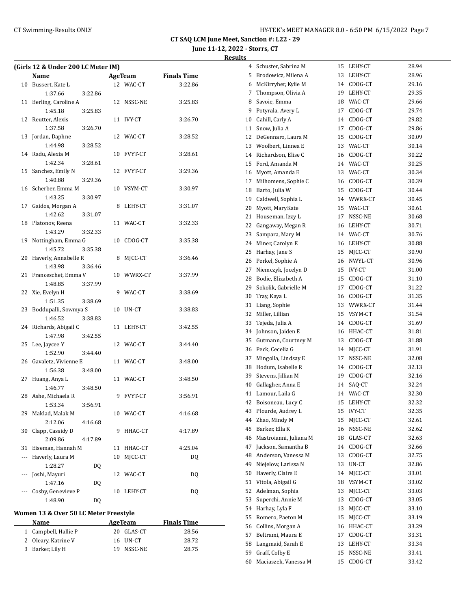**CT SAQ LCM June Meet, Sanction #: L22 - 29**

### **June 11-12, 2022 - Storrs, CT Results**

| (Girls 12 & Under 200 LC Meter IM) |                     |         |     |               |                    |  |  |
|------------------------------------|---------------------|---------|-----|---------------|--------------------|--|--|
|                                    | Name                |         |     | AgeTeam       | <b>Finals Time</b> |  |  |
| 10                                 | Bussert, Kate L     |         | 12. | WAC-CT        | 3:22.86            |  |  |
|                                    | 1:37.66             | 3:22.86 |     |               |                    |  |  |
| 11                                 | Berling, Caroline A |         |     | 12 NSSC-NE    | 3:25.83            |  |  |
|                                    | 1:45.18             | 3:25.83 |     |               |                    |  |  |
|                                    | 12 Reutter, Alexis  |         | 11  | <b>IVY-CT</b> | 3:26.70            |  |  |
|                                    | 1:37.58             | 3:26.70 |     |               |                    |  |  |
| 13                                 | Jordan, Daphne      |         | 12. | WAC-CT        | 3:28.52            |  |  |
|                                    | 1:44.98             | 3:28.52 |     |               |                    |  |  |

| 11  | Berling, Caroline A  | 12 | NSSC-NE    | 3:25.83 |  |
|-----|----------------------|----|------------|---------|--|
|     | 1:45.18<br>3:25.83   |    |            |         |  |
| 12  | Reutter, Alexis      | 11 | IVY-CT     | 3:26.70 |  |
|     | 1:37.58<br>3:26.70   |    |            |         |  |
| 13  | Jordan, Daphne       |    | 12 WAC-CT  | 3:28.52 |  |
|     | 1:44.98<br>3:28.52   |    |            |         |  |
| 14  | Radu, Alexia M       | 10 | FVYT-CT    | 3:28.61 |  |
|     | 1:42.34<br>3:28.61   |    |            |         |  |
| 15  | Sanchez, Emily N     |    | 12 FVYT-CT | 3:29.36 |  |
|     | 1:40.88<br>3:29.36   |    |            |         |  |
| 16  | Scherber, Emma M     |    | 10 VSYM-CT | 3:30.97 |  |
|     | 1:43.25<br>3:30.97   |    |            |         |  |
| 17  | Gaidos, Morgan A     | 8  | LEHY-CT    | 3:31.07 |  |
|     | 1:42.62<br>3:31.07   |    |            |         |  |
| 18  | Platonov, Reena      |    | 11 WAC-CT  | 3:32.33 |  |
|     | 1:43.29<br>3:32.33   |    |            |         |  |
| 19  | Nottingham, Emma G   | 10 | CDOG-CT    | 3:35.38 |  |
|     | 1:45.72<br>3:35.38   |    |            |         |  |
| 20  | Haverly, Annabelle R | 8  | MJCC-CT    | 3:36.46 |  |
|     | 1:43.98<br>3:36.46   |    |            |         |  |
| 21  | Franceschet, Emma V  |    | 10 WWRX-CT | 3:37.99 |  |
|     | 1:48.85<br>3:37.99   |    |            |         |  |
| 22  | Xie, Evelyn H        | 9  | WAC-CT     | 3:38.69 |  |
|     | 1:51.35<br>3:38.69   |    |            |         |  |
| 23  | Boddupalli, Sowmya S |    | 10 UN-CT   | 3:38.83 |  |
|     | 1:46.52<br>3:38.83   |    |            |         |  |
| 24  | Richards, Abigail C  | 11 | LEHY-CT    | 3:42.55 |  |
|     | 1:47.98<br>3:42.55   |    |            |         |  |
| 25  | Lee, Jaycee Y        |    | 12 WAC-CT  | 3:44.40 |  |
|     | 1:52.90<br>3:44.40   |    |            |         |  |
| 26  | Gavaletz, Vivienne E |    | 11 WAC-CT  | 3:48.00 |  |
|     | 1:56.38<br>3:48.00   |    |            |         |  |
| 27  | Huang, Anya L        |    | 11 WAC-CT  | 3:48.50 |  |
|     | 1:46.77<br>3:48.50   |    |            |         |  |
| 28  | Ashe, Michaela R     | 9  | FVYT-CT    | 3:56.91 |  |
|     | 1:53.34<br>3:56.91   |    |            |         |  |
| 29  | Maklad, Malak M      | 10 | WAC-CT     | 4:16.68 |  |
|     | 2:12.06<br>4:16.68   |    |            |         |  |
| 30  | Clapp, Cassidy D     | 9  | HHAC-CT    | 4:17.89 |  |
|     | 2:09.86<br>4:17.89   |    |            |         |  |
| 31  | Eiseman, Hannah M    | 11 | HHAC-CT    | 4:25.04 |  |
| --- | Haverly, Laura M     | 10 | MJCC-CT    | DQ      |  |
|     | 1:28.27<br>DQ        |    |            |         |  |
| --- | Joshi, Mayuri        | 12 | WAC-CT     | DQ      |  |
|     | 1:47.16<br>DQ        |    |            |         |  |
|     | Cosby, Genevieve P   | 10 | LEHY-CT    | DQ      |  |
|     | 1:48.90<br>DQ        |    |            |         |  |

#### **Women 13 & Over 50 LC Meter Freestyle**

| <b>Name</b>          | AgeTeam    | <b>Finals Time</b> |
|----------------------|------------|--------------------|
| 1 Campbell, Hallie P | 20 GLAS-CT | 28.56              |
| 2 Oleary, Katrine V  | 16 UN-CT   | 28.72              |
| 3 Barker, Lily H     | 19 NSSC-NE | 28.75              |

| 4  | Schuster, Sabrina M    | 15 | LEHY-CT       | 28.94 |
|----|------------------------|----|---------------|-------|
| 5  | Brodowicz, Milena A    | 13 | LEHY-CT       | 28.96 |
| 6  | McKirryher, Kylie M    | 14 | CDOG-CT       | 29.16 |
| 7  | Thompson, Olivia A     | 19 | LEHY-CT       | 29.35 |
| 8  | Savoie, Emma           | 18 | WAC-CT        | 29.66 |
| 9  | Potyrala, Avery L      | 17 | CDOG-CT       | 29.74 |
| 10 | Cahill, Carly A        | 14 | CDOG-CT       | 29.82 |
| 11 | Snow, Julia A          | 17 | CDOG-CT       | 29.86 |
| 12 | DeGennaro, Laura M     | 15 | CDOG-CT       | 30.09 |
| 13 | Woolbert, Linnea E     | 13 | WAC-CT        | 30.14 |
| 14 | Richardson, Elise C    | 16 | CDOG-CT       | 30.22 |
| 15 | Ford, Amanda M         | 14 | WAC-CT        | 30.25 |
| 16 | Myott, Amanda E        | 13 | WAC-CT        | 30.34 |
| 17 | Milhomens, Sophie C    |    | 16 CDOG-CT    | 30.39 |
| 18 | Barto, Julia W         | 15 | CDOG-CT       | 30.44 |
| 19 | Caldwell, Sophia L     | 14 | WWRX-CT       | 30.45 |
| 20 | Myott, MaryKate        | 15 | WAC-CT        | 30.61 |
| 21 | Houseman, Izzy L       | 17 | NSSC-NE       | 30.68 |
| 22 | Gangaway, Megan R      | 16 | LEHY-CT       | 30.71 |
| 23 | Sampara, Mary M        |    | 14 WAC-CT     | 30.76 |
| 24 | Miner, Carolyn E       | 16 | LEHY-CT       | 30.88 |
| 25 | Harhay, Jane S         | 15 | MICC-CT       | 30.90 |
| 26 | Perkel, Sophie A       | 16 | NWYL-CT       | 30.96 |
| 27 | Niemczyk, Jocelyn D    | 15 | <b>IVY-CT</b> | 31.00 |
| 28 | Bodie, Elizabeth A     | 15 | CDOG-CT       | 31.10 |
| 29 | Sokolik, Gabrielle M   | 17 | CDOG-CT       | 31.22 |
| 30 | Tray, Kaya L           | 16 | CDOG-CT       | 31.35 |
| 31 | Liang, Sophie          | 13 | WWRX-CT       | 31.44 |
| 32 | Miller, Lillian        | 15 | VSYM-CT       | 31.54 |
| 33 | Tejeda, Julia A        | 14 | CDOG-CT       | 31.69 |
| 34 | Johnson, Jaiden E      | 16 | HHAC-CT       | 31.81 |
| 35 | Gutmann, Courtney M    | 13 | CDOG-CT       | 31.88 |
| 36 | Peck, Cecelia G        | 14 | MJCC-CT       | 31.91 |
| 37 | Mingolla, Lindsay E    | 17 | NSSC-NE       | 32.08 |
| 38 | Hodum, Isabelle R      | 14 | CDOG-CT       | 32.13 |
| 39 | Stevens, Jillian M     | 19 | CDOG-CT       | 32.16 |
| 40 | Gallagher, Anna E      | 14 | SAQ-CT        | 32.24 |
| 41 | Lamour, Laila G        | 14 | WAC-CT        | 32.30 |
| 42 | Boisoneau, Lucy C      | 15 | LEHY-CT       | 32.32 |
| 43 | Plourde, Audrey L      | 15 | IVY-CT        | 32.35 |
| 44 | Zhao, Mindy M          | 15 | MJCC-CT       | 32.61 |
| 45 | Barker, Ella K         | 16 | NSSC-NE       | 32.62 |
| 46 | Mastroianni, Juliana M | 18 | GLAS-CT       | 32.63 |
| 47 | Jackson, Samantha B    | 14 | CDOG-CT       | 32.66 |
| 48 | Anderson, Vanessa M    | 13 | CDOG-CT       | 32.75 |
| 49 | Niejelow, Larissa N    | 13 | UN-CT         | 32.86 |
| 50 | Haverly, Claire E      | 14 | MICC-CT       | 33.01 |
| 51 | Vitola, Abigail G      | 18 | VSYM-CT       | 33.02 |
| 52 | Adelman, Sophia        | 13 | MJCC-CT       | 33.03 |
| 53 | Superchi, Annie M      | 13 | CDOG-CT       | 33.05 |
| 54 | Harhay, Lyla F         | 13 | MJCC-CT       | 33.10 |
| 55 | Romero, Paeton M       | 15 | MJCC-CT       | 33.19 |
| 56 | Collins, Morgan A      | 16 | HHAC-CT       | 33.29 |
| 57 | Beltrami, Maura E      | 17 | CDOG-CT       | 33.31 |
| 58 | Langmaid, Sarah E      | 13 | LEHY-CT       | 33.34 |
| 59 | Graff, Colby E         | 15 | NSSC-NE       | 33.41 |
| 60 | Maciaszek, Vanessa M   | 15 | CDOG-CT       | 33.42 |
|    |                        |    |               |       |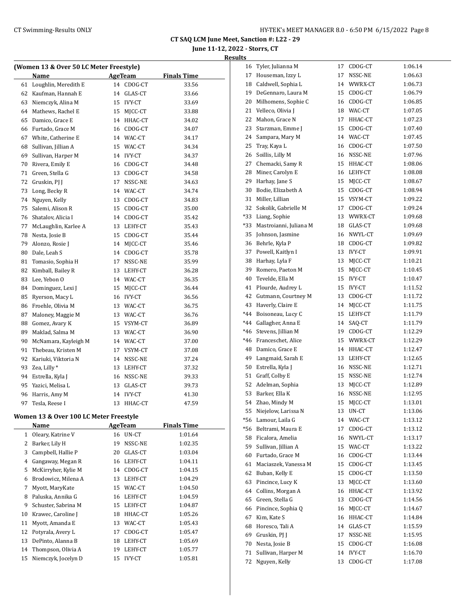# **June 11-12, 2022 - Storrs, CT Results**

|    | (Women 13 & Over 50 LC Meter Freestyle) |    |                |                    |  |  |  |  |
|----|-----------------------------------------|----|----------------|--------------------|--|--|--|--|
|    | Name                                    |    | AgeTeam        | <b>Finals Time</b> |  |  |  |  |
| 61 | Loughlin, Meredith E                    | 14 | CDOG-CT        | 33.56              |  |  |  |  |
| 62 | Kaufman, Hannah E                       | 14 | GLAS-CT        | 33.66              |  |  |  |  |
| 63 | Niemczyk, Alina M                       | 15 | IVY-CT         | 33.69              |  |  |  |  |
| 64 | Mathews, Rachel E                       | 15 | MJCC-CT        | 33.88              |  |  |  |  |
| 65 | Damico, Grace E                         | 14 | HHAC-CT        | 34.02              |  |  |  |  |
| 66 | Furtado, Grace M                        |    | 16 CDOG-CT     | 34.07              |  |  |  |  |
| 67 | White, Catherine E                      |    | 14 WAC-CT      | 34.17              |  |  |  |  |
| 68 | Sullivan, Jillian A                     |    | 15 WAC-CT      | 34.34              |  |  |  |  |
| 69 | Sullivan, Harper M                      |    | 14 IVY-CT      | 34.37              |  |  |  |  |
| 70 | Rivera, Emily E                         | 16 | CDOG-CT        | 34.48              |  |  |  |  |
| 71 | Green, Stella G                         |    | 13 CDOG-CT     | 34.58              |  |  |  |  |
| 72 | Gruskin, PJ J                           | 17 | NSSC-NE        | 34.63              |  |  |  |  |
| 73 | Long, Becky R                           |    | 14 WAC-CT      | 34.74              |  |  |  |  |
| 74 | Nguyen, Kelly                           |    | 13 CDOG-CT     | 34.83              |  |  |  |  |
| 75 | Salemi, Alison R                        | 15 | CDOG-CT        | 35.00              |  |  |  |  |
| 76 | Shatalov, Alicia I                      | 14 | CDOG-CT        | 35.42              |  |  |  |  |
| 77 | McLaughlin, Karlee A                    | 13 | LEHY-CT        | 35.43              |  |  |  |  |
| 78 | Nesta, Josie B                          | 15 | CDOG-CT        | 35.44              |  |  |  |  |
| 79 | Alonzo, Rosie J                         |    | 14 MJCC-CT     | 35.46              |  |  |  |  |
| 80 | Dale, Leah S                            | 14 | CDOG-CT        | 35.78              |  |  |  |  |
| 81 | Tomasio, Sophia H                       | 17 | NSSC-NE        | 35.99              |  |  |  |  |
| 82 | Kimball, Bailey R                       | 13 | LEHY-CT        | 36.28              |  |  |  |  |
| 83 | Lee, Yebon O                            |    | 14 WAC-CT      | 36.35              |  |  |  |  |
| 84 | Dominguez, Lexi J                       |    | 15 MICC-CT     | 36.44              |  |  |  |  |
| 85 | Ryerson, Macy L                         |    | 16 IVY-CT      | 36.56              |  |  |  |  |
| 86 | Froehle, Olivia M                       | 13 | WAC-CT         | 36.75              |  |  |  |  |
| 87 | Maloney, Maggie M                       |    | 13 WAC-CT      | 36.76              |  |  |  |  |
| 88 | Gomez, Avary K                          |    | 15 VSYM-CT     | 36.89              |  |  |  |  |
| 89 | Maklad, Salma M                         |    | 13 WAC-CT      | 36.90              |  |  |  |  |
| 90 | McNamara, Kayleigh M                    |    | 14 WAC-CT      | 37.00              |  |  |  |  |
| 91 | Thebeau, Kristen M                      | 17 | VSYM-CT        | 37.08              |  |  |  |  |
| 92 | Kariuki, Viktoria N                     | 14 | NSSC-NE        | 37.24              |  |  |  |  |
| 93 | Zea, Lilly *                            |    | 13 LEHY-CT     | 37.32              |  |  |  |  |
| 94 | Estrella, Kyla J                        |    | 16 NSSC-NE     | 39.33              |  |  |  |  |
| 95 | Yazici, Melisa L                        |    | 13 GLAS-CT     | 39.73              |  |  |  |  |
| 96 | Harris, Amy M                           | 14 | <b>IVY-CT</b>  | 41.30              |  |  |  |  |
| 97 | Tesla, Reese I                          | 13 | HHAC-CT        | 47.59              |  |  |  |  |
|    | Women 13 & Over 100 LC Meter Freestyle  |    |                |                    |  |  |  |  |
|    | Name                                    |    | <b>AgeTeam</b> | <b>Finals Time</b> |  |  |  |  |
|    |                                         |    |                |                    |  |  |  |  |

|    | Name                |    | Age leam      | rinais Time |  |
|----|---------------------|----|---------------|-------------|--|
| 1  | Oleary, Katrine V   | 16 | UN-CT         | 1:01.64     |  |
| 2  | Barker, Lily H      | 19 | NSSC-NE       | 1:02.35     |  |
| 3  | Campbell, Hallie P  | 20 | GLAS-CT       | 1:03.04     |  |
| 4  | Gangaway, Megan R   |    | 16 LEHY-CT    | 1:04.11     |  |
| 5  | McKirryher, Kylie M | 14 | CDOG-CT       | 1:04.15     |  |
| 6  | Brodowicz, Milena A | 13 | LEHY-CT       | 1:04.29     |  |
| 7  | Myott, MaryKate     | 15 | WAC-CT        | 1:04.50     |  |
| 8  | Paluska, Annika G   | 16 | LEHY-CT       | 1:04.59     |  |
| 9  | Schuster, Sabrina M | 15 | LEHY-CT       | 1:04.87     |  |
| 10 | Krawec, Caroline J  | 18 | HHAC-CT       | 1:05.26     |  |
| 11 | Myott, Amanda E     | 13 | WAC-CT        | 1:05.43     |  |
| 12 | Potyrala, Avery L   | 17 | CDOG-CT       | 1:05.47     |  |
| 13 | DePinto, Alanna B   | 18 | LEHY-CT       | 1:05.69     |  |
| 14 | Thompson, Olivia A  | 19 | LEHY-CT       | 1:05.77     |  |
| 15 | Niemczyk, Jocelyn D | 15 | <b>IVY-CT</b> | 1:05.81     |  |
|    |                     |    |               |             |  |

| 16    | Tyler, Julianna M      | 17 | CDOG-CT       | 1:06.14 |
|-------|------------------------|----|---------------|---------|
| 17    | Houseman, Izzy L       | 17 | NSSC-NE       | 1:06.63 |
| 18    | Caldwell, Sophia L     | 14 | WWRX-CT       | 1:06.73 |
| 19    | DeGennaro, Laura M     | 15 | CDOG-CT       | 1:06.79 |
| 20    | Milhomens, Sophie C    | 16 | CDOG-CT       | 1:06.85 |
| 21    | Velleco, Olivia J      | 18 | WAC-CT        | 1:07.05 |
| 22    | Mahon, Grace N         | 17 | HHAC-CT       | 1:07.23 |
| 23    | Starzman, Emme J       | 15 | CDOG-CT       | 1:07.40 |
| 24    | Sampara, Mary M        | 14 | WAC-CT        | 1:07.45 |
| 25    | Tray, Kaya L           | 16 | CDOG-CT       | 1:07.50 |
| 26    | Soillis, Lilly M       | 16 | NSSC-NE       | 1:07.96 |
| 27    | Chemacki, Samy R       | 15 | HHAC-CT       | 1:08.06 |
| 28    | Miner, Carolyn E       | 16 | LEHY-CT       | 1:08.08 |
| 29    | Harhay, Jane S         | 15 | MJCC-CT       | 1:08.67 |
| 30    | Bodie, Elizabeth A     | 15 | CDOG-CT       | 1:08.94 |
| 31    | Miller, Lillian        | 15 | VSYM-CT       | 1:09.22 |
| 32    | Sokolik, Gabrielle M   | 17 | CDOG-CT       | 1:09.24 |
| *33   | Liang, Sophie          | 13 | WWRX-CT       | 1:09.68 |
| *33   | Mastroianni, Juliana M | 18 | GLAS-CT       | 1:09.68 |
| 35    | Johnson, Jasmine       | 16 | NWYL-CT       | 1:09.69 |
| 36    | Behrle, Kyla P         | 18 | CDOG-CT       | 1:09.82 |
| 37    | Powell, Kaitlyn I      | 13 | <b>IVY-CT</b> | 1:09.91 |
| 38    | Harhay, Lyla F         | 13 | MJCC-CT       | 1:10.21 |
| 39    | Romero, Paeton M       | 15 | MICC-CT       | 1:10.45 |
| 40    | Tevelde, Ella M        | 15 | <b>IVY-CT</b> | 1:10.47 |
| 41    | Plourde, Audrey L      | 15 | <b>IVY-CT</b> | 1:11.52 |
| 42    | Gutmann, Courtney M    | 13 | CDOG-CT       | 1:11.72 |
| 43    | Haverly, Claire E      | 14 | MJCC-CT       | 1:11.75 |
| $*44$ | Boisoneau, Lucy C      | 15 | LEHY-CT       | 1:11.79 |
| *44   | Gallagher, Anna E      | 14 | SAQ-CT        | 1:11.79 |
| *46   | Stevens, Jillian M     | 19 | CDOG-CT       | 1:12.29 |
| *46   | Franceschet, Alice     | 15 | WWRX-CT       | 1:12.29 |
| 48    | Damico, Grace E        | 14 | HHAC-CT       | 1:12.47 |
| 49    | Langmaid, Sarah E      | 13 | LEHY-CT       | 1:12.65 |
| 50    | Estrella, Kyla J       | 16 | NSSC-NE       | 1:12.71 |
| 51    | Graff, Colby E         | 15 | NSSC-NE       | 1:12.74 |
| 52    | Adelman, Sophia        | 13 | MJCC-CT       | 1:12.89 |
| 53    | Barker, Ella K         | 16 | NSSC-NE       | 1:12.95 |
| 54    | Zhao, Mindy M          | 15 | MJCC-CT       | 1:13.01 |
| 55    | Niejelow, Larissa N    | 13 | UN-CT         | 1:13.06 |
| *56   | Lamour, Laila G        | 14 | WAC-CT        | 1:13.12 |
| $*56$ | Beltrami, Maura E      | 17 | CDOG-CT       | 1:13.12 |
| 58    | Ficalora, Amelia       | 16 | NWYL-CT       | 1:13.17 |
| 59    | Sullivan, Jillian A    | 15 | WAC-CT        | 1:13.22 |
| 60    | Furtado, Grace M       | 16 | CDOG-CT       | 1:13.44 |
| 61    | Maciaszek, Vanessa M   | 15 | CDOG-CT       | 1:13.45 |
| 62    | Buban, Kelly E         | 15 | CDOG-CT       | 1:13.50 |
| 63    | Pincince, Lucy K       | 13 | MJCC-CT       | 1:13.60 |
| 64    | Collins, Morgan A      | 16 | HHAC-CT       | 1:13.92 |
| 65    | Green, Stella G        | 13 | CDOG-CT       | 1:14.56 |
| 66    | Pincince, Sophia Q     | 16 | MJCC-CT       | 1:14.67 |
| 67    | Kim, Kate S            | 16 | HHAC-CT       | 1:14.84 |
| 68    | Horesco, Tali A        | 14 | GLAS-CT       | 1:15.59 |
| 69    | Gruskin, PJ J          | 17 | NSSC-NE       | 1:15.95 |
| 70    | Nesta, Josie B         | 15 | CDOG-CT       | 1:16.08 |
| 71    | Sullivan, Harper M     | 14 | IVY-CT        | 1:16.70 |
| 72    | Nguyen, Kelly          | 13 | CDOG-CT       | 1:17.08 |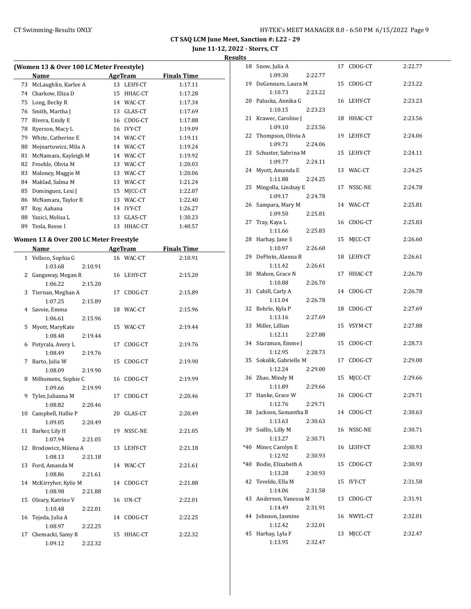18 Snow, Julia A 17 CDOG-CT 2:22.77

**CT SAQ LCM June Meet, Sanction #: L22 - 29**

**June 11-12, 2022 - Storrs, CT**

#### **Results**

| (Women 13 & Over 100 LC Meter Freestyle) |                                        |         |                |               |                    |  |  |
|------------------------------------------|----------------------------------------|---------|----------------|---------------|--------------------|--|--|
|                                          | Name                                   |         | <b>AgeTeam</b> |               | <b>Finals Time</b> |  |  |
| 73                                       | McLaughlin, Karlee A                   |         | 13             | LEHY-CT       | 1:17.11            |  |  |
| 74                                       | Charkow, Eliza D                       |         | 15             | HHAC-CT       | 1:17.28            |  |  |
| 75                                       | Long, Becky R                          |         | 14             | WAC-CT        | 1:17.34            |  |  |
| 76                                       | Smith, Martha J                        |         | 13             | GLAS-CT       | 1:17.69            |  |  |
| 77                                       | Rivera, Emily E                        |         | 16             | CDOG-CT       | 1:17.88            |  |  |
| 78                                       | Ryerson, Macy L                        |         | 16             | <b>IVY-CT</b> | 1:19.09            |  |  |
| 79                                       | White, Catherine E                     |         |                | 14 WAC-CT     | 1:19.11            |  |  |
| 80                                       | Mejnartowicz, Mila A                   |         | 14             | WAC-CT        | 1:19.24            |  |  |
| 81                                       | McNamara, Kayleigh M                   |         | 14             | WAC-CT        | 1:19.92            |  |  |
| 82                                       | Froehle, Olivia M                      |         | 13             | WAC-CT        | 1:20.03            |  |  |
| 83                                       | Maloney, Maggie M                      |         | 13             | WAC-CT        | 1:20.06            |  |  |
| 84                                       | Maklad, Salma M                        |         | 13             | WAC-CT        | 1:21.24            |  |  |
| 85                                       | Dominguez, Lexi J                      |         | 15             | MJCC-CT       | 1:22.07            |  |  |
| 86                                       | McNamara, Taylor R                     |         | 13             | WAC-CT        | 1:22.40            |  |  |
| 87                                       | Roy, Aahana                            |         | 14             | <b>IVY-CT</b> | 1:26.27            |  |  |
| 88                                       | Yazici, Melisa L                       |         | 13             | GLAS-CT       | 1:30.23            |  |  |
| 89                                       | Tesla, Reese I                         |         | 13             | HHAC-CT       | 1:40.57            |  |  |
|                                          | Women 13 & Over 200 LC Meter Freestyle |         |                |               |                    |  |  |
|                                          | Name                                   |         | <b>AgeTeam</b> |               | <b>Finals Time</b> |  |  |
| $\mathbf{1}$                             | Velleco, Sophia G                      |         | 16             | WAC-CT        | 2:10.91            |  |  |
|                                          | 1:03.68                                | 2:10.91 |                |               |                    |  |  |
| 2                                        | Gangaway, Megan R                      |         | 16             | LEHY-CT       | 2:15.20            |  |  |
|                                          | 1:06.22                                | 2:15.20 |                |               |                    |  |  |
| 3                                        | Tiernan, Meghan A                      |         | 17             | CDOG-CT       | 2:15.89            |  |  |
|                                          | 1:07.25                                | 2:15.89 |                |               |                    |  |  |
| 4                                        | Savoie, Emma                           |         | 18             | WAC-CT        | 2:15.96            |  |  |
|                                          | 1:06.61                                | 2:15.96 |                |               |                    |  |  |

5 Myott, MaryKate 15 WAC-CT 2:19.44

6 Potyrala, Avery L 17 CDOG-CT 2:19.76

7 Barto, Julia W 15 CDOG-CT 2:19.90

8 Milhomens, Sophie C 16 CDOG-CT 2:19.99

9 Tyler, Julianna M 17 CDOG-CT 2:20.46

10 Campbell, Hallie P 20 GLAS-CT 2:20.49

11 Barker, Lily H 19 NSSC-NE 2:21.05

12 Brodowicz, Milena A 13 LEHY-CT 2:21.18

13 Ford, Amanda M 14 WAC-CT 2:21.61

14 McKirryher, Kylie M 14 CDOG-CT 2:21.88

15 Oleary, Katrine V 16 UN-CT 2:22.01

16 Tejeda, Julia A 14 CDOG-CT 2:22.25

17 Chemacki, Samy R 15 HHAC-CT 2:22.32

1:08.48 2:19.44

1:08.49 2:19.76

1:08.09 2:19.90

1:09.66 2:19.99

1:08.82 2:20.46

1:09.05 2:20.49

1:07.94 2:21.05

1:08.13 2:21.18

1:08.86 2:21.61

1:08.98 2:21.88

1:10.48 2:22.01

1:08.97 2:22.25

1:09.12 2:22.32

|       | 1:09.30                    | 2:22.77 |    |               |         |
|-------|----------------------------|---------|----|---------------|---------|
| 19    | DeGennaro, Laura M         |         |    | 15 CDOG-CT    | 2:23.22 |
|       | 1:10.73                    | 2:23.22 |    |               |         |
|       | 20 Paluska, Annika G       |         |    | 16 LEHY-CT    | 2:23.23 |
|       | 1:10.15                    | 2:23.23 |    |               |         |
| 21    | Krawec, Caroline J         |         |    | 18 HHAC-CT    | 2:23.56 |
|       | 1:09.10                    | 2:23.56 |    |               |         |
| 22    | Thompson, Olivia A         |         |    | 19 LEHY-CT    | 2:24.06 |
|       | 1:09.71                    | 2:24.06 |    |               |         |
| 23    | Schuster, Sabrina M        |         |    | 15 LEHY-CT    | 2:24.11 |
|       | 1:09.77                    | 2:24.11 |    |               |         |
| 24    | Myott, Amanda E            |         |    | 13 WAC-CT     | 2:24.25 |
|       | 1:11.88                    | 2:24.25 |    |               |         |
| 25    | Mingolla, Lindsay E        |         |    | 17 NSSC-NE    | 2:24.78 |
|       | 1:09.17                    | 2:24.78 |    |               |         |
| 26    | Sampara, Mary M            |         |    | 14 WAC-CT     | 2:25.81 |
|       | 1:09.50                    | 2:25.81 |    |               |         |
| 27    | Tray, Kaya L               |         |    | 16 CDOG-CT    | 2:25.83 |
|       | 1:11.66                    | 2:25.83 |    |               |         |
| 28    | Harhay, Jane S             |         | 15 | MJCC-CT       | 2:26.60 |
|       | 1:10.97                    | 2:26.60 |    |               |         |
| 29    | DePinto, Alanna B          |         |    | 18 LEHY-CT    | 2:26.61 |
|       | 1:11.42                    | 2:26.61 |    |               |         |
| 30    | Mahon, Grace N             |         | 17 | HHAC-CT       | 2:26.70 |
|       | 1:10.88                    | 2:26.70 |    |               |         |
| 31    | Cahill, Carly A            |         | 14 | CDOG-CT       | 2:26.78 |
|       | 1:11.04                    | 2:26.78 |    |               |         |
| 32    | Behrle, Kyla P             |         | 18 | CDOG-CT       | 2:27.69 |
|       | 1:13.16                    | 2:27.69 |    |               |         |
| 33    | Miller, Lillian            |         |    | 15 VSYM-CT    | 2:27.88 |
|       | 1:12.11                    | 2:27.88 |    |               |         |
|       | 34 Starzman, Emme J        |         |    | 15 CDOG-CT    | 2:28.73 |
|       | 1:12.95                    | 2:28.73 |    |               |         |
| 35    | Sokolik, Gabrielle M       |         | 17 | CDOG-CT       | 2:29.00 |
|       | 1:12.24                    | 2:29.00 |    |               |         |
| 36    | Zhao, Mindy M              |         | 15 | MJCC-CT       | 2:29.66 |
|       | 1:11.89                    | 2:29.66 |    |               |         |
| 37    | Hanke, Grace W             |         |    | 16 CDOG-CT    | 2:29.71 |
|       | 1:12.76                    | 2:29.71 |    |               |         |
| 38    | Jackson, Samantha B        |         |    | 14 CDOG-CT    | 2:30.63 |
|       | 1:13.63                    | 2:30.63 |    |               |         |
| 39    | Soillis, Lilly M           |         |    | 16 NSSC-NE    | 2:30.71 |
|       | 1:13.27                    | 2:30.71 |    |               |         |
| $*40$ | Miner, Carolyn E           |         | 16 | LEHY-CT       | 2:30.93 |
| $*40$ | 1:12.92                    | 2:30.93 |    |               |         |
|       | Bodie, Elizabeth A         |         | 15 | CDOG-CT       | 2:30.93 |
|       | 1:13.28                    | 2:30.93 |    |               |         |
| 42    | Tevelde, Ella M<br>1:14.06 |         | 15 | <b>IVY-CT</b> | 2:31.58 |
| 43    | Anderson, Vanessa M        | 2:31.58 | 13 | CDOG-CT       | 2:31.91 |
|       | 1:14.49                    | 2:31.91 |    |               |         |
| 44    | Johnson, Jasmine           |         | 16 | NWYL-CT       | 2:32.01 |
|       | 1:12.42                    | 2:32.01 |    |               |         |
| 45    | Harhay, Lyla F             |         | 13 | MJCC-CT       | 2:32.47 |
|       | 1:13.95                    | 2:32.47 |    |               |         |
|       |                            |         |    |               |         |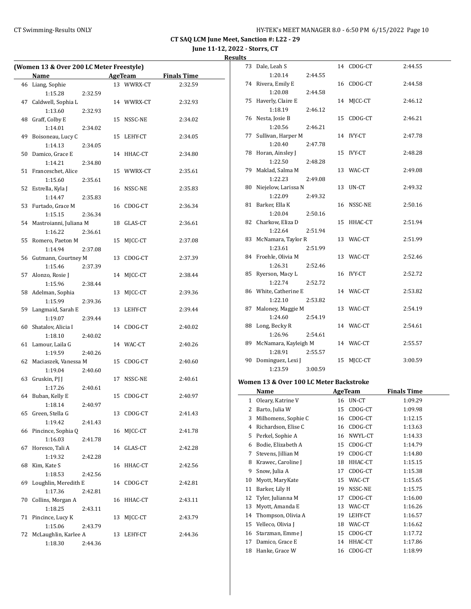**June 11-12, 2022 - Storrs, CT Results**

| (Women 13 & Over 200 LC Meter Freestyle) |                           |         |  |            |                    |  |  |
|------------------------------------------|---------------------------|---------|--|------------|--------------------|--|--|
|                                          | Name                      |         |  | AgeTeam    | <b>Finals Time</b> |  |  |
|                                          | 46 Liang, Sophie          |         |  | 13 WWRX-CT | 2:32.59            |  |  |
|                                          | 1:15.28                   | 2:32.59 |  |            |                    |  |  |
| 47                                       | Caldwell, Sophia L        |         |  | 14 WWRX-CT | 2:32.93            |  |  |
|                                          | 1:13.60                   | 2:32.93 |  |            |                    |  |  |
|                                          | 48 Graff, Colby E         |         |  | 15 NSSC-NE | 2:34.02            |  |  |
|                                          | 1:14.01                   | 2:34.02 |  |            |                    |  |  |
| 49                                       | Boisoneau, Lucy C         |         |  | 15 LEHY-CT | 2:34.05            |  |  |
|                                          | 1:14.13                   | 2:34.05 |  |            |                    |  |  |
| 50                                       | Damico, Grace E           |         |  | 14 HHAC-CT | 2:34.80            |  |  |
|                                          | 1:14.21                   | 2:34.80 |  |            |                    |  |  |
|                                          | 51 Franceschet, Alice     |         |  | 15 WWRX-CT | 2:35.61            |  |  |
|                                          | 1:15.60                   | 2:35.61 |  |            |                    |  |  |
|                                          | 52 Estrella, Kyla J       |         |  | 16 NSSC-NE | 2:35.83            |  |  |
|                                          | 1:14.47                   | 2:35.83 |  |            |                    |  |  |
|                                          | 53 Furtado, Grace M       |         |  | 16 CDOG-CT | 2:36.34            |  |  |
|                                          | 1:15.15                   | 2:36.34 |  |            |                    |  |  |
|                                          | 54 Mastroianni, Juliana M |         |  | 18 GLAS-CT | 2:36.61            |  |  |
|                                          | 1:16.22                   | 2:36.61 |  |            |                    |  |  |
|                                          | 55 Romero, Paeton M       |         |  | 15 MJCC-CT | 2:37.08            |  |  |
|                                          | 1:14.94                   | 2:37.08 |  |            |                    |  |  |
|                                          | 56 Gutmann, Courtney M    |         |  | 13 CDOG-CT | 2:37.39            |  |  |
|                                          | 1:15.46                   | 2:37.39 |  |            |                    |  |  |
|                                          | 57 Alonzo, Rosie J        |         |  | 14 MJCC-CT | 2:38.44            |  |  |
|                                          | 1:15.96                   | 2:38.44 |  |            |                    |  |  |
| 58                                       | Adelman, Sophia           |         |  | 13 MJCC-CT | 2:39.36            |  |  |
|                                          | 1:15.99                   | 2:39.36 |  |            |                    |  |  |
|                                          | 59 Langmaid, Sarah E      |         |  | 13 LEHY-CT | 2:39.44            |  |  |
|                                          | 1:19.07                   | 2:39.44 |  |            |                    |  |  |
|                                          | 60 Shatalov, Alicia I     |         |  | 14 CDOG-CT | 2:40.02            |  |  |
|                                          | 1:18.10                   | 2:40.02 |  |            |                    |  |  |
| 61                                       | Lamour, Laila G           |         |  | 14 WAC-CT  | 2:40.26            |  |  |
|                                          | 1:19.59                   | 2:40.26 |  |            |                    |  |  |
| 62                                       | Maciaszek, Vanessa M      |         |  | 15 CDOG-CT | 2:40.60            |  |  |
|                                          | 1:19.04                   | 2:40.60 |  |            |                    |  |  |
|                                          | 63 Gruskin, PJ J          |         |  | 17 NSSC-NE | 2:40.61            |  |  |
|                                          | 1:17.26                   | 2:40.61 |  |            |                    |  |  |
|                                          | 64 Buban, Kelly E         |         |  | 15 CDOG-CT | 2:40.97            |  |  |
|                                          | 1:18.14                   | 2:40.97 |  |            |                    |  |  |
| 65                                       | Green, Stella G           |         |  | 13 CDOG-CT | 2:41.43            |  |  |
|                                          | 1:19.42                   | 2:41.43 |  |            |                    |  |  |
| 66                                       | Pincince, Sophia Q        |         |  | 16 MJCC-CT | 2:41.78            |  |  |
|                                          | 1:16.03                   | 2:41.78 |  |            |                    |  |  |
| 67                                       | Horesco, Tali A           |         |  | 14 GLAS-CT | 2:42.28            |  |  |
|                                          | 1:19.32                   | 2:42.28 |  |            |                    |  |  |
| 68                                       | Kim, Kate S               |         |  | 16 HHAC-CT | 2:42.56            |  |  |
|                                          | 1:18.53                   | 2:42.56 |  |            |                    |  |  |
| 69                                       | Loughlin, Meredith E      |         |  | 14 CDOG-CT | 2:42.81            |  |  |
|                                          | 1:17.36                   | 2:42.81 |  |            |                    |  |  |
| 70                                       | Collins, Morgan A         |         |  | 16 HHAC-CT | 2:43.11            |  |  |
|                                          | 1:18.25                   | 2:43.11 |  |            |                    |  |  |
| 71                                       | Pincince, Lucy K          |         |  | 13 MJCC-CT | 2:43.79            |  |  |
|                                          | 1:15.06                   | 2:43.79 |  |            |                    |  |  |
| 72                                       | McLaughlin, Karlee A      |         |  | 13 LEHY-CT | 2:44.36            |  |  |
|                                          | 1:18.30                   | 2:44.36 |  |            |                    |  |  |
|                                          |                           |         |  |            |                    |  |  |

|    | 73 Dale, Leah S                 |         |    | 14 CDOG-CT | 2:44.55 |
|----|---------------------------------|---------|----|------------|---------|
|    | 1:20.14                         | 2:44.55 |    |            |         |
|    | 74 Rivera, Emily E              |         |    | 16 CDOG-CT | 2:44.58 |
|    | 1:20.08                         | 2:44.58 |    |            |         |
| 75 | Haverly, Claire E               |         |    | 14 MJCC-CT | 2:46.12 |
|    | 1:18.19                         | 2:46.12 |    |            |         |
| 76 | Nesta, Josie B                  |         | 15 | CDOG-CT    | 2:46.21 |
|    | 1:20.56                         | 2:46.21 |    |            |         |
| 77 | Sullivan, Harper M              |         |    | 14 IVY-CT  | 2:47.78 |
|    | 1:20.40                         | 2:47.78 |    |            |         |
|    | 78 Horan, Ainsley J             |         |    | 15 IVY-CT  | 2:48.28 |
|    | 1:22.50                         | 2:48.28 |    |            |         |
|    | 79 Maklad, Salma M              |         |    | 13 WAC-CT  | 2:49.08 |
|    | 1:22.23                         | 2:49.08 |    |            |         |
|    | 80 Niejelow, Larissa N          |         | 13 | UN-CT      | 2:49.32 |
|    | 1:22.09                         | 2:49.32 |    |            |         |
| 81 | Barker, Ella K                  |         |    | 16 NSSC-NE | 2:50.16 |
|    | 1:20.04                         | 2:50.16 |    |            |         |
|    | 82 Charkow, Eliza D             |         |    | 15 HHAC-CT | 2:51.94 |
|    | 1:22.64                         | 2:51.94 |    |            |         |
|    | 83 McNamara, Taylor R           |         |    | 13 WAC-CT  | 2:51.99 |
|    | 1:23.61                         | 2:51.99 |    |            |         |
|    | 84 Froehle, Olivia M            |         |    | 13 WAC-CT  | 2:52.46 |
|    | 1:26.31                         | 2:52.46 |    |            |         |
| 85 | Ryerson, Macy L                 |         |    | 16 IVY-CT  | 2:52.72 |
|    | 1:22.74                         | 2:52.72 |    |            |         |
|    | 86 White, Catherine E           |         |    | 14 WAC-CT  | 2:53.82 |
|    | 1:22.10                         | 2:53.82 |    |            |         |
| 87 | Maloney, Maggie M               |         |    | 13 WAC-CT  | 2:54.19 |
|    | 1:24.60                         | 2:54.19 |    |            |         |
| 88 | Long, Becky R                   |         |    | 14 WAC-CT  | 2:54.61 |
|    | 1:26.96                         | 2:54.61 |    |            |         |
|    | 89 McNamara, Kayleigh M         |         |    | 14 WAC-CT  | 2:55.57 |
|    | 1:28.91<br>90 Dominguez, Lexi J | 2:55.57 | 15 | MJCC-CT    | 3:00.59 |
|    | 1:23.59                         | 3:00.59 |    |            |         |
|    |                                 |         |    |            |         |

## **Women 13 & Over 100 LC Meter Backstroke**

|    | Name                |    | <b>AgeTeam</b> | Finals Time |
|----|---------------------|----|----------------|-------------|
| 1  | Oleary, Katrine V   | 16 | UN-CT          | 1:09.29     |
| 2  | Barto, Julia W      | 15 | CDOG-CT        | 1:09.98     |
| 3  | Milhomens, Sophie C | 16 | CDOG-CT        | 1:12.15     |
| 4  | Richardson, Elise C | 16 | CDOG-CT        | 1:13.63     |
| 5  | Perkel, Sophie A    | 16 | NWYL-CT        | 1:14.33     |
| 6  | Bodie, Elizabeth A  | 15 | CDOG-CT        | 1:14.79     |
| 7  | Stevens, Jillian M  | 19 | CDOG-CT        | 1:14.80     |
| 8  | Krawec, Caroline J  | 18 | HHAC-CT        | 1:15.15     |
| 9  | Snow, Julia A       | 17 | CDOG-CT        | 1:15.38     |
| 10 | Myott, MaryKate     | 15 | WAC-CT         | 1:15.65     |
| 11 | Barker, Lily H      | 19 | NSSC-NE        | 1:15.75     |
| 12 | Tyler, Julianna M   | 17 | CDOG-CT        | 1:16.00     |
| 13 | Myott, Amanda E     | 13 | WAC-CT         | 1:16.26     |
| 14 | Thompson, Olivia A  | 19 | LEHY-CT        | 1:16.57     |
| 15 | Velleco, Olivia J   | 18 | WAC-CT         | 1:16.62     |
| 16 | Starzman, Emme J    | 15 | CDOG-CT        | 1:17.72     |
| 17 | Damico, Grace E     | 14 | HHAC-CT        | 1:17.86     |
| 18 | Hanke, Grace W      | 16 | CDOG-CT        | 1:18.99     |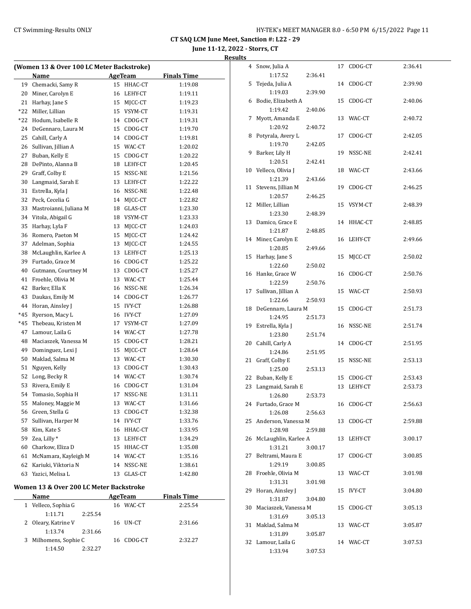**June 11-12, 2022 - Storrs, CT**

#### **Results**

| (Women 13 & Over 100 LC Meter Backstroke) |                                                                    |               |                                                                                                                                                                                                                                                                                                                                                                                                                                                                               |  |  |  |  |  |  |
|-------------------------------------------|--------------------------------------------------------------------|---------------|-------------------------------------------------------------------------------------------------------------------------------------------------------------------------------------------------------------------------------------------------------------------------------------------------------------------------------------------------------------------------------------------------------------------------------------------------------------------------------|--|--|--|--|--|--|
| Name                                      |                                                                    |               | <b>Finals Time</b>                                                                                                                                                                                                                                                                                                                                                                                                                                                            |  |  |  |  |  |  |
| Chemacki, Samy R                          |                                                                    | HHAC-CT       | 1:19.08                                                                                                                                                                                                                                                                                                                                                                                                                                                                       |  |  |  |  |  |  |
| Miner, Carolyn E                          |                                                                    |               | 1:19.11                                                                                                                                                                                                                                                                                                                                                                                                                                                                       |  |  |  |  |  |  |
| Harhay, Jane S                            |                                                                    |               | 1:19.23                                                                                                                                                                                                                                                                                                                                                                                                                                                                       |  |  |  |  |  |  |
| Miller, Lillian                           |                                                                    |               | 1:19.31                                                                                                                                                                                                                                                                                                                                                                                                                                                                       |  |  |  |  |  |  |
| Hodum, Isabelle R                         |                                                                    |               | 1:19.31                                                                                                                                                                                                                                                                                                                                                                                                                                                                       |  |  |  |  |  |  |
| DeGennaro, Laura M                        |                                                                    |               | 1:19.70                                                                                                                                                                                                                                                                                                                                                                                                                                                                       |  |  |  |  |  |  |
| Cahill, Carly A                           |                                                                    |               | 1:19.81                                                                                                                                                                                                                                                                                                                                                                                                                                                                       |  |  |  |  |  |  |
| Sullivan, Jillian A                       |                                                                    |               | 1:20.02                                                                                                                                                                                                                                                                                                                                                                                                                                                                       |  |  |  |  |  |  |
| Buban, Kelly E                            |                                                                    |               | 1:20.22                                                                                                                                                                                                                                                                                                                                                                                                                                                                       |  |  |  |  |  |  |
| DePinto, Alanna B                         |                                                                    |               | 1:20.45                                                                                                                                                                                                                                                                                                                                                                                                                                                                       |  |  |  |  |  |  |
| Graff, Colby E                            |                                                                    |               | 1:21.56                                                                                                                                                                                                                                                                                                                                                                                                                                                                       |  |  |  |  |  |  |
| Langmaid, Sarah E                         | 13                                                                 | LEHY-CT       | 1:22.22                                                                                                                                                                                                                                                                                                                                                                                                                                                                       |  |  |  |  |  |  |
| Estrella, Kyla J                          |                                                                    |               | 1:22.48                                                                                                                                                                                                                                                                                                                                                                                                                                                                       |  |  |  |  |  |  |
| Peck, Cecelia G                           |                                                                    | MJCC-CT       | 1:22.82                                                                                                                                                                                                                                                                                                                                                                                                                                                                       |  |  |  |  |  |  |
| Mastroianni, Juliana M                    |                                                                    | GLAS-CT       | 1:23.30                                                                                                                                                                                                                                                                                                                                                                                                                                                                       |  |  |  |  |  |  |
| Vitola, Abigail G                         |                                                                    |               | 1:23.33                                                                                                                                                                                                                                                                                                                                                                                                                                                                       |  |  |  |  |  |  |
| Harhay, Lyla F                            |                                                                    | MJCC-CT       | 1:24.03                                                                                                                                                                                                                                                                                                                                                                                                                                                                       |  |  |  |  |  |  |
| Romero, Paeton M                          |                                                                    | MICC-CT       | 1:24.42                                                                                                                                                                                                                                                                                                                                                                                                                                                                       |  |  |  |  |  |  |
| Adelman, Sophia                           |                                                                    | MJCC-CT       | 1:24.55                                                                                                                                                                                                                                                                                                                                                                                                                                                                       |  |  |  |  |  |  |
| McLaughlin, Karlee A                      |                                                                    |               | 1:25.13                                                                                                                                                                                                                                                                                                                                                                                                                                                                       |  |  |  |  |  |  |
| Furtado, Grace M                          |                                                                    |               | 1:25.22                                                                                                                                                                                                                                                                                                                                                                                                                                                                       |  |  |  |  |  |  |
| Gutmann, Courtney M                       |                                                                    |               | 1:25.27                                                                                                                                                                                                                                                                                                                                                                                                                                                                       |  |  |  |  |  |  |
| Froehle, Olivia M                         |                                                                    |               | 1:25.44                                                                                                                                                                                                                                                                                                                                                                                                                                                                       |  |  |  |  |  |  |
| Barker, Ella K                            |                                                                    | NSSC-NE       | 1:26.34                                                                                                                                                                                                                                                                                                                                                                                                                                                                       |  |  |  |  |  |  |
| Daukas, Emily M                           |                                                                    |               | 1:26.77                                                                                                                                                                                                                                                                                                                                                                                                                                                                       |  |  |  |  |  |  |
| Horan, Ainsley J                          |                                                                    |               | 1:26.88                                                                                                                                                                                                                                                                                                                                                                                                                                                                       |  |  |  |  |  |  |
| Ryerson, Macy L                           |                                                                    |               | 1:27.09                                                                                                                                                                                                                                                                                                                                                                                                                                                                       |  |  |  |  |  |  |
| Thebeau, Kristen M                        |                                                                    |               | 1:27.09                                                                                                                                                                                                                                                                                                                                                                                                                                                                       |  |  |  |  |  |  |
| Lamour, Laila G                           |                                                                    |               | 1:27.78                                                                                                                                                                                                                                                                                                                                                                                                                                                                       |  |  |  |  |  |  |
| Maciaszek, Vanessa M                      |                                                                    |               | 1:28.21                                                                                                                                                                                                                                                                                                                                                                                                                                                                       |  |  |  |  |  |  |
| Dominguez, Lexi J                         |                                                                    |               | 1:28.64                                                                                                                                                                                                                                                                                                                                                                                                                                                                       |  |  |  |  |  |  |
| Maklad, Salma M                           |                                                                    |               | 1:30.30                                                                                                                                                                                                                                                                                                                                                                                                                                                                       |  |  |  |  |  |  |
| Nguyen, Kelly                             |                                                                    |               | 1:30.43                                                                                                                                                                                                                                                                                                                                                                                                                                                                       |  |  |  |  |  |  |
| Long, Becky R                             |                                                                    |               | 1:30.74                                                                                                                                                                                                                                                                                                                                                                                                                                                                       |  |  |  |  |  |  |
| Rivera, Emily E                           |                                                                    |               | 1:31.04                                                                                                                                                                                                                                                                                                                                                                                                                                                                       |  |  |  |  |  |  |
|                                           | 17                                                                 | NSSC-NE       | 1:31.11                                                                                                                                                                                                                                                                                                                                                                                                                                                                       |  |  |  |  |  |  |
| Maloney, Maggie M                         |                                                                    |               | 1:31.66                                                                                                                                                                                                                                                                                                                                                                                                                                                                       |  |  |  |  |  |  |
|                                           |                                                                    |               | 1:32.38                                                                                                                                                                                                                                                                                                                                                                                                                                                                       |  |  |  |  |  |  |
| Sullivan, Harper M                        | 14                                                                 | <b>IVY-CT</b> | 1:33.76                                                                                                                                                                                                                                                                                                                                                                                                                                                                       |  |  |  |  |  |  |
|                                           | 16                                                                 | HHAC-CT       | 1:33.95                                                                                                                                                                                                                                                                                                                                                                                                                                                                       |  |  |  |  |  |  |
|                                           | 13                                                                 | LEHY-CT       | 1:34.29                                                                                                                                                                                                                                                                                                                                                                                                                                                                       |  |  |  |  |  |  |
| Charkow, Eliza D                          | 15                                                                 | HHAC-CT       | 1:35.08                                                                                                                                                                                                                                                                                                                                                                                                                                                                       |  |  |  |  |  |  |
| McNamara, Kayleigh M                      | 14                                                                 |               | 1:35.16                                                                                                                                                                                                                                                                                                                                                                                                                                                                       |  |  |  |  |  |  |
| Kariuki, Viktoria N                       | 14                                                                 | NSSC-NE       | 1:38.61                                                                                                                                                                                                                                                                                                                                                                                                                                                                       |  |  |  |  |  |  |
| Yazici, Melisa L                          | 13                                                                 | GLAS-CT       | 1:42.80                                                                                                                                                                                                                                                                                                                                                                                                                                                                       |  |  |  |  |  |  |
|                                           | Tomasio, Sophia H<br>Green, Stella G<br>Kim, Kate S<br>Zea, Lilly* | 13            | <b>AgeTeam</b><br>15<br>16 LEHY-CT<br>15 MJCC-CT<br>15 VSYM-CT<br>14 CDOG-CT<br>15 CDOG-CT<br>14 CDOG-CT<br>15 WAC-CT<br>15 CDOG-CT<br>18 LEHY-CT<br>15 NSSC-NE<br>16 NSSC-NE<br>14<br>18<br>18 VSYM-CT<br>13<br>15<br>13<br>13 LEHY-CT<br>16 CDOG-CT<br>13 CDOG-CT<br>13 WAC-CT<br>16<br>14 CDOG-CT<br>15 IVY-CT<br>16 IVY-CT<br>17 VSYM-CT<br>14 WAC-CT<br>15 CDOG-CT<br>15 MJCC-CT<br>13 WAC-CT<br>13 CDOG-CT<br>14 WAC-CT<br>16 CDOG-CT<br>13 WAC-CT<br>CDOG-CT<br>WAC-CT |  |  |  |  |  |  |

#### **Women 13 & Over 200 LC Meter Backstroke**

|  | Name                  |         |     | AgeTeam    | <b>Finals Time</b> |  |
|--|-----------------------|---------|-----|------------|--------------------|--|
|  | 1 Velleco, Sophia G   |         | 16. | WAC-CT     | 2:25.54            |  |
|  | 1:11.71               | 2:25.54 |     |            |                    |  |
|  | 2 Oleary, Katrine V   |         |     | 16 UN-CT   | 2:31.66            |  |
|  | 1:13.74               | 2:31.66 |     |            |                    |  |
|  | 3 Milhomens, Sophie C |         |     | 16 CDOG-CT | 2:32.27            |  |
|  | 1:14.50               | 2.32.27 |     |            |                    |  |

| 4  | Snow, Julia A                |         | 17 | CDOG-CT | 2:36.41 |
|----|------------------------------|---------|----|---------|---------|
|    | 1:17.52                      | 2:36.41 |    |         |         |
| 5  | Tejeda, Julia A              |         | 14 | CDOG-CT | 2:39.90 |
|    | 1:19.03                      | 2:39.90 |    |         |         |
| 6  | Bodie, Elizabeth A           |         | 15 | CDOG-CT | 2:40.06 |
|    | 1:19.42                      | 2:40.06 |    |         |         |
| 7  | Myott, Amanda E              |         | 13 | WAC-CT  | 2:40.72 |
|    | 1:20.92                      | 2:40.72 |    |         |         |
| 8  | Potyrala, Avery L            |         | 17 | CDOG-CT | 2:42.05 |
|    | 1:19.70                      | 2:42.05 |    |         |         |
| 9  | Barker, Lily H               |         | 19 | NSSC-NE | 2:42.41 |
|    | 1:20.51                      | 2:42.41 |    |         |         |
| 10 | Velleco, Olivia J            |         | 18 | WAC-CT  | 2:43.66 |
|    | 1:21.39                      | 2:43.66 |    |         |         |
| 11 | Stevens, Jillian M           |         | 19 | CDOG-CT | 2:46.25 |
|    | 1:20.57                      | 2:46.25 |    |         |         |
| 12 | Miller, Lillian              |         | 15 | VSYM-CT | 2:48.39 |
|    | 1:23.30                      | 2:48.39 |    |         |         |
| 13 | Damico, Grace E              |         | 14 | HHAC-CT | 2:48.85 |
|    | 1:21.87                      | 2:48.85 |    |         |         |
| 14 | Miner, Carolyn E             |         | 16 | LEHY-CT | 2:49.66 |
|    | 1:20.85                      | 2:49.66 |    |         |         |
| 15 | Harhay, Jane S               |         | 15 | MICC-CT | 2:50.02 |
|    |                              |         |    |         |         |
|    | 1:22.60<br>16 Hanke, Grace W | 2:50.02 |    |         |         |
|    |                              |         | 16 | CDOG-CT | 2:50.76 |
|    | 1:22.59                      | 2:50.76 |    |         |         |
| 17 | Sullivan, Jillian A          |         | 15 | WAC-CT  | 2:50.93 |
|    | 1:22.66                      | 2:50.93 |    |         |         |
| 18 | DeGennaro, Laura M           |         | 15 | CDOG-CT | 2:51.73 |
|    | 1:24.95                      | 2:51.73 |    |         |         |
| 19 | Estrella, Kyla J             |         | 16 | NSSC-NE | 2:51.74 |
|    | 1:23.80                      | 2:51.74 |    |         |         |
|    | 20 Cahill, Carly A           |         | 14 | CDOG-CT | 2:51.95 |
|    | 1:24.86                      | 2:51.95 |    |         |         |
| 21 | Graff, Colby E               |         | 15 | NSSC-NE | 2:53.13 |
|    | 1:25.00                      | 2:53.13 |    |         |         |
| 22 | Buban, Kelly E               |         | 15 | CDOG-CT | 2:53.43 |
| 23 | Langmaid, Sarah E            |         | 13 | LEHY-CT | 2:53.73 |
|    | 1:26.80                      | 2:53.73 |    |         |         |
| 24 | Furtado, Grace M             |         | 16 | CDOG-CT | 2:56.63 |
|    | 1:26.08                      | 2:56.63 |    |         |         |
| 25 | Anderson, Vanessa M          |         | 13 | CDOG-CT | 2:59.88 |
|    | 1:28.98                      | 2:59.88 |    |         |         |
| 26 | McLaughlin, Karlee A         |         | 13 | LEHY-CT | 3:00.17 |
|    | 1:31.21                      | 3:00.17 |    |         |         |
| 27 | Beltrami, Maura E            |         | 17 | CDOG-CT | 3:00.85 |
|    | 1:29.19                      | 3:00.85 |    |         |         |
| 28 | Froehle, Olivia M            |         | 13 | WAC-CT  | 3:01.98 |
|    | 1:31.31                      | 3:01.98 |    |         |         |
| 29 | Horan, Ainsley J             |         | 15 | IVY-CT  | 3:04.80 |
|    | 1:31.87                      | 3:04.80 |    |         |         |
| 30 | Maciaszek, Vanessa M         |         | 15 | CDOG-CT | 3:05.13 |
|    | 1:31.69                      | 3:05.13 |    |         |         |
| 31 | Maklad, Salma M              |         | 13 | WAC-CT  | 3:05.87 |
|    | 1:31.89                      | 3:05.87 |    |         |         |
| 32 | Lamour, Laila G              |         | 14 | WAC-CT  | 3:07.53 |
|    | 1:33.94                      | 3:07.53 |    |         |         |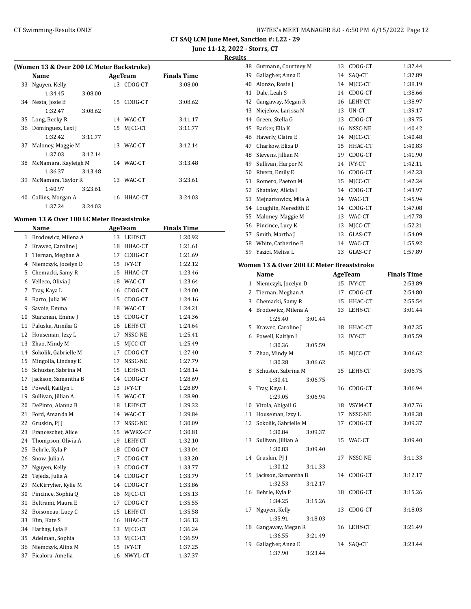**CT SAQ LCM June Meet, Sanction #: L22 - 29 June 11-12, 2022 - Storrs, CT**

**Results**

|    | Name                    |         |    | AgeTeam    | <b>Finals Time</b> |
|----|-------------------------|---------|----|------------|--------------------|
| 33 | Nguyen, Kelly           |         |    | 13 CDOG-CT | 3:08.00            |
|    | 1:34.45                 | 3:08.00 |    |            |                    |
| 34 | Nesta, Josie B          |         | 15 | CDOG-CT    | 3:08.62            |
|    | 1:32.47                 | 3:08.62 |    |            |                    |
| 35 | Long, Becky R           |         |    | 14 WAC-CT  | 3:11.17            |
| 36 | Dominguez, Lexi J       |         | 15 | MICC-CT    | 3:11.77            |
|    | 1:32.42                 | 3:11.77 |    |            |                    |
| 37 | Maloney, Maggie M       |         |    | 13 WAC-CT  | 3:12.14            |
|    | 1:37.03                 | 3:12.14 |    |            |                    |
|    | 38 McNamara, Kayleigh M |         |    | 14 WAC-CT  | 3:13.48            |
|    | 1:36.37                 | 3:13.48 |    |            |                    |
| 39 | McNamara, Taylor R      |         | 13 | WAC-CT     | 3:23.61            |
|    | 1:40.97                 | 3:23.61 |    |            |                    |
| 40 | Collins, Morgan A       |         | 16 | HHAC-CT    | 3:24.03            |
|    | 1:37.24                 | 3:24.03 |    |            |                    |

#### **Women 13 & Over 100 LC Meter Breaststroke**

|              | Name                 |    | <b>AgeTeam</b> | <b>Finals Time</b> |  |
|--------------|----------------------|----|----------------|--------------------|--|
| $\mathbf{1}$ | Brodowicz, Milena A  |    | 13 LEHY-CT     | 1:20.92            |  |
| 2            | Krawec, Caroline J   | 18 | HHAC-CT        | 1:21.61            |  |
| 3            | Tiernan, Meghan A    | 17 | CDOG-CT        | 1:21.69            |  |
| 4            | Niemczyk, Jocelyn D  | 15 | <b>IVY-CT</b>  | 1:22.12            |  |
| 5            | Chemacki, Samy R     | 15 | HHAC-CT        | 1:23.46            |  |
| 6            | Velleco, Olivia J    | 18 | WAC-CT         | 1:23.64            |  |
| 7            | Tray, Kaya L         | 16 | CDOG-CT        | 1:24.00            |  |
| 8            | Barto, Julia W       | 15 | CDOG-CT        | 1:24.16            |  |
| 9            | Savoie, Emma         | 18 | WAC-CT         | 1:24.21            |  |
| 10           | Starzman, Emme J     | 15 | CDOG-CT        | 1:24.36            |  |
| 11           | Paluska, Annika G    | 16 | LEHY-CT        | 1:24.64            |  |
| 12           | Houseman, Izzy L     | 17 | NSSC-NE        | 1:25.41            |  |
| 13           | Zhao, Mindy M        | 15 | MJCC-CT        | 1:25.49            |  |
| 14           | Sokolik, Gabrielle M | 17 | CDOG-CT        | 1:27.40            |  |
| 15           | Mingolla, Lindsay E  | 17 | NSSC-NE        | 1:27.79            |  |
| 16           | Schuster, Sabrina M  | 15 | LEHY-CT        | 1:28.14            |  |
| 17           | Jackson, Samantha B  | 14 | CDOG-CT        | 1:28.69            |  |
| 18           | Powell, Kaitlyn I    | 13 | <b>IVY-CT</b>  | 1:28.89            |  |
| 19           | Sullivan, Jillian A  | 15 | WAC-CT         | 1:28.90            |  |
| 20           | DePinto, Alanna B    | 18 | LEHY-CT        | 1:29.32            |  |
| 21           | Ford, Amanda M       |    | 14 WAC-CT      | 1:29.84            |  |
| 22           | Gruskin, PJ J        | 17 | NSSC-NE        | 1:30.09            |  |
| 23           | Franceschet, Alice   | 15 | WWRX-CT        | 1:30.81            |  |
| 24           | Thompson, Olivia A   | 19 | LEHY-CT        | 1:32.10            |  |
| 25           | Behrle, Kyla P       | 18 | CDOG-CT        | 1:33.04            |  |
| 26           | Snow, Julia A        | 17 | CDOG-CT        | 1:33.20            |  |
| 27           | Nguyen, Kelly        | 13 | CDOG-CT        | 1:33.77            |  |
| 28           | Tejeda, Julia A      | 14 | CDOG-CT        | 1:33.79            |  |
| 29           | McKirryher, Kylie M  | 14 | CDOG-CT        | 1:33.86            |  |
| 30           | Pincince, Sophia Q   | 16 | MJCC-CT        | 1:35.13            |  |
| 31           | Beltrami, Maura E    | 17 | CDOG-CT        | 1:35.55            |  |
| 32           | Boisoneau, Lucy C    | 15 | LEHY-CT        | 1:35.58            |  |
| 33           | Kim, Kate S          | 16 | HHAC-CT        | 1:36.13            |  |
| 34           | Harhay, Lyla F       | 13 | MICC-CT        | 1:36.24            |  |
| 35           | Adelman, Sophia      | 13 | MJCC-CT        | 1:36.59            |  |
| 36           | Niemczyk, Alina M    | 15 | <b>IVY-CT</b>  | 1:37.25            |  |
| 37           | Ficalora, Amelia     | 16 | NWYL-CT        | 1:37.37            |  |
|              |                      |    |                |                    |  |

| 38 | Gutmann, Courtney M                       | 13 | CDOG-CT       | 1:37.44            |
|----|-------------------------------------------|----|---------------|--------------------|
| 39 | Gallagher, Anna E                         | 14 | SAQ-CT        | 1:37.89            |
| 40 | Alonzo, Rosie J                           | 14 | MJCC-CT       | 1:38.19            |
| 41 | Dale, Leah S                              | 14 | CDOG-CT       | 1:38.66            |
|    | 42 Gangaway, Megan R                      | 16 | LEHY-CT       | 1:38.97            |
| 43 | Niejelow, Larissa N                       | 13 | UN-CT         | 1:39.17            |
|    | 44 Green, Stella G                        | 13 | CDOG-CT       | 1:39.75            |
| 45 | Barker, Ella K                            | 16 | NSSC-NE       | 1:40.42            |
| 46 | Haverly, Claire E                         | 14 | MJCC-CT       | 1:40.48            |
|    | 47 Charkow, Eliza D                       | 15 | HHAC-CT       | 1:40.83            |
|    | 48 Stevens, Jillian M                     |    | 19 CDOG-CT    | 1:41.90            |
| 49 | Sullivan, Harper M                        | 14 | IVY-CT        | 1:42.11            |
| 50 | Rivera, Emily E                           | 16 | CDOG-CT       | 1:42.23            |
| 51 | Romero, Paeton M                          | 15 | MJCC-CT       | 1:42.24            |
| 52 | Shatalov, Alicia I                        | 14 | CDOG-CT       | 1:43.97            |
| 53 | Mejnartowicz, Mila A                      |    | 14 WAC-CT     | 1:45.94            |
|    | 54 Loughlin, Meredith E                   | 14 | CDOG-CT       | 1:47.08            |
| 55 | Maloney, Maggie M                         | 13 | WAC-CT        | 1:47.78            |
|    | 56 Pincince, Lucy K                       | 13 | MJCC-CT       | 1:52.21            |
| 57 | Smith, Martha J                           | 13 | GLAS-CT       | 1:54.09            |
| 58 | White, Catherine E                        | 14 | WAC-CT        | 1:55.92            |
| 59 | Yazici, Melisa L                          | 13 | GLAS-CT       | 1:57.89            |
|    | Women 13 & Over 200 LC Meter Breaststroke |    |               |                    |
|    | Name                                      |    | AgeTeam       | <b>Finals Time</b> |
|    | 1 Niemczyk, Jocelyn D                     |    | 15 IVY-CT     | 2:53.89            |
|    | 2 Tiernan, Meghan A                       | 17 | CDOG-CT       | 2:54.80            |
|    | 3 Chemacki, Samy R                        | 15 | HHAC-CT       | 2:55.54            |
|    | 4 Brodowicz, Milena A                     | 13 | LEHY-CT       | 3:01.44            |
|    | 1:25.40<br>3:01.44                        |    |               |                    |
| 5  | Krawec, Caroline J                        | 18 | HHAC-CT       | 3:02.35            |
| 6  | Powell, Kaitlyn I                         | 13 | <b>IVY-CT</b> | 3:05.59            |
|    | 1:30.36<br>3:05.59                        |    |               |                    |
| 7  | Zhao, Mindy M                             | 15 | MJCC-CT       | 3:06.62            |
|    | 1:30.28<br>3:06.62                        |    |               |                    |
| 8  | Schuster, Sabrina M                       | 15 | LEHY-CT       | 3:06.75            |
|    | 1:30.41<br>3:06.75                        |    |               |                    |
| 9  | Tray, Kaya L                              | 16 | CDOG-CT       | 3:06.94            |
|    | 1:29.05<br>3:06.94                        |    |               |                    |
| 10 | Vitola, Abigail G                         | 18 | VSYM-CT       | 3:07.76            |
|    | 11 Houseman, Izzy L                       | 17 | NSSC-NE       | 3:08.38            |
| 12 | Sokolik, Gabrielle M                      | 17 | CDOG-CT       | 3:09.37            |
|    | 1:30.84<br>3:09.37                        |    |               |                    |
| 13 | Sullivan, Jillian A                       | 15 | WAC-CT        | 3:09.40            |
|    | 1:30.83<br>3:09.40                        |    |               |                    |
|    | 14 Gruskin, PJ J                          | 17 | NSSC-NE       | 3:11.33            |
|    | 1:30.12<br>3:11.33                        |    |               |                    |
| 15 | Jackson, Samantha B                       |    | 14 CDOG-CT    | 3:12.17            |
|    | 1:32.53<br>3:12.17                        |    |               |                    |
| 16 | Behrle, Kyla P                            | 18 | CDOG-CT       | 3:15.26            |
|    | 1:34.25<br>3:15.26                        |    |               |                    |
| 17 | Nguyen, Kelly                             | 13 | CDOG-CT       | 3:18.03            |
|    | 1:35.91<br>3:18.03                        |    |               |                    |
| 18 | Gangaway, Megan R                         | 16 | LEHY-CT       | 3:21.49            |
|    | 1:36.55<br>3:21.49                        |    |               |                    |
|    |                                           |    |               |                    |
| 19 | Gallagher, Anna E<br>1:37.90<br>3:23.44   |    | 14 SAQ-CT     | 3:23.44            |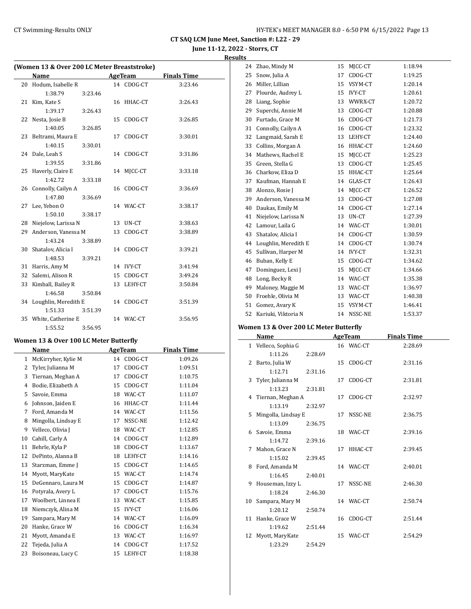**CT SAQ LCM June Meet, Sanction #: L22 - 29 June 11-12, 2022 - Storrs, CT**

# **Results**

 $\overline{\phantom{0}}$ 

| (Women 13 & Over 200 LC Meter Breaststroke) |                      |         |    |            |                    |  |  |  |
|---------------------------------------------|----------------------|---------|----|------------|--------------------|--|--|--|
|                                             | Name                 |         |    | AgeTeam    | <b>Finals Time</b> |  |  |  |
| 20                                          | Hodum, Isabelle R    |         |    | 14 CDOG-CT | 3:23.46            |  |  |  |
|                                             | 1:38.79              | 3:23.46 |    |            |                    |  |  |  |
| 21                                          | Kim, Kate S          |         | 16 | HHAC-CT    | 3:26.43            |  |  |  |
|                                             | 1:39.17              | 3:26.43 |    |            |                    |  |  |  |
| 22                                          | Nesta, Josie B       |         | 15 | CDOG-CT    | 3:26.85            |  |  |  |
|                                             | 1:40.05              | 3:26.85 |    |            |                    |  |  |  |
| 23                                          | Beltrami, Maura E    |         | 17 | CDOG-CT    | 3:30.01            |  |  |  |
|                                             | 1:40.15              | 3:30.01 |    |            |                    |  |  |  |
| 24                                          | Dale, Leah S         |         | 14 | CDOG-CT    | 3:31.86            |  |  |  |
|                                             | 1:39.55              | 3:31.86 |    |            |                    |  |  |  |
| 25                                          | Haverly, Claire E    |         |    | 14 MJCC-CT | 3:33.18            |  |  |  |
|                                             | 1:42.72              | 3:33.18 |    |            |                    |  |  |  |
| 26                                          | Connolly, Cailyn A   |         |    | 16 CDOG-CT | 3:36.69            |  |  |  |
|                                             | 1:47.80              | 3:36.69 |    |            |                    |  |  |  |
| 27                                          | Lee, Yebon O         |         |    | 14 WAC-CT  | 3:38.17            |  |  |  |
|                                             | 1:50.10              | 3:38.17 |    |            |                    |  |  |  |
| 28                                          | Niejelow, Larissa N  |         | 13 | UN-CT      | 3:38.63            |  |  |  |
| 29                                          | Anderson. Vanessa M  |         | 13 | CDOG-CT    | 3:38.89            |  |  |  |
|                                             | 1:43.24              | 3:38.89 |    |            |                    |  |  |  |
| 30                                          | Shatalov, Alicia I   |         | 14 | CDOG-CT    | 3:39.21            |  |  |  |
|                                             | 1:48.53              | 3:39.21 |    |            |                    |  |  |  |
| 31                                          | Harris, Amy M        |         |    | 14 IVY-CT  | 3:41.94            |  |  |  |
| 32                                          | Salemi, Alison R     |         | 15 | CDOG-CT    | 3:49.24            |  |  |  |
| 33                                          | Kimball, Bailey R    |         | 13 | LEHY-CT    | 3:50.84            |  |  |  |
|                                             | 1:46.58              | 3:50.84 |    |            |                    |  |  |  |
| 34                                          | Loughlin, Meredith E |         |    | 14 CDOG-CT | 3:51.39            |  |  |  |
|                                             | 1:51.33              | 3:51.39 |    |            |                    |  |  |  |
| 35                                          | White, Catherine E   |         |    | 14 WAC-CT  | 3:56.95            |  |  |  |
|                                             | 1:55.52              | 3:56.95 |    |            |                    |  |  |  |

#### **Women 13 & Over 100 LC Meter Butterfly**

|    | Name                | <b>AgeTeam</b> |               | <b>Finals Time</b> |  |
|----|---------------------|----------------|---------------|--------------------|--|
| 1  | McKirryher, Kylie M | 14             | CDOG-CT       | 1:09.26            |  |
| 2  | Tyler, Julianna M   | 17             | CDOG-CT       | 1:09.51            |  |
| 3  | Tiernan, Meghan A   | 17             | CDOG-CT       | 1:10.75            |  |
| 4  | Bodie, Elizabeth A  | 15             | CDOG-CT       | 1:11.04            |  |
| 5  | Savoie, Emma        | 18             | WAC-CT        | 1:11.07            |  |
| 6  | Johnson, Jaiden E   | 16             | HHAC-CT       | 1:11.44            |  |
| 7  | Ford, Amanda M      | 14             | WAC-CT        | 1:11.56            |  |
| 8  | Mingolla, Lindsay E | 17             | NSSC-NE       | 1:12.42            |  |
| 9  | Velleco, Olivia J   | 18             | WAC-CT        | 1:12.85            |  |
| 10 | Cahill, Carly A     | 14             | CDOG-CT       | 1:12.89            |  |
| 11 | Behrle, Kyla P      | 18             | CDOG-CT       | 1:13.67            |  |
| 12 | DePinto, Alanna B   | 18             | LEHY-CT       | 1:14.16            |  |
| 13 | Starzman, Emme J    | 15             | CDOG-CT       | 1:14.65            |  |
| 14 | Myott, MaryKate     | 15             | WAC-CT        | 1:14.74            |  |
| 15 | DeGennaro, Laura M  | 15             | CDOG-CT       | 1:14.87            |  |
| 16 | Potyrala, Avery L   | 17             | CDOG-CT       | 1:15.76            |  |
| 17 | Woolbert, Linnea E  | 13             | WAC-CT        | 1:15.85            |  |
| 18 | Niemczyk, Alina M   | 15             | <b>IVY-CT</b> | 1:16.06            |  |
| 19 | Sampara, Mary M     | 14             | WAC-CT        | 1:16.09            |  |
| 20 | Hanke, Grace W      | 16             | CDOG-CT       | 1:16.34            |  |
| 21 | Myott, Amanda E     | 13             | WAC-CT        | 1:16.97            |  |
| 22 | Tejeda, Julia A     | 14             | CDOG-CT       | 1:17.52            |  |
| 23 | Boisoneau, Lucy C   | 15             | LEHY-CT       | 1:18.38            |  |

| 24 | Zhao, Mindy M        | 15 | MJCC-CT       | 1:18.94 |
|----|----------------------|----|---------------|---------|
| 25 | Snow, Julia A        | 17 | CDOG-CT       | 1:19.25 |
| 26 | Miller, Lillian      | 15 | VSYM-CT       | 1:20.14 |
| 27 | Plourde, Audrey L    | 15 | IVY-CT        | 1:20.61 |
| 28 | Liang, Sophie        | 13 | WWRX-CT       | 1:20.72 |
| 29 | Superchi, Annie M    | 13 | CDOG-CT       | 1:20.88 |
| 30 | Furtado, Grace M     | 16 | CDOG-CT       | 1:21.73 |
| 31 | Connolly, Cailyn A   | 16 | CDOG-CT       | 1:23.32 |
| 32 | Langmaid, Sarah E    | 13 | LEHY-CT       | 1:24.40 |
| 33 | Collins, Morgan A    | 16 | HHAC-CT       | 1:24.60 |
| 34 | Mathews, Rachel E    | 15 | MJCC-CT       | 1:25.23 |
| 35 | Green, Stella G      | 13 | CDOG-CT       | 1:25.45 |
| 36 | Charkow, Eliza D     | 15 | HHAC-CT       | 1:25.64 |
| 37 | Kaufman, Hannah E    | 14 | GLAS-CT       | 1:26.43 |
| 38 | Alonzo, Rosie J      | 14 | MJCC-CT       | 1:26.52 |
| 39 | Anderson, Vanessa M  | 13 | CDOG-CT       | 1:27.08 |
| 40 | Daukas, Emily M      | 14 | CDOG-CT       | 1:27.14 |
| 41 | Niejelow, Larissa N  | 13 | UN-CT         | 1:27.39 |
| 42 | Lamour, Laila G      | 14 | WAC-CT        | 1:30.01 |
| 43 | Shatalov, Alicia I   | 14 | CDOG-CT       | 1:30.59 |
| 44 | Loughlin, Meredith E | 14 | CDOG-CT       | 1:30.74 |
| 45 | Sullivan, Harper M   | 14 | <b>IVY-CT</b> | 1:32.31 |
| 46 | Buban, Kelly E       | 15 | CDOG-CT       | 1:34.62 |
| 47 | Dominguez, Lexi J    | 15 | MICC-CT       | 1:34.66 |
| 48 | Long, Becky R        | 14 | WAC-CT        | 1:35.38 |
| 49 | Maloney, Maggie M    | 13 | WAC-CT        | 1:36.97 |
| 50 | Froehle, Olivia M    | 13 | WAC-CT        | 1:40.38 |
| 51 | Gomez, Avary K       | 15 | VSYM-CT       | 1:46.41 |
| 52 | Kariuki, Viktoria N  | 14 | NSSC-NE       | 1:53.37 |

#### **Women 13 & Over 200 LC Meter Butterfly**

|                | Name                |         | <b>AgeTeam</b> |            | <b>Finals Time</b> |
|----------------|---------------------|---------|----------------|------------|--------------------|
|                | 1 Velleco, Sophia G |         |                | 16 WAC-CT  | 2:28.69            |
|                | 1:11.26             | 2:28.69 |                |            |                    |
| 2              | Barto, Julia W      |         |                | 15 CDOG-CT | 2:31.16            |
|                | 1:12.71             | 2:31.16 |                |            |                    |
| 3              | Tyler, Julianna M   |         |                | 17 CDOG-CT | 2:31.81            |
|                | 1:13.23             | 2:31.81 |                |            |                    |
| $\overline{4}$ | Tiernan, Meghan A   |         |                | 17 CDOG-CT | 2:32.97            |
|                | 1:13.19             | 2:32.97 |                |            |                    |
| 5              | Mingolla, Lindsay E |         |                | 17 NSSC-NE | 2:36.75            |
|                | 1:13.09             | 2:36.75 |                |            |                    |
| 6              | Savoie, Emma        |         |                | 18 WAC-CT  | 2:39.16            |
|                | 1:14.72             | 2:39.16 |                |            |                    |
| 7              | Mahon, Grace N      |         |                | 17 HHAC-CT | 2:39.45            |
|                | 1:15.02             | 2:39.45 |                |            |                    |
| 8              | Ford, Amanda M      |         |                | 14 WAC-CT  | 2:40.01            |
|                | 1:16.45             | 2:40.01 |                |            |                    |
| 9              | Houseman, Izzy L    |         |                | 17 NSSC-NE | 2:46.30            |
|                | 1:18.24             | 2:46.30 |                |            |                    |
| 10             | Sampara, Mary M     |         |                | 14 WAC-CT  | 2:50.74            |
|                | 1:20.12             | 2:50.74 |                |            |                    |
| 11             | Hanke, Grace W      |         |                | 16 CDOG-CT | 2:51.44            |
|                | 1:19.62             | 2:51.44 |                |            |                    |
| 12             | Myott, MaryKate     |         |                | 15 WAC-CT  | 2:54.29            |
|                | 1:23.29             | 2:54.29 |                |            |                    |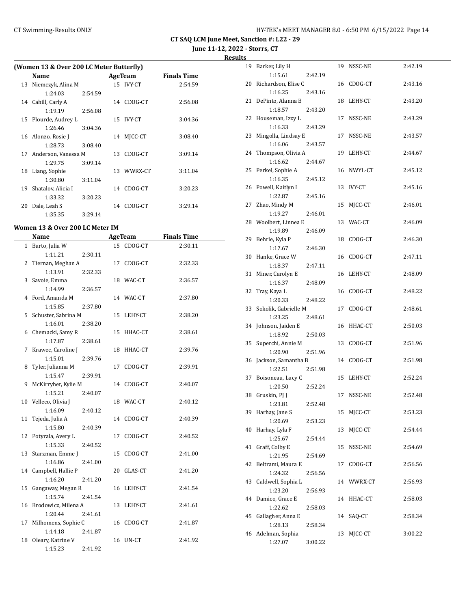**June 11-12, 2022 - Storrs, CT**

**Results**

| (Women 13 & Over 200 LC Meter Butterfly) |                     |         |    |               |                    |  |  |  |  |
|------------------------------------------|---------------------|---------|----|---------------|--------------------|--|--|--|--|
|                                          | Name                |         |    | AgeTeam       | <b>Finals Time</b> |  |  |  |  |
| 13                                       | Niemczyk, Alina M   |         |    | 15 IVY-CT     | 2:54.59            |  |  |  |  |
|                                          | 1:24.03             | 2:54.59 |    |               |                    |  |  |  |  |
| 14                                       | Cahill, Carly A     |         | 14 | CDOG-CT       | 2:56.08            |  |  |  |  |
|                                          | 1:19.19             | 2:56.08 |    |               |                    |  |  |  |  |
| 15                                       | Plourde, Audrey L   |         | 15 | <b>IVY-CT</b> | 3:04.36            |  |  |  |  |
|                                          | 1:26.46             | 3:04.36 |    |               |                    |  |  |  |  |
| 16                                       | Alonzo, Rosie J     |         | 14 | MICC-CT       | 3:08.40            |  |  |  |  |
|                                          | 1:28.73             | 3:08.40 |    |               |                    |  |  |  |  |
| 17                                       | Anderson, Vanessa M |         | 13 | CDOG-CT       | 3:09.14            |  |  |  |  |
|                                          | 1:29.75             | 3:09.14 |    |               |                    |  |  |  |  |
| 18                                       | Liang, Sophie       |         | 13 | WWRX-CT       | 3:11.04            |  |  |  |  |
|                                          | 1:30.80             | 3:11.04 |    |               |                    |  |  |  |  |
| 19                                       | Shatalov, Alicia I  |         | 14 | CDOG-CT       | 3:20.23            |  |  |  |  |
|                                          | 1:33.32             | 3:20.23 |    |               |                    |  |  |  |  |
| 20                                       | Dale, Leah S        |         | 14 | CDOG-CT       | 3:29.14            |  |  |  |  |
|                                          | 1:35.35             | 3:29.14 |    |               |                    |  |  |  |  |

#### **Women 13 & Over 200 LC Meter IM**

|              | <b>Name</b>           |         | <b>AgeTeam</b> |            | <b>Finals Time</b> |  |
|--------------|-----------------------|---------|----------------|------------|--------------------|--|
| $\mathbf{1}$ | Barto, Julia W        |         | 15             | CDOG-CT    | 2:30.11            |  |
|              | 1:11.21               | 2:30.11 |                |            |                    |  |
| 2            | Tiernan, Meghan A     |         | 17             | CDOG-CT    | 2:32.33            |  |
|              | 1:13.91               | 2:32.33 |                |            |                    |  |
| 3            | Savoie, Emma          |         |                | 18 WAC-CT  | 2:36.57            |  |
|              | 1:14.99               | 2:36.57 |                |            |                    |  |
| 4            | Ford, Amanda M        |         |                | 14 WAC-CT  | 2:37.80            |  |
|              | 1:15.85               | 2:37.80 |                |            |                    |  |
| 5.           | Schuster, Sabrina M   |         | 15             | LEHY-CT    | 2:38.20            |  |
|              | 1:16.01               | 2:38.20 |                |            |                    |  |
| 6            | Chemacki, Samy R      |         | 15             | HHAC-CT    | 2:38.61            |  |
|              | 1:17.87               | 2:38.61 |                |            |                    |  |
| 7            | Krawec, Caroline J    |         | 18             | HHAC-CT    | 2:39.76            |  |
|              | 1:15.01               | 2:39.76 |                |            |                    |  |
| 8            | Tyler, Julianna M     |         | 17             | CDOG-CT    | 2:39.91            |  |
|              | 1:15.47               | 2:39.91 |                |            |                    |  |
| 9            | McKirryher, Kylie M   |         | 14             | CDOG-CT    | 2:40.07            |  |
|              | 1:15.21               | 2:40.07 |                |            |                    |  |
|              | 10 Velleco, Olivia J  |         |                | 18 WAC-CT  | 2:40.12            |  |
|              | 1:16.09               | 2:40.12 |                |            |                    |  |
| 11           | Tejeda, Julia A       |         | 14             | CDOG-CT    | 2:40.39            |  |
|              | 1:15.80               | 2:40.39 |                |            |                    |  |
| 12           | Potyrala, Avery L     |         | 17             | CDOG-CT    | 2:40.52            |  |
|              | 1:15.33               | 2:40.52 |                |            |                    |  |
| 13           | Starzman, Emme J      |         | 15             | CDOG-CT    | 2:41.00            |  |
|              | 1:16.86               | 2:41.00 |                |            |                    |  |
|              | 14 Campbell, Hallie P |         | 20             | GLAS-CT    | 2:41.20            |  |
|              | 1:16.20               | 2:41.20 |                |            |                    |  |
| 15           | Gangaway, Megan R     |         | 16             | LEHY-CT    | 2:41.54            |  |
|              | 1:15.74               | 2:41.54 |                |            |                    |  |
| 16           | Brodowicz, Milena A   |         | 13             | LEHY-CT    | 2:41.61            |  |
|              | 1:20.44               | 2:41.61 |                |            |                    |  |
| 17           | Milhomens, Sophie C   |         |                | 16 CDOG-CT | 2:41.87            |  |
|              | 1:14.18               | 2:41.87 |                |            |                    |  |
| 18           | Oleary, Katrine V     |         | 16             | UN-CT      | 2:41.92            |  |
|              | 1:15.23               | 2:41.92 |                |            |                    |  |

|    | 19 Barker, Lily H               |         |    | 19 NSSC-NE | 2:42.19 |
|----|---------------------------------|---------|----|------------|---------|
|    | 1:15.61                         | 2:42.19 |    |            |         |
|    | 20 Richardson, Elise C          |         |    | 16 CDOG-CT | 2:43.16 |
|    | 1:16.25                         | 2:43.16 |    |            |         |
|    | 21 DePinto, Alanna B            |         | 18 | LEHY-CT    | 2:43.20 |
|    | 1:18.57                         | 2:43.20 |    |            |         |
|    | 22 Houseman, Izzy L             |         | 17 | NSSC-NE    | 2:43.29 |
|    | 1:16.33                         | 2:43.29 |    |            |         |
|    | 23 Mingolla, Lindsay E          |         | 17 | NSSC-NE    | 2:43.57 |
|    | 1:16.06                         | 2:43.57 |    |            |         |
|    | 24 Thompson, Olivia A           |         | 19 | LEHY-CT    | 2:44.67 |
|    | 1:16.62                         |         |    |            |         |
|    |                                 | 2:44.67 |    |            | 2:45.12 |
|    | 25 Perkel, Sophie A             |         |    | 16 NWYL-CT |         |
|    | 1:16.35                         | 2:45.12 |    |            |         |
|    | 26 Powell, Kaitlyn I            |         |    | 13 IVY-CT  | 2:45.16 |
|    | 1:22.87                         | 2:45.16 |    |            |         |
|    | 27 Zhao, Mindy M                |         | 15 | MJCC-CT    | 2:46.01 |
|    | 1:19.27                         | 2:46.01 |    |            |         |
|    | 28 Woolbert, Linnea E           |         | 13 | WAC-CT     | 2:46.09 |
|    | 1:19.89                         | 2:46.09 |    |            |         |
|    | 29 Behrle, Kyla P               |         | 18 | CDOG-CT    | 2:46.30 |
|    | 1:17.67                         | 2:46.30 |    |            |         |
|    | 30 Hanke, Grace W               |         | 16 | CDOG-CT    | 2:47.11 |
|    | 1:18.37                         | 2:47.11 |    |            |         |
|    | 31 Miner, Carolyn E             |         |    | 16 LEHY-CT | 2:48.09 |
|    | 1:16.37                         | 2:48.09 |    |            |         |
| 32 | Tray, Kaya L                    |         |    | 16 CDOG-CT | 2:48.22 |
|    | 1:20.33                         | 2:48.22 |    |            |         |
|    |                                 |         |    |            |         |
| 33 | Sokolik, Gabrielle M            |         | 17 | CDOG-CT    | 2:48.61 |
|    | 1:23.25                         | 2:48.61 |    |            |         |
|    | 34 Johnson, Jaiden E            |         |    | 16 HHAC-CT | 2:50.03 |
|    | 1:18.92                         | 2:50.03 |    |            |         |
|    | 35 Superchi, Annie M            |         |    | 13 CDOG-CT | 2:51.96 |
|    | 1:20.90                         | 2:51.96 |    |            |         |
|    | 36 Jackson, Samantha B          |         |    | 14 CDOG-CT | 2:51.98 |
|    | 1:22.51                         | 2:51.98 |    |            |         |
|    |                                 |         | 15 | LEHY-CT    | 2:52.24 |
|    | 37 Boisoneau, Lucy C<br>1:20.50 |         |    |            |         |
| 38 |                                 | 2:52.24 | 17 | NSSC-NE    | 2:52.48 |
|    | Gruskin, PJ J                   |         |    |            |         |
|    | 1:23.81                         | 2:52.48 |    |            |         |
|    | 39 Harhay, Jane S               |         | 15 | MJCC-CT    | 2:53.23 |
|    | 1:20.69                         | 2:53.23 |    |            |         |
| 40 | Harhay, Lyla F                  |         | 13 | MJCC-CT    | 2:54.44 |
|    | 1:25.67                         | 2:54.44 |    |            |         |
| 41 | Graff, Colby E                  |         | 15 | NSSC-NE    | 2:54.69 |
|    | 1:21.95                         | 2:54.69 |    |            |         |
| 42 | Beltrami, Maura E               |         | 17 | CDOG-CT    | 2:56.56 |
|    | 1:24.32                         | 2:56.56 |    |            |         |
| 43 | Caldwell, Sophia L              |         |    | 14 WWRX-CT | 2:56.93 |
|    | 1:23.20                         | 2:56.93 |    |            |         |
| 44 | Damico, Grace E                 |         | 14 | HHAC-CT    | 2:58.03 |
|    | 1:22.62                         | 2:58.03 |    |            |         |
| 45 | Gallagher, Anna E               |         | 14 | SAQ-CT     | 2:58.34 |
|    | 1:28.13                         | 2:58.34 |    |            |         |
| 46 | Adelman, Sophia<br>1:27.07      | 3:00.22 | 13 | MJCC-CT    | 3:00.22 |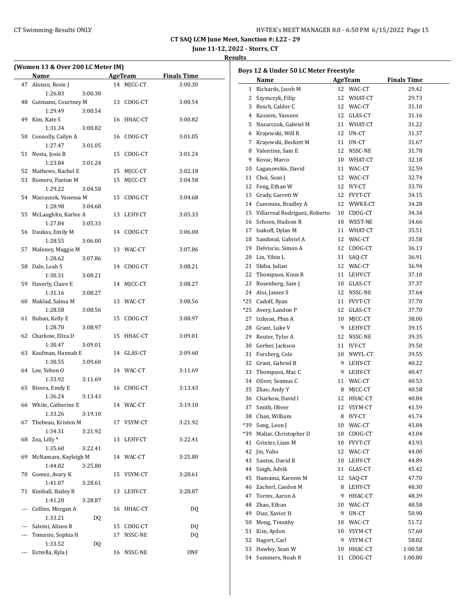| HY-TEK's MEET MANAGER 8.0 - 6:50 PM 6/15/2022 Page 15 |  |  |  |
|-------------------------------------------------------|--|--|--|
|-------------------------------------------------------|--|--|--|

**June 11-12, 2022 - Storrs, CT**

| (Women 13 & Over 200 LC Meter IM) |                              |         |    |            |                    |  |  |
|-----------------------------------|------------------------------|---------|----|------------|--------------------|--|--|
|                                   | Name                         |         |    | AgeTeam    | <b>Finals Time</b> |  |  |
| 47                                | Alonzo, Rosie J              |         |    | 14 MJCC-CT | 3:00.30            |  |  |
|                                   | 1:26.83                      | 3:00.30 |    |            |                    |  |  |
| 48                                | Gutmann, Courtney M          |         | 13 | CDOG-CT    | 3:00.54            |  |  |
|                                   | 1:29.49                      | 3:00.54 |    |            |                    |  |  |
| 49                                | Kim, Kate S                  |         | 16 | HHAC-CT    | 3:00.82            |  |  |
|                                   | 1:31.34                      | 3:00.82 |    |            |                    |  |  |
| 50                                | Connolly, Cailyn A           |         | 16 | CDOG-CT    | 3:01.05            |  |  |
|                                   | 1:27.47                      | 3:01.05 |    |            |                    |  |  |
| 51                                | Nesta, Josie B               |         | 15 | CDOG-CT    | 3:01.24            |  |  |
|                                   | 1:23.84                      | 3:01.24 |    |            |                    |  |  |
| 52                                | Mathews, Rachel E            |         | 15 | MJCC-CT    | 3:02.18            |  |  |
| 53                                | Romero, Paeton M             |         | 15 | MJCC-CT    | 3:04.58            |  |  |
|                                   | 1:29.22                      | 3:04.58 |    |            |                    |  |  |
| 54                                | Maciaszek, Vanessa M         |         | 15 | CDOG-CT    | 3:04.68            |  |  |
|                                   | 1:28.98                      | 3:04.68 |    |            |                    |  |  |
| 55                                | McLaughlin, Karlee A         |         |    | 13 LEHY-CT | 3:05.33            |  |  |
|                                   | 1:27.84                      | 3:05.33 |    |            |                    |  |  |
| 56                                | Daukas, Emily M              |         |    | 14 CDOG-CT | 3:06.00            |  |  |
|                                   | 1:28.55                      | 3:06.00 |    |            |                    |  |  |
| 57                                | Maloney, Maggie M            |         | 13 | WAC-CT     | 3:07.86            |  |  |
|                                   | 1:28.62                      | 3:07.86 |    |            |                    |  |  |
| 58                                | Dale, Leah S                 |         | 14 | CDOG-CT    | 3:08.21            |  |  |
|                                   | 1:30.31                      | 3:08.21 |    |            |                    |  |  |
| 59                                | Haverly, Claire E            |         | 14 | MJCC-CT    | 3:08.27            |  |  |
|                                   | 1:31.16                      | 3:08.27 |    |            |                    |  |  |
| 60                                | Maklad, Salma M              |         | 13 | WAC-CT     | 3:08.56            |  |  |
|                                   | 1:28.58                      | 3:08.56 |    |            |                    |  |  |
| 61                                | Buban, Kelly E               |         | 15 | CDOG-CT    | 3:08.97            |  |  |
|                                   | 1:28.70                      | 3:08.97 |    |            |                    |  |  |
| 62                                | Charkow, Eliza D             |         | 15 | HHAC-CT    | 3:09.01            |  |  |
|                                   | 1:30.47                      | 3:09.01 |    |            |                    |  |  |
| 63                                | Kaufman, Hannah E            |         |    | 14 GLAS-CT | 3:09.60            |  |  |
|                                   | 1:30.55                      | 3:09.60 |    |            |                    |  |  |
| 64                                | Lee, Yebon O                 |         |    | 14 WAC-CT  | 3:11.69            |  |  |
|                                   | 1:33.92                      | 3:11.69 |    |            |                    |  |  |
| 65                                | Rivera, Emily E              |         | 16 | CDOG-CT    | 3:13.43            |  |  |
|                                   | 1:36.24                      | 3:13.43 |    |            |                    |  |  |
| 66                                | White, Catherine E           |         | 14 | WAC-CT     | 3:19.10            |  |  |
|                                   | 1:33.26                      | 3:19.10 |    |            |                    |  |  |
| 67                                | Thebeau, Kristen M           |         | 17 | VSYM-CT    | 3:21.92            |  |  |
|                                   | 1:34.31                      | 3:21.92 |    |            |                    |  |  |
| 68                                | Zea, Lilly *                 |         | 13 | LEHY-CT    | 3:22.41            |  |  |
|                                   | 1:35.60                      | 3:22.41 |    |            |                    |  |  |
| 69                                | McNamara, Kayleigh M         |         | 14 | WAC-CT     | 3:25.80            |  |  |
|                                   |                              |         |    |            |                    |  |  |
| 70                                | 1:44.02                      | 3:25.80 |    |            |                    |  |  |
|                                   | Gomez, Avary K               |         | 15 | VSYM-CT    | 3:28.61            |  |  |
|                                   | 1:41.07                      | 3:28.61 |    |            |                    |  |  |
| 71                                | Kimball, Bailey R<br>1:41.20 |         | 13 | LEHY-CT    | 3:28.87            |  |  |
|                                   |                              | 3:28.87 |    |            |                    |  |  |
| ---                               | Collins, Morgan A            |         | 16 | HHAC-CT    | DQ                 |  |  |
|                                   | 1:33.21                      | DQ      |    |            |                    |  |  |
| ---                               | Salemi, Alison R             |         | 15 | CDOG-CT    | DQ                 |  |  |
| ---                               | Tomasio, Sophia H            |         | 17 | NSSC-NE    | DQ                 |  |  |
|                                   | 1:33.52                      | DQ      |    |            |                    |  |  |
| ---                               | Estrella, Kyla J             |         | 16 | NSSC-NE    | DNF                |  |  |

| Boys 12 & Under 50 LC Meter Freestyle |                               |    |               |                    |  |  |
|---------------------------------------|-------------------------------|----|---------------|--------------------|--|--|
|                                       | Name                          |    | AgeTeam       | <b>Finals Time</b> |  |  |
| 1                                     | Richards, Jacob M             |    | 12 WAC-CT     | 29.42              |  |  |
|                                       | 2 Szymczyk, Filip             | 12 | WHAT-CT       | 29.73              |  |  |
|                                       | 3 Resch, Calder C             | 12 | WAC-CT        | 31.10              |  |  |
|                                       | 4 Kassem, Yasseen             | 12 | GLAS-CT       | 31.16              |  |  |
| 5                                     | Nazarczuk, Gabriel M          | 11 | WHAT-CT       | 31.22              |  |  |
| 6                                     | Krajewski, Will R             | 12 | UN-CT         | 31.37              |  |  |
| 7                                     | Krajewski, Beckett M          | 11 | UN-CT         | 31.67              |  |  |
| 8                                     | Valentine, Sam E              | 12 | NSSC-NE       | 31.78              |  |  |
| 9                                     | Kovac, Marco                  | 10 | WHAT-CT       | 32.18              |  |  |
| 10                                    | Laganovskis, David            | 11 | WAC-CT        | 32.59              |  |  |
|                                       | 11 Choi, Sean J               | 12 | WAC-CT        | 32.74              |  |  |
| 12                                    | Feng, Ethan W                 | 12 | <b>IVY-CT</b> | 33.70              |  |  |
|                                       | 13 Grady, Garrett W           | 12 | FVYT-CT       | 34.15              |  |  |
|                                       | 14 Cummins, Bradley A         | 12 | WWRX-CT       | 34.28              |  |  |
| 15                                    | Villarreal Rodriguez, Roberto | 10 | CDOG-CT       | 34.34              |  |  |
|                                       | 16 Schoen, Hudson R           | 10 | WEST-NE       | 34.66              |  |  |
| 17                                    | Isakoff, Dylan M              | 11 | WHAT-CT       | 35.51              |  |  |
| 18                                    | Sandoval, Gabriel A           | 12 | WAC-CT        | 35.58              |  |  |
| 19                                    | Delviscio, Simon A            | 12 | CDOG-CT       | 36.13              |  |  |
|                                       | 20 Lin, Yibin L               | 11 |               | 36.91              |  |  |
|                                       | 21 Skiba, Julian              | 12 | SAQ-CT        |                    |  |  |
|                                       |                               |    | WAC-CT        | 36.94              |  |  |
| 22                                    | Thompson, Knox R              | 11 | LEHY-CT       | 37.10              |  |  |
| 23                                    | Rosenberg, Sam J              | 10 | GLAS-CT       | 37.37              |  |  |
| 24                                    | Aloi, James S                 | 12 | NSSC-NE       | 37.64              |  |  |
| *25                                   | Cadoff, Ryan                  | 11 | FVYT-CT       | 37.70              |  |  |
| *25                                   | Avery, Landon P               | 12 | GLAS-CT       | 37.70              |  |  |
| 27                                    | Izikson, Phin A               | 10 | MJCC-CT       | 38.00              |  |  |
|                                       | 28 Grant, Luke V              | 9  | LEHY-CT       | 39.15              |  |  |
| 29                                    | Reuter, Tyler A               | 12 | NSSC-NE       | 39.35              |  |  |
| 30                                    | Gerber, Jackson               | 11 | <b>IVY-CT</b> | 39.50              |  |  |
| 31                                    | Forsberg, Cole                | 10 | NWYL-CT       | 39.55              |  |  |
|                                       | 32 Grant, Gabriel B           | 9  | LEHY-CT       | 40.22              |  |  |
|                                       | 33 Thompson, Mac C            | 9  | LEHY-CT       | 40.47              |  |  |
|                                       | 34 Oliver, Seamus C           | 11 | WAC-CT        | 40.53              |  |  |
|                                       | 35 Zhao, Andy Y               | 8  | MJCC-CT       | 40.58              |  |  |
|                                       | 36 Charkow, David I           | 12 | HHAC-CT       | 40.84              |  |  |
| 37                                    | Smith, Oliver                 | 12 | VSYM-CT       | 41.59              |  |  |
| 38                                    | Chan, William                 |    | 8 IVY-CT      | 41.74              |  |  |
| *39                                   | Song, Leon J                  | 10 | WAC-CT        | 43.04              |  |  |
| *39                                   | Maliar, Christopher D         | 10 | CDOG-CT       | 43.04              |  |  |
| 41                                    | Gvinter. Liam M               | 10 | FVYT-CT       | 43.93              |  |  |
| 42                                    | Jin, Yubo                     | 12 | WAC-CT        | 44.00              |  |  |
| 43                                    | Santos, David R               | 10 | LEHY-CT       | 44.89              |  |  |
| 44                                    | Singh, Advik                  | 11 | GLAS-CT       | 45.42              |  |  |
| 45                                    | Hamama, Kareem M              | 12 | SAQ-CT        | 47.70              |  |  |
| 46                                    | Zacherl, Caeden M             | 8  | LEHY-CT       | 48.30              |  |  |
| 47                                    | Torres, Aaron A               | 9  | HHAC-CT       | 48.39              |  |  |
| 48                                    | Zhao, Ethan                   | 10 | WAC-CT        | 48.58              |  |  |
| 49                                    | Diaz, Xavier H                | 9  | UN-CT         | 50.90              |  |  |
| 50                                    | Meng, Timothy                 | 10 | WAC-CT        | 51.72              |  |  |
| 51                                    | Kim, Ayden                    | 10 | VSYM-CT       | 57.60              |  |  |
| 52                                    | Hagert, Carl                  | 9  | VSYM-CT       | 58.02              |  |  |
| 53                                    | Hawley, Sean W                | 10 | HHAC-CT       | 1:00.58            |  |  |
| 54                                    | Summers, Noah R               | 11 | CDOG-CT       | 1:00.80            |  |  |
|                                       |                               |    |               |                    |  |  |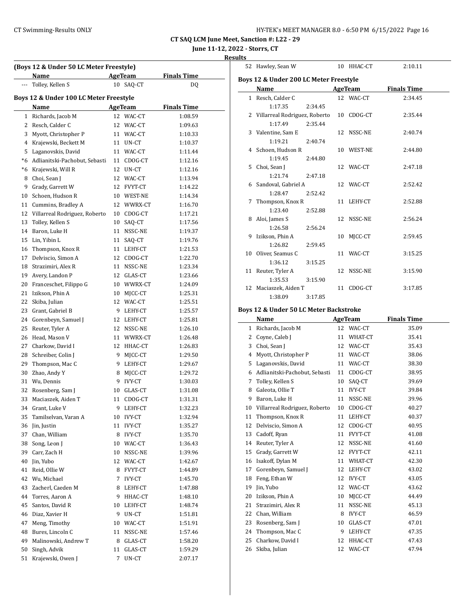| HY-TEK's MEET MANAGER 8.0 - 6:50 PM 6/15/2022 Page 16 |  |  |  |
|-------------------------------------------------------|--|--|--|
|-------------------------------------------------------|--|--|--|

# **June 11-12, 2022 - Storrs, CT**

**Results**

| (Boys 12 & Under 50 LC Meter Freestyle)<br>Name<br><b>AgeTeam</b><br><b>Finals Time</b> |                                        |    |               |                    |  |  |  |
|-----------------------------------------------------------------------------------------|----------------------------------------|----|---------------|--------------------|--|--|--|
|                                                                                         | Tolley, Kellen S                       | 10 | SAQ-CT        | DQ                 |  |  |  |
|                                                                                         |                                        |    |               |                    |  |  |  |
|                                                                                         | Boys 12 & Under 100 LC Meter Freestyle |    |               |                    |  |  |  |
|                                                                                         | <b>Name</b>                            |    | AgeTeam       | <b>Finals Time</b> |  |  |  |
| $\mathbf{1}$                                                                            | Richards, Jacob M                      |    | 12 WAC-CT     | 1:08.59            |  |  |  |
| 2                                                                                       | Resch, Calder C                        |    | 12 WAC-CT     | 1:09.63            |  |  |  |
| 3                                                                                       | Myott, Christopher P                   |    | 11 WAC-CT     | 1:10.33            |  |  |  |
| 4                                                                                       | Krajewski, Beckett M                   |    | 11 UN-CT      | 1:10.37            |  |  |  |
| 5                                                                                       | Laganovskis, David                     |    | 11 WAC-CT     | 1:11.44            |  |  |  |
| *6                                                                                      | Adlianitski-Pachobut, Sebasti          | 11 | CDOG-CT       | 1:12.16            |  |  |  |
| $*6$                                                                                    | Krajewski, Will R                      | 12 | UN-CT         | 1:12.16            |  |  |  |
| 8                                                                                       | Choi, Sean J                           |    | 12 WAC-CT     | 1:13.94            |  |  |  |
| 9                                                                                       | Grady, Garrett W                       | 12 | FVYT-CT       | 1:14.22            |  |  |  |
| 10                                                                                      | Schoen, Hudson R                       |    | 10 WEST-NE    | 1:14.34            |  |  |  |
| 11                                                                                      | Cummins, Bradley A                     |    | 12 WWRX-CT    | 1:16.70            |  |  |  |
| 12                                                                                      | Villarreal Rodriguez, Roberto          |    | 10 CDOG-CT    | 1:17.21            |  |  |  |
| 13                                                                                      | Tolley, Kellen S                       | 10 | SAQ-CT        | 1:17.56            |  |  |  |
| 14                                                                                      | Baron, Luke H                          | 11 | NSSC-NE       | 1:19.37            |  |  |  |
| 15                                                                                      | Lin, Yibin L                           | 11 | SAQ-CT        | 1:19.76            |  |  |  |
| 16                                                                                      | Thompson, Knox R                       |    | 11 LEHY-CT    | 1:21.53            |  |  |  |
| 17                                                                                      | Delviscio, Simon A                     |    | 12 CDOG-CT    | 1:22.70            |  |  |  |
| 18                                                                                      | Strazimiri, Alex R                     |    | 11 NSSC-NE    | 1:23.34            |  |  |  |
| 19                                                                                      | Avery, Landon P                        | 12 | GLAS-CT       | 1:23.66            |  |  |  |
| 20                                                                                      | Franceschet, Filippo G                 |    | 10 WWRX-CT    | 1:24.09            |  |  |  |
| 21                                                                                      | Izikson, Phin A                        | 10 | MJCC-CT       | 1:25.31            |  |  |  |
| 22                                                                                      | Skiba, Julian                          |    | 12 WAC-CT     | 1:25.51            |  |  |  |
| 23                                                                                      | Grant, Gabriel B                       | 9  | LEHY-CT       | 1:25.57            |  |  |  |
| 24                                                                                      | Gorenbeyn, Samuel J                    |    | 12 LEHY-CT    | 1:25.81            |  |  |  |
| 25                                                                                      | Reuter, Tyler A                        |    | 12 NSSC-NE    | 1:26.10            |  |  |  |
| 26                                                                                      | Head, Mason V                          |    | 11 WWRX-CT    | 1:26.48            |  |  |  |
| 27                                                                                      | Charkow, David I                       |    | 12 HHAC-CT    | 1:26.83            |  |  |  |
| 28                                                                                      | Schreiber, Colin J                     | 9  | MJCC-CT       | 1:29.50            |  |  |  |
| 29                                                                                      | Thompson, Mac C                        |    | 9 LEHY-CT     | 1:29.67            |  |  |  |
| 30                                                                                      | Zhao, Andy Y                           | 8  | MJCC-CT       | 1:29.72            |  |  |  |
| 31                                                                                      | Wu, Dennis                             | 9  | <b>IVY-CT</b> | 1:30.03            |  |  |  |
| 32                                                                                      | Rosenberg, Sam J                       | 10 | GLAS-CT       | 1:31.08            |  |  |  |
| 33                                                                                      | Maciaszek, Aiden T                     | 11 | CDOG-CT       | 1:31.31            |  |  |  |
| 34                                                                                      | Grant, Luke V                          | 9  | LEHY-CT       | 1:32.23            |  |  |  |
| 35                                                                                      | Tamilselvan, Varan A                   | 10 | IVY-CT        | 1:32.94            |  |  |  |
| 36                                                                                      | Jin, Justin                            | 11 | IVY-CT        | 1:35.27            |  |  |  |
| 37                                                                                      | Chan, William                          | 8  | IVY-CT        | 1:35.70            |  |  |  |
| 38                                                                                      | Song, Leon J                           |    | 10 WAC-CT     | 1:36.43            |  |  |  |
| 39                                                                                      | Carr, Zach H                           | 10 | NSSC-NE       | 1:39.96            |  |  |  |
| 40                                                                                      | Jin, Yubo                              | 12 | WAC-CT        | 1:42.67            |  |  |  |
| 41                                                                                      | Reid, Ollie W                          | 8  | FVYT-CT       | 1:44.89            |  |  |  |
| 42                                                                                      | Wu, Michael                            | 7  | IVY-CT        | 1:45.70            |  |  |  |
| 43                                                                                      | Zacherl, Caeden M                      | 8  | LEHY-CT       | 1:47.88            |  |  |  |
| 44                                                                                      | Torres, Aaron A                        | 9  | HHAC-CT       | 1:48.10            |  |  |  |
| 45                                                                                      | Santos, David R                        | 10 | LEHY-CT       | 1:48.74            |  |  |  |
| 46                                                                                      | Diaz, Xavier H                         | 9  | UN-CT         | 1:51.81            |  |  |  |
| 47                                                                                      | Meng, Timothy                          | 10 | WAC-CT        | 1:51.91            |  |  |  |
| 48                                                                                      | Bures, Lincoln C                       | 11 | NSSC-NE       | 1:57.46            |  |  |  |
| 49                                                                                      | Malinowski, Andrew T                   | 8  | GLAS-CT       | 1:58.20            |  |  |  |
| 50                                                                                      | Singh, Advik                           | 11 | GLAS-CT       | 1:59.29            |  |  |  |
| 51                                                                                      | Krajewski, Owen J                      | 7  | UN-CT         |                    |  |  |  |
|                                                                                         |                                        |    |               | 2:07.17            |  |  |  |

|   | 52 Hawley, Sean W                      |         |    | 10 HHAC-CT                    | 2:10.11 |  |  |  |
|---|----------------------------------------|---------|----|-------------------------------|---------|--|--|--|
|   | Boys 12 & Under 200 LC Meter Freestyle |         |    |                               |         |  |  |  |
|   | Name                                   |         |    | AgeTeam<br><b>Finals Time</b> |         |  |  |  |
|   | 1 Resch, Calder C                      |         |    | 12 WAC-CT                     | 2:34.45 |  |  |  |
|   | 1:17.35                                | 2:34.45 |    |                               |         |  |  |  |
|   | 2 Villarreal Rodriguez, Roberto        |         |    | 10 CDOG-CT                    | 2:35.44 |  |  |  |
|   | 1:17.49                                | 2:35.44 |    |                               |         |  |  |  |
|   | 3 Valentine, Sam E                     |         |    | 12 NSSC-NE                    | 2:40.74 |  |  |  |
|   | 1:19.21                                | 2:40.74 |    |                               |         |  |  |  |
|   | 4 Schoen, Hudson R                     |         |    | 10 WEST-NE                    | 2:44.80 |  |  |  |
|   | 1:19.45                                | 2:44.80 |    |                               |         |  |  |  |
|   | 5 Choi, Sean J                         |         |    | 12 WAC-CT                     | 2:47.18 |  |  |  |
|   | 1:21.74                                | 2:47.18 |    |                               |         |  |  |  |
|   | 6 Sandoval, Gabriel A                  |         |    | 12 WAC-CT                     | 2:52.42 |  |  |  |
|   | 1:28.47                                | 2:52.42 |    |                               |         |  |  |  |
| 7 | Thompson, Knox R                       |         |    | 11 LEHY-CT                    | 2:52.88 |  |  |  |
|   | 1:23.40                                | 2:52.88 |    |                               |         |  |  |  |
|   | 8 Aloi, James S                        |         |    | 12 NSSC-NE                    | 2:56.24 |  |  |  |
|   | 1:26.58                                | 2:56.24 |    |                               |         |  |  |  |
|   | 9 Izikson, Phin A                      |         | 10 | MICC-CT                       | 2:59.45 |  |  |  |
|   | 1:26.82                                | 2:59.45 |    |                               |         |  |  |  |
|   | 10 Oliver, Seamus C                    |         |    | 11 WAC-CT                     | 3:15.25 |  |  |  |
|   | 1:36.12                                | 3:15.25 |    |                               |         |  |  |  |
|   | 11 Reuter, Tyler A                     |         |    | 12 NSSC-NE                    | 3:15.90 |  |  |  |
|   | 1:35.53                                | 3:15.90 |    |                               |         |  |  |  |
|   | 12 Maciaszek, Aiden T                  |         | 11 | CDOG-CT                       | 3:17.85 |  |  |  |
|   | 1:38.09                                | 3:17.85 |    |                               |         |  |  |  |

# **Boys 12 & Under 50 LC Meter Backstroke**

|    | Name                          | <b>AgeTeam</b> |                | <b>Finals Time</b> |
|----|-------------------------------|----------------|----------------|--------------------|
| 1  | Richards, Jacob M             | 12             | WAC-CT         | 35.09              |
| 2  | Coyne, Caleb J                | 11             | WHAT-CT        | 35.41              |
| 3  | Choi, Sean J                  | 12             | WAC-CT         | 35.43              |
| 4  | Myott, Christopher P          | 11             | WAC-CT         | 38.06              |
| 5  | Laganovskis, David            | 11             | WAC-CT         | 38.30              |
| 6  | Adlianitski-Pachobut, Sebasti | 11             | CDOG-CT        | 38.95              |
| 7  | Tolley, Kellen S              | 10             | SAQ-CT         | 39.69              |
| 8  | Galeota, Ollie T              | 11             | <b>IVY-CT</b>  | 39.84              |
| 9  | Baron, Luke H                 | 11             | NSSC-NE        | 39.96              |
| 10 | Villarreal Rodriguez, Roberto | 10             | CDOG-CT        | 40.27              |
| 11 | Thompson, Knox R              | 11             | LEHY-CT        | 40.37              |
| 12 | Delviscio, Simon A            | 12             | CDOG-CT        | 40.95              |
| 13 | Cadoff, Ryan                  | 11             | FVYT-CT        | 41.08              |
| 14 | Reuter, Tyler A               | 12             | NSSC-NE        | 41.60              |
| 15 | Grady, Garrett W              | 12             | <b>FVYT-CT</b> | 42.11              |
| 16 | Isakoff, Dylan M              | 11             | WHAT-CT        | 42.30              |
| 17 | Gorenbeyn, Samuel J           | 12             | LEHY-CT        | 43.02              |
| 18 | Feng, Ethan W                 | 12             | <b>IVY-CT</b>  | 43.05              |
| 19 | Jin, Yubo                     | 12             | WAC-CT         | 43.62              |
| 20 | Izikson, Phin A               | 10             | MJCC-CT        | 44.49              |
| 21 | Strazimiri, Alex R            | 11             | NSSC-NE        | 45.13              |
| 22 | Chan, William                 | 8              | <b>IVY-CT</b>  | 46.59              |
| 23 | Rosenberg, Sam J              | 10             | GLAS-CT        | 47.01              |
| 24 | Thompson, Mac C               | 9              | LEHY-CT        | 47.35              |
| 25 | Charkow, David I              | 12             | HHAC-CT        | 47.43              |
| 26 | Skiba, Julian                 | 12             | WAC-CT         | 47.94              |
|    |                               |                |                |                    |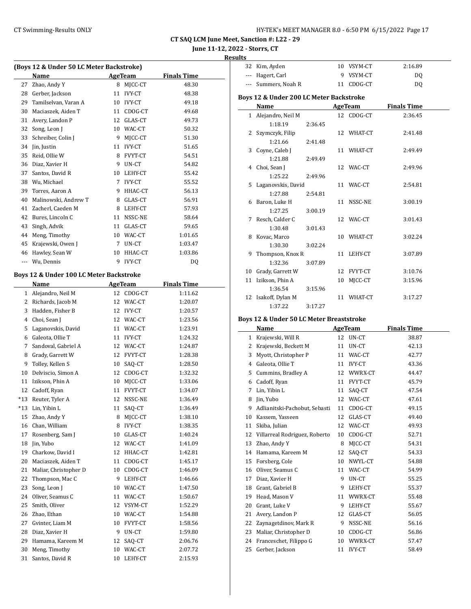# **June 11-12, 2022 - Storrs, CT**

| Results |  |
|---------|--|
|         |  |

 $\overline{a}$ 

| (Boys 12 & Under 50 LC Meter Backstroke) |                                         |                 |                |                    |  |  |
|------------------------------------------|-----------------------------------------|-----------------|----------------|--------------------|--|--|
|                                          | Name                                    |                 | AgeTeam        | <b>Finals Time</b> |  |  |
| 27                                       | Zhao, Andy Y                            | 8               | MJCC-CT        | 48.30              |  |  |
| 28                                       | Gerber, Jackson                         | 11              | <b>IVY-CT</b>  | 48.38              |  |  |
| 29                                       | Tamilselvan, Varan A                    | 10 <sup>1</sup> | IVY-CT         | 49.18              |  |  |
| 30                                       | Maciaszek, Aiden T                      | 11              | CDOG-CT        | 49.68              |  |  |
| 31                                       | Avery, Landon P                         | 12              | GLAS-CT        | 49.73              |  |  |
| 32                                       | Song, Leon J                            | 10              | WAC-CT         | 50.32              |  |  |
| 33                                       | Schreiber, Colin J                      | 9               | MJCC-CT        | 51.30              |  |  |
| 34                                       | Jin, Justin                             | 11              | <b>IVY-CT</b>  | 51.65              |  |  |
| 35                                       | Reid, Ollie W                           | 8               | FVYT-CT        | 54.51              |  |  |
| 36                                       | Diaz, Xavier H                          | 9               | UN-CT          | 54.82              |  |  |
| 37                                       | Santos, David R                         | 10              | LEHY-CT        | 55.42              |  |  |
| 38                                       | Wu, Michael                             | 7               | <b>IVY-CT</b>  | 55.52              |  |  |
| 39                                       | Torres, Aaron A                         | 9               | HHAC-CT        | 56.13              |  |  |
| 40                                       | Malinowski, Andrew T                    | 8               | GLAS-CT        | 56.91              |  |  |
| 41                                       | Zacherl, Caeden M                       | 8               | LEHY-CT        | 57.93              |  |  |
| 42                                       | Bures, Lincoln C                        | 11              | NSSC-NE        | 58.64              |  |  |
| 43                                       | Singh, Advik                            | 11              | GLAS-CT        | 59.65              |  |  |
| 44                                       | Meng, Timothy                           | 10              | WAC-CT         | 1:01.65            |  |  |
| 45                                       | Krajewski, Owen J                       | 7               | UN-CT          | 1:03.47            |  |  |
| 46                                       | Hawley, Sean W                          | 10              | HHAC-CT        | 1:03.86            |  |  |
|                                          | --- Wu, Dennis                          | 9               | <b>IVY-CT</b>  | DQ                 |  |  |
|                                          | Boys 12 & Under 100 LC Meter Backstroke |                 |                |                    |  |  |
|                                          | Name                                    |                 | <b>AgeTeam</b> | <b>Finals Time</b> |  |  |
|                                          | 1 Alejandro, Neil M                     | 12              | CDOG-CT        | 1:11.62            |  |  |
|                                          | 2 Richards, Jacob M                     | 12              | WAC-CT         | 1:20.07            |  |  |
| 3                                        | Hadden, Fisher B                        | 12              | IVY-CT         | 1:20.57            |  |  |
|                                          | 4 Choi, Sean J                          | 12              | WAC-CT         | 1:23.56            |  |  |
| 5                                        | Laganovskis, David                      | 11              | WAC-CT         | 1:23.91            |  |  |
| 6                                        | Galeota, Ollie T                        | 11              | <b>IVY-CT</b>  | 1:24.32            |  |  |
| 7                                        | Sandoval, Gabriel A                     | 12              | WAC-CT         | 1:24.87            |  |  |
| 8                                        | Grady, Garrett W                        | 12              | FVYT-CT        | 1:28.38            |  |  |
| 9                                        | Tolley, Kellen S                        | 10              | SAQ-CT         | 1:28.50            |  |  |
| 10                                       | Delviscio, Simon A                      | 12              | CDOG-CT        | 1:32.32            |  |  |
| 11                                       | Izikson, Phin A                         | 10              | MJCC-CT        | 1:33.06            |  |  |
| 12                                       | Cadoff, Ryan                            | 11              | FVYT-CT        | 1:34.07            |  |  |
| $*13$                                    | Reuter, Tyler A                         | 12              | NSSC-NE        | 1:36.49            |  |  |
| $*13$                                    | Lin, Yibin L                            | 11              | SAQ-CT         | 1:36.49            |  |  |
| 15                                       | Zhao, Andy Y                            | 8               | MJCC-CT        | 1:38.10            |  |  |

16 Chan, William 8 IVY-CT 1:38.35 17 Rosenberg, Sam J 10 GLAS-CT 1:40.24 18 Jin, Yubo 12 WAC-CT 1:41.09 19 Charkow, David I 12 HHAC-CT 1:42.81 20 Maciaszek, Aiden T 11 CDOG-CT 1:45.17 21 Maliar, Christopher D 10 CDOG-CT 1:46.09 22 Thompson, Mac C 9 LEHY-CT 1:46.66 23 Song, Leon J 10 WAC-CT 1:47.50 24 Oliver, Seamus C 11 WAC-CT 1:50.67 25 Smith, Oliver 12 VSYM-CT 1:52.29 Zhao, Ethan 10 WAC-CT 1:54.88 27 Gvinter, Liam M 10 FVYT-CT 1:58.56 28 Diaz, Xavier H 9 UN-CT 1:59.80 Hamama, Kareem M 12 SAQ-CT 2:06.76 Meng, Timothy 10 WAC-CT 2:07.72 Santos, David R 10 LEHY-CT 2:15.93

|       | 32 Kim, Ayden                                       |    | 10 VSYM-CT     | 2:16.89            |  |  |  |  |  |
|-------|-----------------------------------------------------|----|----------------|--------------------|--|--|--|--|--|
|       | --- Hagert, Carl                                    |    | 9 VSYM-CT      | DQ                 |  |  |  |  |  |
|       | --- Summers, Noah R                                 |    | 11 CDOG-CT     | DQ                 |  |  |  |  |  |
|       | <b>Boys 12 &amp; Under 200 LC Meter Backstroke</b>  |    |                |                    |  |  |  |  |  |
|       | <b>Finals Time</b><br>AgeTeam                       |    |                |                    |  |  |  |  |  |
|       | Name                                                |    |                |                    |  |  |  |  |  |
| $1\,$ | Alejandro, Neil M                                   |    | 12 CDOG-CT     | 2:36.45            |  |  |  |  |  |
|       | 1:18.19<br>2:36.45                                  |    |                |                    |  |  |  |  |  |
| 2     | Szymczyk, Filip                                     |    | 12 WHAT-CT     | 2:41.48            |  |  |  |  |  |
|       | 1:21.66<br>2:41.48                                  |    |                |                    |  |  |  |  |  |
| 3     | Coyne, Caleb J                                      |    | 11 WHAT-CT     | 2:49.49            |  |  |  |  |  |
|       | 1:21.88<br>2:49.49                                  |    |                |                    |  |  |  |  |  |
| 4     | Choi, Sean J                                        |    | 12 WAC-CT      | 2:49.96            |  |  |  |  |  |
|       | 1:25.22<br>2:49.96                                  |    |                |                    |  |  |  |  |  |
| 5     | Laganovskis, David                                  | 11 | WAC-CT         | 2:54.81            |  |  |  |  |  |
|       | 1:27.88<br>2:54.81                                  |    |                |                    |  |  |  |  |  |
| 6     | Baron, Luke H                                       | 11 | NSSC-NE        | 3:00.19            |  |  |  |  |  |
|       | 1:27.25<br>3:00.19                                  |    |                |                    |  |  |  |  |  |
| 7     | Resch, Calder C                                     |    | 12 WAC-CT      | 3:01.43            |  |  |  |  |  |
|       | 1:30.48<br>3:01.43                                  |    |                |                    |  |  |  |  |  |
| 8     | Kovac, Marco                                        |    | 10 WHAT-CT     | 3:02.24            |  |  |  |  |  |
|       | 1:30.30<br>3:02.24                                  |    |                |                    |  |  |  |  |  |
| 9     | Thompson, Knox R                                    |    | 11 LEHY-CT     | 3:07.89            |  |  |  |  |  |
|       | 1:32.36<br>3:07.89                                  |    |                |                    |  |  |  |  |  |
| 10    | Grady, Garrett W                                    |    | 12 FVYT-CT     | 3:10.76            |  |  |  |  |  |
| 11    | Izikson, Phin A                                     | 10 | MJCC-CT        | 3:15.96            |  |  |  |  |  |
|       | 1:36.54<br>3:15.96                                  |    |                |                    |  |  |  |  |  |
|       |                                                     |    |                |                    |  |  |  |  |  |
| 12    | Isakoff, Dylan M                                    |    | 11 WHAT-CT     | 3:17.27            |  |  |  |  |  |
|       | 1:37.22<br>3:17.27                                  |    |                |                    |  |  |  |  |  |
|       | <b>Boys 12 &amp; Under 50 LC Meter Breaststroke</b> |    |                |                    |  |  |  |  |  |
|       | Name                                                |    | <b>AgeTeam</b> | <b>Finals Time</b> |  |  |  |  |  |
|       | 1 Krajewski, Will R                                 |    | 12 UN-CT       | 38.87              |  |  |  |  |  |
|       | 2 Krajewski, Beckett M                              |    | 11 UN-CT       | 42.13              |  |  |  |  |  |
| 3     | Myott, Christopher P                                |    | 11 WAC-CT      | 42.77              |  |  |  |  |  |
|       | 4 Galeota, Ollie T                                  |    | 11 IVY-CT      | 43.36              |  |  |  |  |  |
|       | 5 Cummins, Bradley A                                |    | 12 WWRX-CT     | 44.47              |  |  |  |  |  |
| 6     | Cadoff, Ryan                                        |    | 11 FVYT-CT     | 45.79              |  |  |  |  |  |
| 7     | Lin, Yibin L                                        |    | 11 SAQ-CT      | 47.54              |  |  |  |  |  |
| 8     | Jin, Yubo                                           |    | 12 WAC-CT      | 47.61              |  |  |  |  |  |
|       | 9 Adlianitski-Pachobut, Sebasti 11 CDOG-CT          |    |                | 49.15              |  |  |  |  |  |
|       | 10 Kassem, Yasseen                                  |    | 12 GLAS-CT     | 49.40              |  |  |  |  |  |
| 11    | Skiba, Julian                                       | 12 | WAC-CT         | 49.93              |  |  |  |  |  |
| 12    | Villarreal Rodriguez, Roberto                       | 10 | CDOG-CT        | 52.71              |  |  |  |  |  |
| 13    | Zhao, Andy Y                                        | 8  | MJCC-CT        | 54.31              |  |  |  |  |  |
| 14    | Hamama, Kareem M                                    | 12 | SAQ-CT         | 54.33              |  |  |  |  |  |
| 15    | Forsberg, Cole                                      | 10 | NWYL-CT        | 54.88              |  |  |  |  |  |
| 16    | Oliver, Seamus C                                    | 11 | WAC-CT         | 54.99              |  |  |  |  |  |
| 17    | Diaz, Xavier H                                      | 9  | UN-CT          | 55.25              |  |  |  |  |  |
| 18    | Grant, Gabriel B                                    | 9  | LEHY-CT        | 55.37              |  |  |  |  |  |
| 19    | Head, Mason V                                       | 11 | WWRX-CT        | 55.48              |  |  |  |  |  |
| 20    | Grant, Luke V                                       | 9  | LEHY-CT        | 55.67              |  |  |  |  |  |
| 21    | Avery, Landon P                                     | 12 | GLAS-CT        | 56.05              |  |  |  |  |  |

23 Maliar, Christopher D 10 CDOG-CT 56.86 Franceschet, Filippo G 10 WWRX-CT 57.47 25 Gerber, Jackson 11 IVY-CT 58.49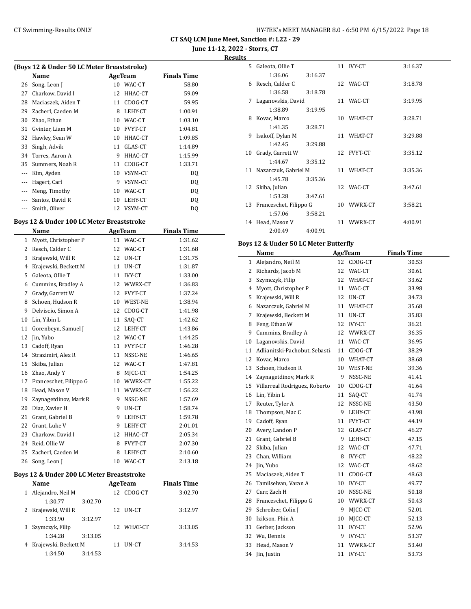**June 11-12, 2022 - Storrs, CT**

**Results**

|     | Name               |    | AgeTeam        | <b>Finals Time</b> |
|-----|--------------------|----|----------------|--------------------|
| 26  | Song, Leon J       | 10 | WAC-CT         | 58.80              |
| 27  | Charkow, David I   | 12 | HHAC-CT        | 59.09              |
| 28  | Maciaszek, Aiden T | 11 | CDOG-CT        | 59.95              |
| 29  | Zacherl, Caeden M  | 8  | LEHY-CT        | 1:00.91            |
| 30  | Zhao, Ethan        | 10 | WAC-CT         | 1:03.10            |
| 31  | Gvinter, Liam M    | 10 | <b>FVYT-CT</b> | 1:04.81            |
| 32  | Hawley, Sean W     | 10 | HHAC-CT        | 1:09.85            |
| 33  | Singh, Advik       | 11 | GLAS-CT        | 1:14.89            |
| 34  | Torres, Aaron A    | 9  | HHAC-CT        | 1:15.99            |
| 35  | Summers, Noah R    | 11 | CDOG-CT        | 1:33.71            |
| --- | Kim, Ayden         | 10 | VSYM-CT        | DQ                 |
| --- | Hagert, Carl       | 9  | VSYM-CT        | DQ                 |
| --- | Meng, Timothy      | 10 | WAC-CT         | DQ                 |
| --- | Santos, David R    | 10 | LEHY-CT        | DQ                 |
| --- | Smith, Oliver      | 12 | VSYM-CT        | DQ                 |

#### **Boys 12 & Under 100 LC Meter Breaststroke**

|    | Name                   |    | <b>AgeTeam</b> | <b>Finals Time</b> |
|----|------------------------|----|----------------|--------------------|
| 1  | Myott, Christopher P   | 11 | WAC-CT         | 1:31.62            |
| 2  | Resch, Calder C        | 12 | WAC-CT         | 1:31.68            |
| 3  | Krajewski, Will R      | 12 | UN-CT          | 1:31.75            |
| 4  | Krajewski, Beckett M   | 11 | UN-CT          | 1:31.87            |
| 5  | Galeota, Ollie T       | 11 | <b>IVY-CT</b>  | 1:33.00            |
| 6  | Cummins, Bradley A     | 12 | WWRX-CT        | 1:36.83            |
| 7  | Grady, Garrett W       | 12 | <b>FVYT-CT</b> | 1:37.24            |
| 8  | Schoen, Hudson R       | 10 | WEST-NE        | 1:38.94            |
| 9  | Delviscio, Simon A     | 12 | CDOG-CT        | 1:41.98            |
| 10 | Lin, Yibin L           | 11 | SAO-CT         | 1:42.62            |
| 11 | Gorenbeyn, Samuel J    | 12 | LEHY-CT        | 1:43.86            |
| 12 | Jin, Yubo              | 12 | WAC-CT         | 1:44.25            |
| 13 | Cadoff, Ryan           | 11 | FVYT-CT        | 1:46.28            |
| 14 | Strazimiri, Alex R     | 11 | NSSC-NE        | 1:46.65            |
| 15 | Skiba, Julian          | 12 | WAC-CT         | 1:47.81            |
| 16 | Zhao, Andy Y           | 8  | MJCC-CT        | 1:54.25            |
| 17 | Franceschet, Filippo G | 10 | WWRX-CT        | 1:55.22            |
| 18 | Head, Mason V          | 11 | WWRX-CT        | 1:56.22            |
| 19 | Zaynagetdinov, Mark R  | 9  | NSSC-NE        | 1:57.69            |
| 20 | Diaz, Xavier H         | 9  | UN-CT          | 1:58.74            |
| 21 | Grant, Gabriel B       | 9  | LEHY-CT        | 1:59.78            |
| 22 | Grant, Luke V          | 9  | LEHY-CT        | 2:01.01            |
| 23 | Charkow, David I       | 12 | HHAC-CT        | 2:05.34            |
| 24 | Reid, Ollie W          | 8  | FVYT-CT        | 2:07.30            |
| 25 | Zacherl, Caeden M      | 8  | LEHY-CT        | 2:10.60            |
| 26 | Song, Leon J           | 10 | WAC-CT         | 2:13.18            |

#### **Boys 12 & Under 200 LC Meter Breaststroke**

|   | <b>Name</b>            |         |    | AgeTeam    | <b>Finals Time</b> |  |
|---|------------------------|---------|----|------------|--------------------|--|
| 1 | Alejandro, Neil M      |         |    | 12 CDOG-CT | 3:02.70            |  |
|   | 1:30.77                | 3:02.70 |    |            |                    |  |
|   | 2 Krajewski, Will R    |         | 12 | UN-CT      | 3:12.97            |  |
|   | 1:33.90                | 3:12.97 |    |            |                    |  |
|   | 3 Szymczyk, Filip      |         |    | 12 WHAT-CT | 3:13.05            |  |
|   | 1:34.28                | 3:13.05 |    |            |                    |  |
|   | 4 Krajewski, Beckett M |         | 11 | UN-CT      | 3:14.53            |  |
|   | 1:34.50                | 3:14.53 |    |            |                    |  |

|     | 5 Galeota, Ollie T      |         |    | 11 IVY-CT  | 3:16.37 |
|-----|-------------------------|---------|----|------------|---------|
|     | 1:36.06                 | 3:16.37 |    |            |         |
|     | 6 Resch, Calder C       |         |    | 12 WAC-CT  | 3:18.78 |
|     | 1:36.58                 | 3:18.78 |    |            |         |
| 7   | Laganovskis, David      |         |    | 11 WAC-CT  | 3:19.95 |
|     | 1:38.89                 | 3:19.95 |    |            |         |
| 8   | Kovac, Marco            |         | 10 | WHAT-CT    | 3:28.71 |
|     | 1:41.35                 | 3:28.71 |    |            |         |
| 9   | Isakoff, Dylan M        |         | 11 | WHAT-CT    | 3:29.88 |
|     | 1:42.45                 | 3:29.88 |    |            |         |
| 10  | Grady, Garrett W        |         |    | 12 FVYT-CT | 3:35.12 |
|     | 1:44.67                 | 3:35.12 |    |            |         |
|     | 11 Nazarczuk, Gabriel M |         |    | 11 WHAT-CT | 3:35.36 |
|     | 1:45.78                 | 3:35.36 |    |            |         |
|     | 12 Skiba, Julian        |         |    | 12 WAC-CT  | 3:47.61 |
|     | 1:53.28                 | 3:47.61 |    |            |         |
| 13. | Franceschet, Filippo G  |         |    | 10 WWRX-CT | 3:58.21 |
|     | 1:57.06                 | 3:58.21 |    |            |         |
|     | 14 Head, Mason V        |         | 11 | WWRX-CT    | 4:00.91 |
|     | 2:00.49                 | 4:00.91 |    |            |         |

#### **Boys 12 & Under 50 LC Meter Butterfly**

|              | Name                          |    | <b>AgeTeam</b> | <b>Finals Time</b> |
|--------------|-------------------------------|----|----------------|--------------------|
| $\mathbf{1}$ | Alejandro, Neil M             | 12 | CDOG-CT        | 30.53              |
| 2            | Richards, Jacob M             | 12 | WAC-CT         | 30.61              |
| 3            | Szymczyk, Filip               | 12 | WHAT-CT        | 33.62              |
| 4            | Myott, Christopher P          | 11 | WAC-CT         | 33.98              |
| 5            | Krajewski, Will R             | 12 | UN-CT          | 34.73              |
| 6            | Nazarczuk, Gabriel M          | 11 | WHAT-CT        | 35.68              |
| 7            | Krajewski, Beckett M          | 11 | UN-CT          | 35.83              |
| 8            | Feng, Ethan W                 | 12 | IVY-CT         | 36.21              |
| 9            | Cummins, Bradley A            | 12 | WWRX-CT        | 36.35              |
| 10           | Laganovskis, David            | 11 | WAC-CT         | 36.95              |
| 11           | Adlianitski-Pachobut, Sebasti | 11 | CDOG-CT        | 38.29              |
| 12           | Kovac, Marco                  | 10 | WHAT-CT        | 38.68              |
| 13           | Schoen, Hudson R              | 10 | <b>WEST-NE</b> | 39.36              |
| 14           | Zaynagetdinov, Mark R         | 9  | NSSC-NE        | 41.41              |
| 15           | Villarreal Rodriguez, Roberto | 10 | CDOG-CT        | 41.64              |
| 16           | Lin, Yibin L                  | 11 | SAQ-CT         | 41.74              |
| 17           | Reuter, Tyler A               | 12 | NSSC-NE        | 43.50              |
| 18           | Thompson, Mac C               | 9  | LEHY-CT        | 43.98              |
| 19           | Cadoff, Ryan                  | 11 | FVYT-CT        | 44.19              |
| 20           | Avery, Landon P               | 12 | GLAS-CT        | 46.27              |
| 21           | Grant, Gabriel B              | 9  | LEHY-CT        | 47.15              |
| 22           | Skiba, Julian                 | 12 | WAC-CT         | 47.71              |
| 23           | Chan, William                 | 8  | <b>IVY-CT</b>  | 48.22              |
| 24           | Jin, Yubo                     | 12 | WAC-CT         | 48.62              |
| 25           | Maciaszek, Aiden T            | 11 | CDOG-CT        | 48.63              |
| 26           | Tamilselvan, Varan A          | 10 | <b>IVY-CT</b>  | 49.77              |
| 27           | Carr, Zach H                  | 10 | NSSC-NE        | 50.18              |
| 28           | Franceschet, Filippo G        | 10 | WWRX-CT        | 50.43              |
| 29           | Schreiber, Colin J            | 9  | MJCC-CT        | 52.01              |
| 30           | Izikson, Phin A               | 10 | MJCC-CT        | 52.13              |
| 31           | Gerber, Jackson               | 11 | <b>IVY-CT</b>  | 52.96              |
| 32           | Wu, Dennis                    | 9  | <b>IVY-CT</b>  | 53.37              |
| 33           | Head, Mason V                 | 11 | WWRX-CT        | 53.40              |
| 34           | Jin, Justin                   | 11 | <b>IVY-CT</b>  | 53.73              |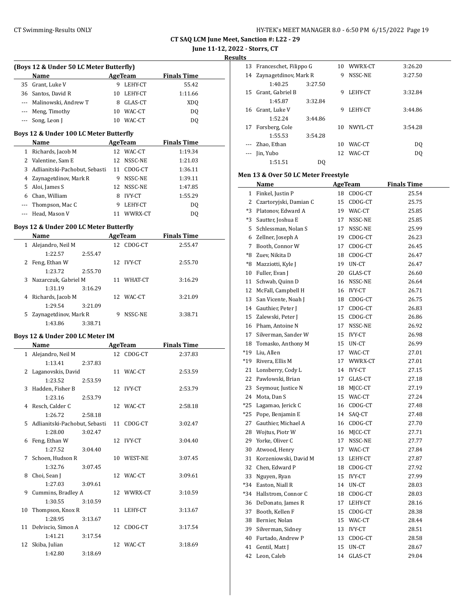**June 11-12, 2022 - Storrs, CT**

**Results**

 $\overline{\phantom{a}}$ 

| (Boys 12 & Under 50 LC Meter Butterfly) |                                        |    |                |                    |  |  |
|-----------------------------------------|----------------------------------------|----|----------------|--------------------|--|--|
|                                         | Name                                   |    | AgeTeam        | <b>Finals Time</b> |  |  |
|                                         | 35 Grant, Luke V                       |    | 9 LEHY-CT      | 55.42              |  |  |
|                                         | 36 Santos, David R                     |    | 10 LEHY-CT     | 1:11.66            |  |  |
|                                         | --- Malinowski, Andrew T               |    | 8 GLAS-CT      | XDO                |  |  |
|                                         | --- Meng, Timothy                      |    | 10 WAC-CT      | DQ                 |  |  |
|                                         | --- Song, Leon J                       |    | 10 WAC-CT      | DQ                 |  |  |
|                                         | Boys 12 & Under 100 LC Meter Butterfly |    |                |                    |  |  |
|                                         | Name                                   |    | <b>AgeTeam</b> | <b>Finals Time</b> |  |  |
|                                         | 1 Richards, Jacob M                    |    | 12 WAC-CT      | 1:19.34            |  |  |
|                                         | 2 Valentine, Sam E                     |    | 12 NSSC-NE     | 1:21.03            |  |  |
|                                         | 3 Adlianitski-Pachobut, Sebasti        |    | 11 CDOG-CT     | 1:36.11            |  |  |
|                                         | 4 Zaynagetdinov, Mark R                |    | 9 NSSC-NE      | 1:39.11            |  |  |
|                                         | 5 Aloi, James S                        |    | 12 NSSC-NE     | 1:47.85            |  |  |
|                                         | 6 Chan, William                        |    | 8 IVY-CT       | 1:55.29            |  |  |
|                                         | --- Thompson, Mac C                    |    | 9 LEHY-CT      | DQ                 |  |  |
|                                         | --- Head, Mason V                      |    | 11 WWRX-CT     | DQ                 |  |  |
|                                         | Boys 12 & Under 200 LC Meter Butterfly |    |                |                    |  |  |
|                                         | Name                                   |    | AgeTeam        | <b>Finals Time</b> |  |  |
| $\mathbf{1}$                            | Alejandro, Neil M                      |    | 12 CDOG-CT     | 2:55.47            |  |  |
|                                         | 1:22.57<br>2:55.47                     |    |                |                    |  |  |
| 2                                       | Feng, Ethan W                          |    | 12 IVY-CT      | 2:55.70            |  |  |
|                                         | 1:23.72<br>2:55.70                     |    |                |                    |  |  |
| 3                                       | Nazarczuk, Gabriel M                   |    | 11 WHAT-CT     | 3:16.29            |  |  |
|                                         | 1:31.19<br>3:16.29                     |    |                |                    |  |  |
| 4                                       | Richards, Jacob M                      |    | 12 WAC-CT      | 3:21.09            |  |  |
|                                         | 1:29.54<br>3:21.09                     |    |                |                    |  |  |
| 5                                       | Zaynagetdinov, Mark R                  | 9  | NSSC-NE        | 3:38.71            |  |  |
|                                         | 1:43.86<br>3:38.71                     |    |                |                    |  |  |
|                                         | Boys 12 & Under 200 LC Meter IM        |    |                |                    |  |  |
|                                         | Name                                   |    | AgeTeam        | <b>Finals Time</b> |  |  |
|                                         | 1 Alejandro, Neil M                    |    | 12 CDOG-CT     | 2:37.83            |  |  |
|                                         | 1:13.41<br>2:37.83                     |    |                |                    |  |  |
| 2                                       | Laganovskis, David                     |    | 11 WAC-CT      | 2:53.59            |  |  |
|                                         | 1:23.52<br>2:53.59                     |    |                |                    |  |  |
| 3                                       | Hadden, Fisher B                       |    | 12 IVY-CT      | 2:53.79            |  |  |
|                                         | 1:23.16<br>2:53.79                     |    |                |                    |  |  |
|                                         | 4 Resch, Calder C                      |    | 12 WAC-CT      | 2:58.18            |  |  |
|                                         | 1:26.72<br>2:58.18                     |    |                |                    |  |  |
| 5                                       | Adlianitski-Pachobut, Sebasti          | 11 | CDOG-CT        | 3:02.47            |  |  |
|                                         | 1:28.00<br>3:02.47                     |    |                |                    |  |  |
| 6                                       | Feng, Ethan W                          |    | 12 IVY-CT      | 3:04.40            |  |  |
|                                         | 1:27.52<br>3:04.40                     |    |                |                    |  |  |
| 7                                       | Schoen, Hudson R                       |    | 10 WEST-NE     | 3:07.45            |  |  |
|                                         | 1:32.76<br>3:07.45                     |    |                |                    |  |  |
| 8                                       | Choi, Sean J                           |    | 12 WAC-CT      | 3:09.61            |  |  |
|                                         | 1:27.03<br>3:09.61                     |    |                |                    |  |  |
| 9                                       | Cummins, Bradley A                     |    | 12 WWRX-CT     | 3:10.59            |  |  |
|                                         | 1:30.55<br>3:10.59                     |    |                |                    |  |  |
| 10                                      | Thompson, Knox R                       |    | 11 LEHY-CT     | 3:13.67            |  |  |
|                                         | 1:28.95<br>3:13.67                     |    |                |                    |  |  |
| 11                                      | Delviscio, Simon A                     |    | 12 CDOG-CT     | 3:17.54            |  |  |
|                                         | 1:41.21<br>3:17.54                     |    |                |                    |  |  |
| 12                                      | Skiba, Julian                          |    | 12 WAC-CT      | 3:18.69            |  |  |
|                                         | 1:42.80<br>3:18.69                     |    |                |                    |  |  |

| د. |                           |         |    |            |         |
|----|---------------------------|---------|----|------------|---------|
|    | 13 Franceschet, Filippo G |         |    | 10 WWRX-CT | 3:26.20 |
| 14 | Zaynagetdinov, Mark R     |         | 9  | NSSC-NE    | 3:27.50 |
|    | 1:40.25                   | 3:27.50 |    |            |         |
| 15 | Grant, Gabriel B          |         | 9  | LEHY-CT    | 3:32.84 |
|    | 1:45.87                   | 3:32.84 |    |            |         |
| 16 | Grant, Luke V             |         | 9  | LEHY-CT    | 3:44.86 |
|    | 1:52.24                   | 3:44.86 |    |            |         |
| 17 | Forsberg, Cole            |         | 10 | NWYL-CT    | 3:54.28 |
|    | 1:55.53                   | 3:54.28 |    |            |         |
|    | Zhao, Ethan               |         | 10 | WAC-CT     | DQ      |
|    | Jin, Yubo                 |         |    | 12 WAC-CT  | DQ      |
|    | 1:51.51                   | DO      |    |            |         |

#### **Men 13 & Over 50 LC Meter Freestyle**

|                | <u>Name</u>            |    | <b>AgeTeam</b> | <b>Finals Time</b> |
|----------------|------------------------|----|----------------|--------------------|
| $\mathbf{1}$   | Finkel, Justin P       | 18 | CDOG-CT        | 25.54              |
| $\overline{2}$ | Czartoryjski, Damian C | 15 | CDOG-CT        | 25.75              |
| $*3$           | Platonov, Edward A     |    | 19 WAC-CT      | 25.85              |
| *3             | Sautter, Joshua E      | 17 | NSSC-NE        | 25.85              |
| 5              | Schlessman, Nolan S    | 17 | NSSC-NE        | 25.99              |
| 6              | Zellner, Joseph A      | 19 | CDOG-CT        | 26.23              |
| 7              | Booth, Connor W        | 17 | CDOG-CT        | 26.45              |
| *8             | Zuev, Nikita D         | 18 | CDOG-CT        | 26.47              |
| *8             | Mazziotti, Kyle J      | 19 | UN-CT          | 26.47              |
| 10             | Fuller, Evan J         | 20 | GLAS-CT        | 26.60              |
| 11             | Schwab, Quinn D        |    | 16 NSSC-NE     | 26.64              |
| 12             | McFall, Campbell H     | 16 | IVY-CT         | 26.71              |
| 13             | San Vicente, Noah J    | 18 | CDOG-CT        | 26.75              |
| 14             | Gauthier, Peter J      | 17 | CDOG-CT        | 26.83              |
| 15             | Zalewski, Peter J      | 15 | CDOG-CT        | 26.86              |
| 16             | Pham, Antoine N        | 17 | NSSC-NE        | 26.92              |
| 17             | Silverman, Sander W    | 15 | <b>IVY-CT</b>  | 26.98              |
| 18             | Tomasko, Anthony M     | 15 | UN-CT          | 26.99              |
| $*19$          | Liu, Allen             | 17 | WAC-CT         | 27.01              |
| $*19$          | Rivera, Ellis M        | 17 | WWRX-CT        | 27.01              |
| 21             | Lonsberry, Cody L      | 14 | <b>IVY-CT</b>  | 27.15              |
| 22             | Pawlowski, Brian       | 17 | GLAS-CT        | 27.18              |
| 23             | Seymour, Justice N     | 18 | MJCC-CT        | 27.19              |
| 24             | Mota, Dan S            | 15 | WAC-CT         | 27.24              |
| *25            | Lagamao, Jerick C      |    | 16 CDOG-CT     | 27.48              |
| $*25$          | Pope, Benjamin E       | 14 | SAQ-CT         | 27.48              |
| 27             | Gauthier, Michael A    |    | 16 CDOG-CT     | 27.70              |
| 28             | Wojtus, Piotr W        | 16 | MJCC-CT        | 27.71              |
| 29             | Yorke, Oliver C        | 17 | NSSC-NE        | 27.77              |
| 30             | Atwood, Henry          | 17 | WAC-CT         | 27.84              |
| 31             | Korzeniowski, David M  | 13 | LEHY-CT        | 27.87              |
| 32             | Chen, Edward P         | 18 | CDOG-CT        | 27.92              |
| 33             | Nguyen, Ryan           | 15 | <b>IVY-CT</b>  | 27.99              |
| *34            | Easton, Niall R        | 14 | UN-CT          | 28.03              |
| $*34$          | Hallstrom, Connor C    | 18 | CDOG-CT        | 28.03              |
| 36             | DeDonato, James R      | 17 | LEHY-CT        | 28.16              |
| 37             | Booth, Kellen F        | 15 | CDOG-CT        | 28.38              |
| 38             | Bernier, Nolan         | 15 | WAC-CT         | 28.44              |
| 39             | Silverman, Sidney      | 13 | IVY-CT         | 28.51              |
| 40             | Furtado, Andrew P      | 13 | CDOG-CT        | 28.58              |
| 41             | Gentil, Matt J         | 15 | UN-CT          | 28.67              |
| 42             | Leon, Caleb            | 14 | GLAS-CT        | 29.04              |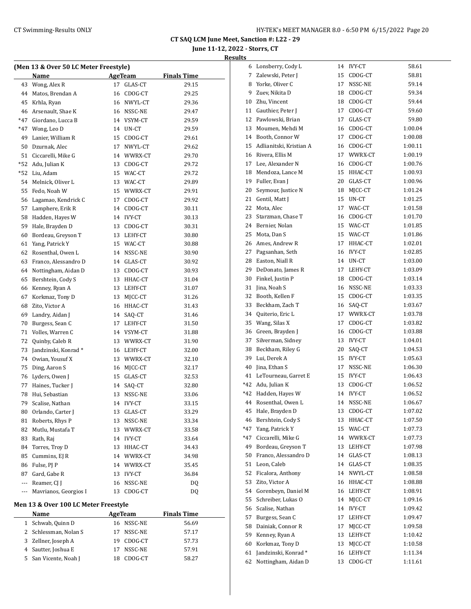**June 11-12, 2022 - Storrs, CT**

|       | (Men 13 & Over 50 LC Meter Freestyle) |    |                |                    |
|-------|---------------------------------------|----|----------------|--------------------|
|       | Name                                  |    | <b>AgeTeam</b> | <b>Finals Time</b> |
| 43    | Wong, Alex R                          | 17 | GLAS-CT        | 29.15              |
| 44    | Matos, Brendan A                      | 16 | CDOG-CT        | 29.25              |
| 45    | Krhla, Ryan                           |    | 16 NWYL-CT     | 29.36              |
| 46    | Arsenault, Shae K                     |    | 16 NSSC-NE     | 29.47              |
| *47   | Giordano, Lucca B                     |    | 14 VSYM-CT     | 29.59              |
| $*47$ | Wong, Leo D                           |    | 14 UN-CT       | 29.59              |
| 49    | Lanier, William R                     |    | 15 CDOG-CT     | 29.61              |
| 50    | Dzurnak, Alec                         |    | 17 NWYL-CT     | 29.62              |
| 51    | Ciccarelli, Mike G                    |    | 14 WWRX-CT     | 29.70              |
| *52   | Adu, Julian K                         |    | 13 CDOG-CT     | 29.72              |
| *52   | Liu, Adam                             |    | 15 WAC-CT      | 29.72              |
| 54    | Melnick, Oliver L                     |    | 13 WAC-CT      | 29.89              |
| 55    | Fedo, Noah W                          |    | 15 WWRX-CT     | 29.91              |
| 56    | Lagamao, Kendrick C                   |    | 17 CDOG-CT     | 29.92              |
| 57    | Lamphere, Erik R                      |    | 14 CDOG-CT     | 30.11              |
| 58    | Hadden, Hayes W                       |    | 14 IVY-CT      | 30.13              |
| 59    | Hale, Brayden D                       |    | 13 CDOG-CT     | 30.31              |
| 60    | Bordeau, Greyson T                    |    | 13 LEHY-CT     | 30.80              |
| 61    | Yang, Patrick Y                       |    | 15 WAC-CT      | 30.88              |
| 62    | Rosenthal, Owen L                     |    | 14 NSSC-NE     | 30.90              |
| 63    | Franco, Alessandro D                  |    | 14 GLAS-CT     | 30.92              |
| 64    | Nottingham, Aidan D                   |    | 13 CDOG-CT     | 30.93              |
| 65    | Bershtein, Cody S                     |    | 13 HHAC-CT     | 31.04              |
| 66    | Kenney, Ryan A                        |    | 13 LEHY-CT     | 31.07              |
| 67    | Korkmaz, Tony D                       |    | 13 MJCC-CT     | 31.26              |
| 68    | Zito, Victor A                        |    | 16 HHAC-CT     | 31.43              |
| 69    | Landry, Aidan J                       | 14 | SAQ-CT         | 31.46              |
| 70    | Burgess, Sean C                       | 17 | LEHY-CT        | 31.50              |
| 71    | Volles, Warren C                      |    | 14 VSYM-CT     | 31.88              |
| 72    | Quinby, Caleb R                       |    | 13 WWRX-CT     | 31.90              |
| 73    | Jandzinski, Konrad*                   |    | 16 LEHY-CT     | 32.00              |
| 74    | Owian, Yousuf X                       |    | 13 WWRX-CT     | 32.10              |
| 75    | Ding, Aaron S                         |    | 16 MJCC-CT     | 32.17              |
| 76    | Lyders, Owen J                        |    | 15 GLAS-CT     | 32.53              |
| 77    | Haines, Tucker J                      |    | 14 SAQ-CT      | 32.80              |
| 78    | Hui, Sebastian                        |    | 13 NSSC-NE     | 33.06              |
| 79    | Scalise, Nathan                       | 14 | IVY-CT         | 33.15              |
| 80    | Orlando, Carter J                     | 13 | GLAS-CT        | 33.29              |
| 81    | Roberts, Rhys P                       | 13 | NSSC-NE        | 33.34              |
| 82    | Mutlu, Mustafa T                      | 13 | WWRX-CT        | 33.58              |
| 83    | Rath, Raj                             |    | 14 IVY-CT      | 33.64              |
| 84    | Torres, Troy D                        |    | 13 HHAC-CT     | 34.43              |
| 85    | Cummins, EJ R                         |    | 14 WWRX-CT     | 34.98              |
| 86    | Fulse, PJ P                           |    | 14 WWRX-CT     | 35.45              |
|       | Gard, Gabe R                          | 13 | <b>IVY-CT</b>  | 36.84              |
| 87    |                                       |    |                |                    |
| ---   | Reamer, CJ J                          | 16 | NSSC-NE        | DQ                 |
| ---   | Mavrianos, Georgios I                 | 13 | CDOG-CT        | DQ                 |

| <b>Name</b>           |     | AgeTeam    | <b>Finals Time</b> |
|-----------------------|-----|------------|--------------------|
| 1 Schwab, Quinn D     |     | 16 NSSC-NE | 56.69              |
| 2 Schlessman, Nolan S | 17  | NSSC-NE    | 57.17              |
| 3 Zellner, Joseph A   | 19. | CDOG-CT    | 57.73              |
| 4 Sautter, Joshua E   |     | NSSC-NE    | 57.91              |
| 5 San Vicente, Noah J | 18  | CDOG-CT    | 58.27              |
|                       |     |            |                    |

| 6     | Lonsberry, Cody L       | 14 | <b>IVY-CT</b> | 58.61   |
|-------|-------------------------|----|---------------|---------|
| 7     | Zalewski, Peter J       | 15 | CDOG-CT       | 58.81   |
| 8     | Yorke, Oliver C         | 17 | NSSC-NE       | 59.14   |
| 9     | Zuev, Nikita D          | 18 | CDOG-CT       | 59.34   |
| 10    | Zhu, Vincent            | 18 | CDOG-CT       | 59.44   |
| 11    | Gauthier, Peter J       | 17 | CDOG-CT       | 59.60   |
| 12    | Pawlowski, Brian        | 17 | GLAS-CT       | 59.80   |
| 13    | Moumen, Mehdi M         | 16 | CDOG-CT       | 1:00.04 |
| 14    | Booth, Connor W         | 17 | CDOG-CT       | 1:00.08 |
| 15    | Adlianitski, Kristian A | 16 | CDOG-CT       | 1:00.11 |
| 16    | Rivera, Ellis M         | 17 | WWRX-CT       | 1:00.19 |
| 17    | Lee, Alexander N        | 16 | CDOG-CT       | 1:00.76 |
| 18    | Mendoza, Lance M        | 15 | HHAC-CT       | 1:00.93 |
| 19    | Fuller, Evan J          | 20 | GLAS-CT       | 1:00.96 |
| 20    | Seymour, Justice N      | 18 | MJCC-CT       | 1:01.24 |
| 21    | Gentil, Matt J          | 15 | UN-CT         | 1:01.25 |
| 22    | Mota, Alec              | 17 | WAC-CT        | 1:01.58 |
| 23    | Starzman, Chase T       | 16 | CDOG-CT       | 1:01.70 |
| 24    | Bernier, Nolan          | 15 | WAC-CT        | 1:01.85 |
| 25    | Mota, Dan S             | 15 | WAC-CT        | 1:01.86 |
| 26    | Ames, Andrew R          | 17 | HHAC-CT       | 1:02.01 |
| 27    | Pagsanhan, Seth         | 16 | IVY-CT        | 1:02.85 |
| 28    | Easton, Niall R         | 14 | UN-CT         | 1:03.00 |
| 29    | DeDonato, James R       | 17 | LEHY-CT       | 1:03.09 |
| 30    | Finkel, Justin P        | 18 | CDOG-CT       | 1:03.14 |
| 31    | Jina, Noah S            | 16 | NSSC-NE       | 1:03.33 |
| 32    | Booth, Kellen F         | 15 | CDOG-CT       | 1:03.35 |
| 33    | Beckham, Zach T         | 16 | SAQ-CT        | 1:03.67 |
| 34    | Quiterio, Eric L        | 17 | WWRX-CT       | 1:03.78 |
| 35    | Wang, Silas X           | 17 | CDOG-CT       | 1:03.82 |
| 36    | Green, Brayden J        | 16 | CDOG-CT       | 1:03.88 |
| 37    | Silverman, Sidney       | 13 | <b>IVY-CT</b> | 1:04.01 |
| 38    | Beckham, Riley G        | 20 | SAQ-CT        | 1:04.53 |
| 39    | Lui, Derek A            | 15 | IVY-CT        | 1:05.63 |
| 40    | Jina, Ethan S           | 17 | NSSC-NE       | 1:06.30 |
| 41    | LeTourneau, Garret E    | 15 | <b>IVY-CT</b> | 1:06.43 |
| *42   | Adu, Julian K           | 13 | CDOG-CT       | 1:06.52 |
| *42   | Hadden, Hayes W         | 14 | <b>IVY-CT</b> | 1:06.52 |
| 44    | Rosenthal, Owen L       | 14 | NSSC-NE       | 1:06.67 |
| 45    | Hale, Brayden D         | 13 | CDOG-CT       | 1:07.02 |
| 46    | Bershtein, Cody S       | 13 | HHAC-CT       | 1:07.50 |
| $*47$ | Yang, Patrick Y         | 15 | WAC-CT        | 1:07.73 |
| *47   | Ciccarelli, Mike G      | 14 | WWRX-CT       | 1:07.73 |
| 49    | Bordeau, Greyson T      | 13 | LEHY-CT       | 1:07.98 |
| 50    | Franco, Alessandro D    | 14 | GLAS-CT       | 1:08.13 |
| 51    | Leon, Caleb             | 14 | GLAS-CT       | 1:08.35 |
| 52    | Ficalora, Anthony       | 14 | NWYL-CT       | 1:08.58 |
| 53    | Zito, Victor A          | 16 | HHAC-CT       | 1:08.88 |
| 54    | Gorenbeyn, Daniel M     | 16 | LEHY-CT       | 1:08.91 |
| 55    | Schreiber, Lukas O      | 14 | MJCC-CT       | 1:09.16 |
| 56    | Scalise, Nathan         | 14 | <b>IVY-CT</b> | 1:09.42 |
| 57    | Burgess, Sean C         | 17 | LEHY-CT       | 1:09.47 |
| 58    | Dainiak, Connor R       | 17 | MJCC-CT       | 1:09.58 |
| 59    | Kenney, Ryan A          | 13 | LEHY-CT       | 1:10.42 |
| 60    | Korkmaz, Tony D         | 13 | MJCC-CT       | 1:10.58 |
| 61    | Jandzinski, Konrad*     | 16 | LEHY-CT       | 1:11.34 |
| 62    | Nottingham, Aidan D     | 13 | CDOG-CT       | 1:11.61 |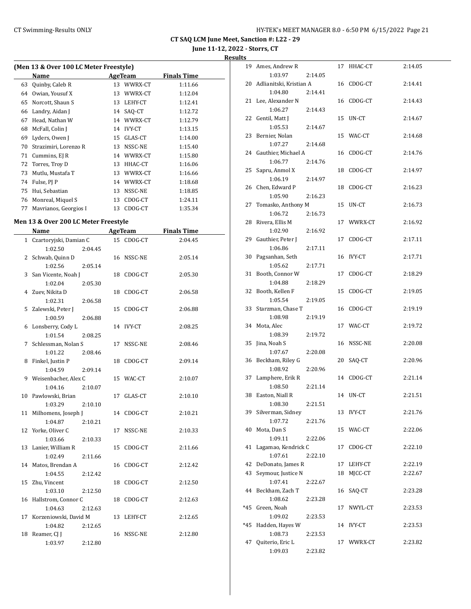**June 11-12, 2022 - Storrs, CT**

**Results**

|    | (Men 13 & Over 100 LC Meter Freestyle) |    |               |                    |  |  |  |
|----|----------------------------------------|----|---------------|--------------------|--|--|--|
|    | Name                                   |    | AgeTeam       | <b>Finals Time</b> |  |  |  |
| 63 | Quinby, Caleb R                        | 13 | WWRX-CT       | 1:11.66            |  |  |  |
| 64 | Owian, Yousuf X                        | 13 | WWRX-CT       | 1:12.04            |  |  |  |
| 65 | Norcott, Shaun S                       | 13 | LEHY-CT       | 1:12.41            |  |  |  |
| 66 | Landry, Aidan J                        | 14 | SAO-CT        | 1:12.72            |  |  |  |
| 67 | Head, Nathan W                         | 14 | WWRX-CT       | 1:12.79            |  |  |  |
| 68 | McFall, Colin J                        | 14 | <b>IVY-CT</b> | 1:13.15            |  |  |  |
| 69 | Lyders, Owen J                         | 15 | GLAS-CT       | 1:14.00            |  |  |  |
| 70 | Strazimiri, Lorenzo R                  | 13 | NSSC-NE       | 1:15.40            |  |  |  |
| 71 | Cummins, EJ R                          | 14 | WWRX-CT       | 1:15.80            |  |  |  |
| 72 | Torres, Troy D                         | 13 | HHAC-CT       | 1:16.06            |  |  |  |
| 73 | Mutlu, Mustafa T                       | 13 | WWRX-CT       | 1:16.66            |  |  |  |
| 74 | Fulse, PJ P                            | 14 | WWRX-CT       | 1:18.68            |  |  |  |
| 75 | Hui, Sebastian                         | 13 | NSSC-NE       | 1:18.85            |  |  |  |
| 76 | Monreal, Miquel S                      | 13 | CDOG-CT       | 1:24.11            |  |  |  |
| 77 | Mayrianos, Georgios I                  | 13 | CDOG-CT       | 1:35.34            |  |  |  |

#### **Men 13 & Over 200 LC Meter Freestyle**

|              | Name                                           | <b>AgeTeam</b> | <b>Finals Time</b> |
|--------------|------------------------------------------------|----------------|--------------------|
| $\mathbf{1}$ | Czartoryjski, Damian C                         | 15 CDOG-CT     | 2:04.45            |
|              | 1:02.50<br>2:04.45                             |                |                    |
| 2            | Schwab, Quinn D                                | 16 NSSC-NE     | 2:05.14            |
|              | 1:02.56<br>2:05.14                             |                |                    |
| 3            | San Vicente, Noah J                            | 18 CDOG-CT     | 2:05.30            |
|              | 1:02.04<br>2:05.30                             |                |                    |
|              | 4 Zuev, Nikita D                               | 18 CDOG-CT     | 2:06.58            |
|              | 1:02.31<br>2:06.58                             |                |                    |
| 5            | Zalewski, Peter J                              | 15 CDOG-CT     | 2:06.88            |
|              | 1:00.59<br>2:06.88                             |                |                    |
|              | 6 Lonsberry, Cody L                            | 14 IVY-CT      | 2:08.25            |
|              | 1:01.54<br>2:08.25                             |                |                    |
| 7            | Schlessman, Nolan S                            | 17 NSSC-NE     | 2:08.46            |
|              | 1:01.22<br>2:08.46                             |                |                    |
| 8            | Finkel, Justin P                               | 18 CDOG-CT     | 2:09.14            |
|              | 1:04.59<br>2:09.14                             |                |                    |
|              | 9 Weisenbacher, Alex C                         | 15 WAC-CT      | 2:10.07            |
|              | 1:04.16<br>2:10.07                             |                |                    |
|              | 10 Pawlowski, Brian                            | 17 GLAS-CT     | 2:10.10            |
|              | 1:03.29<br>2:10.10                             |                |                    |
|              | 11 Milhomens, Joseph J                         | 14 CDOG-CT     | 2:10.21            |
|              | 1:04.87<br>2:10.21                             |                |                    |
|              | 12 Yorke, Oliver C                             | NSSC-NE<br>17  | 2:10.33            |
|              | 1:03.66<br>2:10.33                             |                |                    |
|              | 13 Lanier, William R                           | CDOG-CT<br>15  | 2:11.66            |
|              | 1:02.49<br>2:11.66                             |                |                    |
|              | 14 Matos, Brendan A                            | CDOG-CT<br>16  | 2:12.42            |
|              | 1:04.55<br>2:12.42                             |                |                    |
|              | 15 Zhu, Vincent                                | CDOG-CT<br>18  | 2:12.50            |
|              | 1:03.10<br>2:12.50                             | 18             |                    |
|              | 16 Hallstrom, Connor C<br>1:04.63              | CDOG-CT        | 2:12.63            |
|              | 2:12.63                                        | 13 LEHY-CT     | 2:12.65            |
|              | 17 Korzeniowski, David M<br>1:04.82<br>2:12.65 |                |                    |
| 18           | Reamer, CJ J                                   | 16 NSSC-NE     | 2:12.80            |
|              | 1:03.97<br>2:12.80                             |                |                    |
|              |                                                |                |                    |

| 19  | Ames, Andrew R                 |         | 17 | HHAC-CT       | 2:14.05 |
|-----|--------------------------------|---------|----|---------------|---------|
|     | 1:03.97                        | 2:14.05 |    |               |         |
| 20  | Adlianitski, Kristian A        |         |    | 16 CDOG-CT    | 2:14.41 |
|     | 1:04.80                        | 2:14.41 |    |               |         |
| 21  | Lee, Alexander N               |         | 16 | CDOG-CT       | 2:14.43 |
|     | 1:06.27                        | 2:14.43 |    |               |         |
|     | 22 Gentil, Matt J              |         | 15 | UN-CT         | 2:14.67 |
|     | 1:05.53                        | 2:14.67 |    |               |         |
| 23  | Bernier, Nolan                 |         |    | 15 WAC-CT     | 2:14.68 |
|     | 1:07.27                        | 2:14.68 |    |               |         |
| 24  | Gauthier, Michael A            | 2:14.76 | 16 | CDOG-CT       | 2:14.76 |
| 25  | 1:06.77<br>Sapru, Anmol X      |         | 18 | CDOG-CT       | 2:14.97 |
|     | 1:06.19                        | 2:14.97 |    |               |         |
| 26  | Chen, Edward P                 |         | 18 | CDOG-CT       | 2:16.23 |
|     | 1:05.90                        | 2:16.23 |    |               |         |
| 27  | Tomasko, Anthony M             |         | 15 | UN-CT         | 2:16.73 |
|     | 1:06.72                        | 2:16.73 |    |               |         |
| 28  | Rivera, Ellis M                |         |    | 17 WWRX-CT    | 2:16.92 |
|     | 1:02.90                        | 2:16.92 |    |               |         |
| 29  | Gauthier, Peter J              |         | 17 | CDOG-CT       | 2:17.11 |
|     | 1:06.86                        | 2:17.11 |    |               |         |
| 30  | Pagsanhan, Seth                |         | 16 | <b>IVY-CT</b> | 2:17.71 |
|     | 1:05.62                        | 2:17.71 |    |               |         |
| 31  | Booth, Connor W                |         | 17 | CDOG-CT       | 2:18.29 |
|     | 1:04.88                        | 2:18.29 |    |               |         |
| 32  | Booth, Kellen F                |         | 15 | CDOG-CT       | 2:19.05 |
| 33  | 1:05.54<br>Starzman, Chase T   | 2:19.05 | 16 | CDOG-CT       | 2:19.19 |
|     | 1:08.98                        | 2:19.19 |    |               |         |
| 34  | Mota, Alec                     |         |    | 17 WAC-CT     | 2:19.72 |
|     | 1:08.39                        | 2:19.72 |    |               |         |
| 35  | Jina, Noah S                   |         | 16 | NSSC-NE       | 2:20.08 |
|     | 1:07.67                        | 2:20.08 |    |               |         |
| 36  | Beckham, Riley G               |         | 20 | SAQ-CT        | 2:20.96 |
|     | 1:08.92                        | 2:20.96 |    |               |         |
| 37  | Lamphere, Erik R               |         | 14 | CDOG-CT       | 2:21.14 |
|     | 1:08.50                        | 2:21.14 |    |               |         |
| 38  | Easton, Niall R                |         | 14 | UN-CT         | 2:21.51 |
|     | 1:08.30                        | 2:21.51 |    |               |         |
| 39  | Silverman, Sidney              |         | 13 | <b>IVY-CT</b> | 2:21.76 |
|     | 1:07.72                        | 2:21.76 |    |               |         |
| 40  | Mota, Dan S                    |         | 15 | WAC-CT        | 2:22.06 |
| 41  | 1:09.11<br>Lagamao, Kendrick C | 2:22.06 | 17 | CDOG-CT       | 2:22.10 |
|     | 1:07.61                        | 2:22.10 |    |               |         |
| 42  | DeDonato, James R              |         | 17 | LEHY-CT       | 2:22.19 |
| 43  | Seymour, Justice N             |         | 18 | MICC-CT       | 2:22.67 |
|     | 1:07.41                        | 2:22.67 |    |               |         |
| 44  | Beckham, Zach T                |         | 16 | SAQ-CT        | 2:23.28 |
|     | 1:08.62                        | 2:23.28 |    |               |         |
| *45 | Green, Noah                    |         | 17 | NWYL-CT       | 2:23.53 |
|     | 1:09.02                        | 2:23.53 |    |               |         |
| *45 | Hadden, Hayes W                |         | 14 | <b>IVY-CT</b> | 2:23.53 |
|     | 1:08.73                        | 2:23.53 |    |               |         |
| 47  | Quiterio, Eric L               |         | 17 | WWRX-CT       | 2:23.82 |
|     | 1:09.03                        | 2:23.82 |    |               |         |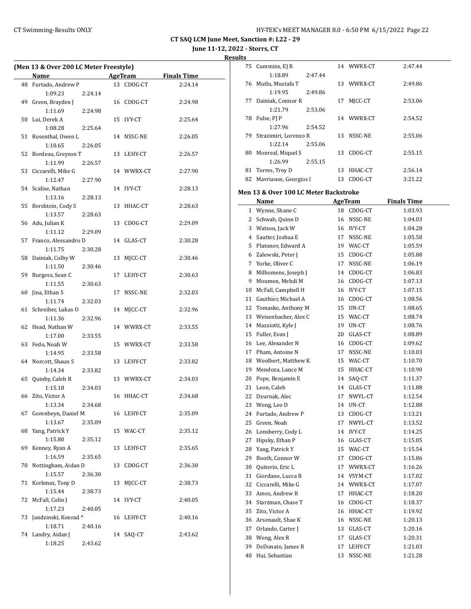Cummins, EJ R 14 WWRX-CT 2:47.44

**CT SAQ LCM June Meet, Sanction #: L22 - 29**

**June 11-12, 2022 - Storrs, CT**

**Results**

 $\frac{1}{2}$ 

| (Men 13 & Over 200 LC Meter Freestyle) |                         |         |    |            |                                      |
|----------------------------------------|-------------------------|---------|----|------------|--------------------------------------|
|                                        | Name                    |         |    |            | <b>Example 2 AgeTeam</b> Finals Time |
|                                        | 48 Furtado, Andrew P    |         |    | 13 CDOG-CT | 2:24.14                              |
|                                        | 1:09.23                 | 2:24.14 |    |            |                                      |
| 49                                     | Green, Brayden J        |         |    | 16 CDOG-CT | 2:24.98                              |
|                                        | 1:11.69                 | 2:24.98 |    |            |                                      |
|                                        | 50 Lui, Derek A         |         |    | 15 IVY-CT  | 2:25.64                              |
|                                        | 1:08.28                 | 2:25.64 |    |            |                                      |
|                                        | 51 Rosenthal, Owen L    |         |    | 14 NSSC-NE | 2:26.05                              |
|                                        | 1:10.65                 | 2:26.05 |    |            |                                      |
| 52                                     | Bordeau, Greyson T      |         |    | 13 LEHY-CT | 2:26.57                              |
|                                        | 1:11.99                 | 2:26.57 |    |            |                                      |
|                                        | 53 Ciccarelli, Mike G   |         |    | 14 WWRX-CT | 2:27.90                              |
|                                        | 1:12.47                 | 2:27.90 |    |            |                                      |
|                                        | 54 Scalise, Nathan      |         |    | 14 IVY-CT  | 2:28.13                              |
|                                        | 1:13.16                 | 2:28.13 |    |            |                                      |
|                                        | 55 Bershtein, Cody S    |         |    | 13 HHAC-CT | 2:28.63                              |
|                                        | 1:13.57                 | 2:28.63 |    |            |                                      |
|                                        | 56 Adu, Julian K        |         |    | 13 CDOG-CT | 2:29.09                              |
|                                        | 1:11.12                 | 2:29.09 |    |            |                                      |
|                                        | 57 Franco, Alessandro D |         |    | 14 GLAS-CT | 2:30.28                              |
|                                        | 1:11.75                 | 2:30.28 |    |            |                                      |
|                                        | 58 Dainiak, Colby W     |         |    | 13 MJCC-CT | 2:30.46                              |
|                                        | 1:11.50                 | 2:30.46 |    |            |                                      |
|                                        | 59 Burgess, Sean C      |         |    | 17 LEHY-CT | 2:30.63                              |
|                                        | 1:11.55                 | 2:30.63 |    |            |                                      |
|                                        | 60 Jina, Ethan S        |         |    | 17 NSSC-NE | 2:32.03                              |
|                                        | 1:11.74                 | 2:32.03 |    |            |                                      |
|                                        | 61 Schreiber, Lukas O   |         |    | 14 MJCC-CT | 2:32.96                              |
|                                        | 1:11.36                 | 2:32.96 |    |            |                                      |
|                                        | 62 Head, Nathan W       |         |    | 14 WWRX-CT | 2:33.55                              |
|                                        | 1:17.00                 | 2:33.55 |    |            |                                      |
|                                        | 63 Fedo, Noah W         |         |    | 15 WWRX-CT | 2:33.58                              |
|                                        | 1:14.95                 | 2:33.58 |    |            |                                      |
|                                        | 64 Norcott, Shaun S     |         |    | 13 LEHY-CT | 2:33.82                              |
|                                        | 1:14.34                 | 2:33.82 |    |            |                                      |
| 65                                     | Quinby, Caleb R         |         |    | 13 WWRX-CT | 2:34.03                              |
|                                        | 1:15.18                 | 2:34.03 |    |            |                                      |
|                                        | 66 Zito, Victor A       |         |    | 16 HHAC-CT | 2:34.68                              |
|                                        | 1:13.34                 | 2:34.68 |    |            |                                      |
|                                        | 67 Gorenbeyn, Daniel M  |         |    | 16 LEHY-CT | 2:35.09                              |
|                                        | 1:13.67                 | 2:35.09 |    |            |                                      |
| 68                                     | Yang, Patrick Y         |         |    | 15 WAC-CT  | 2:35.12                              |
|                                        | 1:15.80                 | 2:35.12 |    |            |                                      |
| 69                                     | Kenney, Ryan A          |         |    | 13 LEHY-CT | 2:35.65                              |
|                                        | 1:16.59                 | 2:35.65 |    |            |                                      |
| 70                                     | Nottingham, Aidan D     |         |    | 13 CDOG-CT | 2:36.30                              |
|                                        | 1:15.57                 | 2:36.30 |    |            |                                      |
| 71                                     | Korkmaz, Tony D         |         | 13 | MICC-CT    | 2:38.73                              |
|                                        | 1:15.44                 | 2:38.73 |    |            |                                      |
| 72                                     | McFall, Colin J         |         |    | 14 IVY-CT  | 2:40.05                              |
|                                        | 1:17.23                 | 2:40.05 |    |            |                                      |
| 73                                     | Jandzinski, Konrad*     |         |    | 16 LEHY-CT | 2:40.16                              |
|                                        | 1:18.71                 | 2:40.16 |    |            |                                      |
|                                        | 74 Landry, Aidan J      |         |    | 14 SAQ-CT  | 2:43.62                              |
|                                        | 1:18.25                 | 2:43.62 |    |            |                                      |

|    | 1:18.89<br>2:47.44                    |    |                |                    |
|----|---------------------------------------|----|----------------|--------------------|
| 76 | Mutlu, Mustafa T                      |    | 13 WWRX-CT     | 2:49.86            |
|    | 1:19.95<br>2:49.86                    |    |                |                    |
| 77 | Dainiak, Connor R                     | 17 | MJCC-CT        | 2:53.06            |
|    | 1:21.79<br>2:53.06                    |    |                |                    |
|    | 78 Fulse, PJ P                        |    | 14 WWRX-CT     | 2:54.52            |
|    | 2:54.52<br>1:27.96                    |    |                |                    |
| 79 | Strazimiri, Lorenzo R                 | 13 | NSSC-NE        | 2:55.06            |
|    | 1:22.14<br>2:55.06                    |    |                |                    |
| 80 | Monreal, Miquel S                     | 13 | CDOG-CT        | 2:55.15            |
|    | 1:26.99<br>2:55.15                    |    |                |                    |
| 81 | Torres, Troy D                        | 13 | HHAC-CT        | 2:56.14            |
| 82 | Mavrianos, Georgios I                 |    | 13 CDOG-CT     | 3:21.22            |
|    | Men 13 & Over 100 LC Meter Backstroke |    |                |                    |
|    | Name                                  |    | <b>AgeTeam</b> | <b>Finals Time</b> |
|    | 1 Wynne, Shane C                      |    | 18 CDOG-CT     | 1:03.93            |
|    | 2 Schwab, Quinn D                     |    | 16 NSSC-NE     | 1:04.03            |
| 3  | Watson, Jack W                        |    | 16 IVY-CT      | 1:04.28            |
| 4  | Sautter, Joshua E                     |    | 17 NSSC-NE     | 1:05.58            |
| 5. | Platonov, Edward A                    |    | 19 WAC-CT      | 1:05.59            |
| 6  | Zalewski, Peter J                     | 15 | CDOG-CT        | 1:05.88            |
| 7  | Yorke, Oliver C                       | 17 | NSSC-NE        | 1:06.19            |
| 8  | Milhomens, Joseph J                   |    | 14 CDOG-CT     | 1:06.83            |
| 9  | Moumen, Mehdi M                       |    | 16 CDOG-CT     | 1:07.13            |
| 10 | McFall, Campbell H                    |    | 16 IVY-CT      | 1:07.15            |
| 11 | Gauthier, Michael A                   |    | 16 CDOG-CT     | 1:08.56            |
| 12 | Tomasko, Anthony M                    |    | 15 UN-CT       | 1:08.65            |
| 13 | Weisenbacher, Alex C                  |    | 15 WAC-CT      | 1:08.74            |
| 14 | Mazziotti, Kyle J                     |    | 19 UN-CT       | 1:08.76            |
| 15 | Fuller, Evan J                        |    | 20 GLAS-CT     | 1:08.89            |
|    | 16 Lee, Alexander N                   |    | 16 CDOG-CT     | 1:09.62            |
| 17 | Pham, Antoine N                       | 17 | NSSC-NE        | 1:10.03            |
| 18 | Woolbert, Matthew K                   |    | 15 WAC-CT      | 1:10.70            |
| 19 | Mendoza, Lance M                      |    | 15 HHAC-CT     | 1:10.90            |
| 20 | Pope, Benjamin E                      | 14 | SAQ-CT         | 1:11.37            |
| 21 | Leon, Caleb                           |    | 14 GLAS-CT     | 1:11.88            |
| 22 | Dzurnak, Alec                         | 17 | NWYL-CT        | 1:12.54            |
| 23 | Wong, Leo D                           | 14 | UN-CT          | 1:12.88            |
| 24 | Furtado, Andrew P                     | 13 | CDOG-CT        | 1:13.21            |
| 25 | Green, Noah                           | 17 | NWYL-CT        | 1:13.52            |
| 26 | Lonsberry, Cody L                     | 14 | <b>IVY-CT</b>  | 1:14.25            |
| 27 | Hipsky, Ethan P                       | 16 | GLAS-CT        | 1:15.05            |
| 28 | Yang, Patrick Y                       | 15 | WAC-CT         | 1:15.54            |
| 29 | Booth, Connor W                       | 17 | CDOG-CT        | 1:15.86            |
| 30 | Quiterio, Eric L                      | 17 | WWRX-CT        | 1:16.26            |
| 31 | Giordano, Lucca B                     | 14 | VSYM-CT        | 1:17.02            |
| 32 | Ciccarelli, Mike G                    | 14 | WWRX-CT        | 1:17.07            |
| 33 | Ames, Andrew R                        | 17 | HHAC-CT        | 1:18.20            |
| 34 | Starzman, Chase T                     | 16 | CDOG-CT        | 1:18.37            |
| 35 | Zito, Victor A                        | 16 | HHAC-CT        | 1:19.92            |
| 36 | Arsenault, Shae K                     | 16 | NSSC-NE        | 1:20.13            |
| 37 | Orlando, Carter J                     | 13 | GLAS-CT        | 1:20.16            |
| 38 | Wong, Alex R                          | 17 | GLAS-CT        | 1:20.31            |
| 39 | DeDonato, James R                     | 17 | LEHY-CT        | 1:21.03            |
| 40 | Hui, Sebastian                        | 13 | NSSC-NE        | 1:21.28            |
|    |                                       |    |                |                    |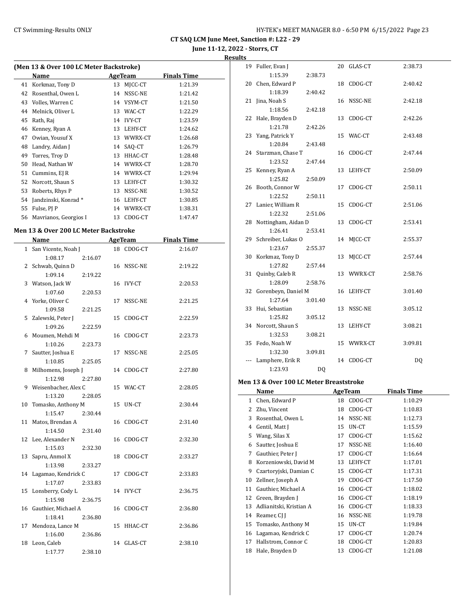**June 11-12, 2022 - Storrs, CT**

#### **Results**

|    | (Men 13 & Over 100 LC Meter Backstroke) |         |               |                    |  |  |  |  |  |
|----|-----------------------------------------|---------|---------------|--------------------|--|--|--|--|--|
|    | Name                                    | AgeTeam |               | <b>Finals Time</b> |  |  |  |  |  |
| 41 | Korkmaz, Tony D                         | 13      | MJCC-CT       | 1:21.39            |  |  |  |  |  |
| 42 | Rosenthal, Owen L                       | 14      | NSSC-NE       | 1:21.42            |  |  |  |  |  |
| 43 | Volles, Warren C                        | 14      | VSYM-CT       | 1:21.50            |  |  |  |  |  |
| 44 | Melnick, Oliver L                       | 13      | WAC-CT        | 1:22.29            |  |  |  |  |  |
| 45 | Rath, Raj                               | 14      | <b>IVY-CT</b> | 1:23.59            |  |  |  |  |  |
| 46 | Kenney, Ryan A                          | 13      | LEHY-CT       | 1:24.62            |  |  |  |  |  |
| 47 | Owian, Yousuf X                         | 13      | WWRX-CT       | 1:26.68            |  |  |  |  |  |
| 48 | Landry, Aidan J                         |         | 14 SAO-CT     | 1:26.79            |  |  |  |  |  |
| 49 | Torres, Troy D                          | 13      | HHAC-CT       | 1:28.48            |  |  |  |  |  |
| 50 | Head, Nathan W                          | 14      | WWRX-CT       | 1:28.70            |  |  |  |  |  |
| 51 | Cummins, EJ R                           | 14      | WWRX-CT       | 1:29.94            |  |  |  |  |  |
| 52 | Norcott, Shaun S                        | 13      | LEHY-CT       | 1:30.32            |  |  |  |  |  |
| 53 | Roberts, Rhys P                         | 13      | NSSC-NE       | 1:30.52            |  |  |  |  |  |
| 54 | Jandzinski, Konrad*                     | 16      | LEHY-CT       | 1:30.85            |  |  |  |  |  |
| 55 | Fulse, PJ P                             | 14      | WWRX-CT       | 1:38.31            |  |  |  |  |  |
| 56 | Mayrianos, Georgios I                   | 13      | CDOG-CT       | 1:47.47            |  |  |  |  |  |

#### **Men 13 & Over 200 LC Meter Backstroke**

|    | Name                   |    | <b>AgeTeam</b> | <b>Finals Time</b> |  |
|----|------------------------|----|----------------|--------------------|--|
|    | 1 San Vicente, Noah J  |    | 18 CDOG-CT     | 2:16.07            |  |
|    | 1:08.17<br>2:16.07     |    |                |                    |  |
|    | 2 Schwab, Quinn D      |    | 16 NSSC-NE     | 2:19.22            |  |
|    | 1:09.14<br>2:19.22     |    |                |                    |  |
| 3  | Watson, Jack W         |    | 16 IVY-CT      | 2:20.53            |  |
|    | 1:07.60<br>2:20.53     |    |                |                    |  |
|    | 4 Yorke, Oliver C      | 17 | NSSC-NE        | 2:21.25            |  |
|    | 1:09.58<br>2:21.25     |    |                |                    |  |
| 5. | Zalewski, Peter J      | 15 | CDOG-CT        | 2:22.59            |  |
|    | 1:09.26<br>2:22.59     |    |                |                    |  |
| 6  | Moumen, Mehdi M        | 16 | CDOG-CT        | 2:23.73            |  |
|    | 1:10.26<br>2:23.73     |    |                |                    |  |
| 7  | Sautter, Joshua E      | 17 | NSSC-NE        | 2:25.05            |  |
|    | 1:10.85<br>2:25.05     |    |                |                    |  |
| 8  | Milhomens, Joseph J    |    | 14 CDOG-CT     | 2:27.80            |  |
|    | 1:12.98<br>2:27.80     |    |                |                    |  |
|    | 9 Weisenbacher, Alex C |    | 15 WAC-CT      | 2:28.05            |  |
|    | 1:13.20<br>2:28.05     |    |                |                    |  |
| 10 | Tomasko, Anthony M     | 15 | UN-CT          | 2:30.44            |  |
|    | 1:15.47<br>2:30.44     |    |                |                    |  |
| 11 | Matos, Brendan A       | 16 | CDOG-CT        | 2:31.40            |  |
|    | 1:14.50<br>2:31.40     |    |                |                    |  |
| 12 | Lee, Alexander N       | 16 | CDOG-CT        | 2:32.30            |  |
|    | 1:15.03<br>2:32.30     |    |                |                    |  |
| 13 | Sapru, Anmol X         | 18 | CDOG-CT        | 2:33.27            |  |
|    | 1:13.98<br>2:33.27     |    |                |                    |  |
|    | 14 Lagamao, Kendrick C | 17 | CDOG-CT        | 2:33.83            |  |
|    | 1:17.07<br>2:33.83     |    |                |                    |  |
| 15 | Lonsberry, Cody L      |    | 14 IVY-CT      | 2:36.75            |  |
|    | 1:15.98<br>2:36.75     |    |                |                    |  |
| 16 | Gauthier, Michael A    | 16 | CDOG-CT        | 2:36.80            |  |
|    | 1:18.41<br>2:36.80     |    |                |                    |  |
| 17 | Mendoza, Lance M       | 15 | HHAC-CT        | 2:36.86            |  |
|    | 1:16.00<br>2:36.86     |    |                |                    |  |
| 18 | Leon, Caleb            | 14 | GLAS-CT        | 2:38.10            |  |
|    | 1:17.77<br>2:38.10     |    |                |                    |  |

|     | 19 Fuller, Evan J      |         |    | 20 GLAS-CT | 2:38.73 |
|-----|------------------------|---------|----|------------|---------|
|     | 1:15.39                | 2:38.73 |    |            |         |
|     | 20 Chen, Edward P      |         |    | 18 CDOG-CT | 2:40.42 |
|     | 1:18.39                | 2:40.42 |    |            |         |
|     | 21 Jina, Noah S        |         |    | 16 NSSC-NE | 2:42.18 |
|     | 1:18.56                | 2:42.18 |    |            |         |
| 22  | Hale, Brayden D        |         | 13 | CDOG-CT    | 2:42.26 |
|     | 1:21.78                | 2:42.26 |    |            |         |
| 23  | Yang, Patrick Y        |         |    | 15 WAC-CT  | 2:43.48 |
|     | 1:20.84                | 2:43.48 |    |            |         |
|     | 24 Starzman, Chase T   |         |    | 16 CDOG-CT | 2:47.44 |
|     | 1:23.52                | 2:47.44 |    |            |         |
| 25  | Kenney, Ryan A         |         | 13 | LEHY-CT    | 2:50.09 |
|     | 1:25.82                | 2:50.09 |    |            |         |
|     | 26 Booth, Connor W     |         |    | 17 CDOG-CT | 2:50.11 |
|     | 1:22.52                | 2:50.11 |    |            |         |
|     | 27 Lanier, William R   |         |    | 15 CDOG-CT | 2:51.06 |
|     | 1:22.32                | 2:51.06 |    |            |         |
|     | 28 Nottingham, Aidan D |         |    | 13 CDOG-CT | 2:53.41 |
|     | 1:26.41                | 2:53.41 |    |            |         |
|     | 29 Schreiber, Lukas O  |         | 14 | MJCC-CT    | 2:55.37 |
|     | 1:23.67                | 2:55.37 |    |            |         |
|     | 30 Korkmaz, Tony D     |         | 13 | MJCC-CT    | 2:57.44 |
|     | 1:27.82                | 2:57.44 |    |            |         |
|     | 31 Quinby, Caleb R     |         |    | 13 WWRX-CT | 2:58.76 |
|     | 1:28.09                | 2:58.76 |    |            |         |
|     | 32 Gorenbeyn, Daniel M |         |    | 16 LEHY-CT | 3:01.40 |
|     | 1:27.64                | 3:01.40 |    |            |         |
| 33  | Hui, Sebastian         |         |    | 13 NSSC-NE | 3:05.12 |
|     | 1:25.82                | 3:05.12 |    |            |         |
|     | 34 Norcott, Shaun S    |         | 13 | LEHY-CT    | 3:08.21 |
|     | 1:32.53                | 3:08.21 |    |            |         |
| 35  | Fedo, Noah W           |         |    | 15 WWRX-CT | 3:09.81 |
|     | 1:32.30                | 3:09.81 |    |            |         |
| --- | Lamphere, Erik R       |         |    | 14 CDOG-CT | DQ      |
|     | 1:23.93                | DQ      |    |            |         |

#### **Men 13 & Over 100 LC Meter Breaststroke**

|    | Name                    |    | AgeTeam | <b>Finals Time</b> |  |
|----|-------------------------|----|---------|--------------------|--|
| 1  | Chen, Edward P          | 18 | CDOG-CT | 1:10.29            |  |
| 2  | Zhu, Vincent            | 18 | CDOG-CT | 1:10.83            |  |
| 3  | Rosenthal, Owen L       | 14 | NSSC-NE | 1:12.73            |  |
| 4  | Gentil, Matt J          | 15 | UN-CT   | 1:15.59            |  |
| 5  | Wang, Silas X           | 17 | CDOG-CT | 1:15.62            |  |
| 6  | Sautter, Joshua E       | 17 | NSSC-NE | 1:16.40            |  |
| 7  | Gauthier, Peter J       | 17 | CDOG-CT | 1:16.64            |  |
| 8  | Korzeniowski, David M   | 13 | LEHY-CT | 1:17.01            |  |
| 9  | Czartoryjski, Damian C  | 15 | CDOG-CT | 1:17.31            |  |
| 10 | Zellner, Joseph A       | 19 | CDOG-CT | 1:17.50            |  |
| 11 | Gauthier, Michael A     | 16 | CDOG-CT | 1:18.02            |  |
| 12 | Green, Brayden J        | 16 | CDOG-CT | 1:18.19            |  |
| 13 | Adlianitski, Kristian A | 16 | CDOG-CT | 1:18.33            |  |
| 14 | Reamer, CJ J            | 16 | NSSC-NE | 1:19.78            |  |
| 15 | Tomasko, Anthony M      | 15 | UN-CT   | 1:19.84            |  |
| 16 | Lagamao, Kendrick C     | 17 | CDOG-CT | 1:20.74            |  |
| 17 | Hallstrom, Connor C     | 18 | CDOG-CT | 1:20.83            |  |
| 18 | Hale, Brayden D         | 13 | CDOG-CT | 1:21.08            |  |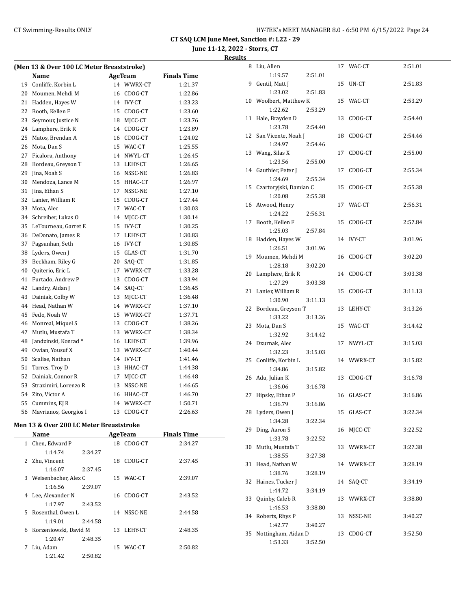**June 11-12, 2022 - Storrs, CT**

#### **Results**

| (Men 13 & Over 100 LC Meter Breaststroke) |                                         |    |            |                    |  |  |
|-------------------------------------------|-----------------------------------------|----|------------|--------------------|--|--|
|                                           | Name                                    |    | AgeTeam    | <b>Finals Time</b> |  |  |
| 19                                        | Conliffe, Korbin L                      | 14 | WWRX-CT    | 1:21.37            |  |  |
| 20                                        | Moumen, Mehdi M                         |    | 16 CDOG-CT | 1:22.86            |  |  |
| 21                                        | Hadden, Hayes W                         |    | 14 IVY-CT  | 1:23.23            |  |  |
| 22                                        | Booth, Kellen F                         |    | 15 CDOG-CT | 1:23.60            |  |  |
| 23                                        | Seymour, Justice N                      |    | 18 MJCC-CT | 1:23.76            |  |  |
| 24                                        | Lamphere, Erik R                        |    | 14 CDOG-CT | 1:23.89            |  |  |
| 25                                        | Matos, Brendan A                        |    | 16 CDOG-CT | 1:24.02            |  |  |
| 26                                        | Mota, Dan S                             |    | 15 WAC-CT  | 1:25.55            |  |  |
| 27                                        | Ficalora, Anthony                       |    | 14 NWYL-CT | 1:26.45            |  |  |
| 28                                        | Bordeau, Greyson T                      |    | 13 LEHY-CT | 1:26.65            |  |  |
| 29                                        | Jina, Noah S                            |    | 16 NSSC-NE | 1:26.83            |  |  |
| 30                                        | Mendoza, Lance M                        |    | 15 HHAC-CT | 1:26.97            |  |  |
| 31                                        | Jina, Ethan S                           | 17 | NSSC-NE    | 1:27.10            |  |  |
| 32                                        | Lanier, William R                       | 15 | CDOG-CT    | 1:27.44            |  |  |
| 33                                        | Mota, Alec                              |    | 17 WAC-CT  | 1:30.03            |  |  |
| 34                                        | Schreiber, Lukas O                      |    | 14 MJCC-CT | 1:30.14            |  |  |
| 35                                        | LeTourneau, Garret E                    |    | 15 IVY-CT  | 1:30.25            |  |  |
| 36                                        | DeDonato, James R                       |    | 17 LEHY-CT | 1:30.83            |  |  |
| 37                                        | Pagsanhan, Seth                         |    | 16 IVY-CT  | 1:30.85            |  |  |
| 38                                        | Lyders, Owen J                          |    | 15 GLAS-CT | 1:31.70            |  |  |
| 39                                        | Beckham, Riley G                        | 20 | SAQ-CT     | 1:31.85            |  |  |
| 40                                        | Quiterio, Eric L                        |    | 17 WWRX-CT | 1:33.28            |  |  |
| 41                                        | Furtado, Andrew P                       |    | 13 CDOG-CT | 1:33.94            |  |  |
| 42                                        | Landry, Aidan J                         |    | 14 SAQ-CT  | 1:36.45            |  |  |
| 43                                        | Dainiak, Colby W                        | 13 | MJCC-CT    | 1:36.48            |  |  |
| 44                                        | Head, Nathan W                          |    | 14 WWRX-CT | 1:37.10            |  |  |
| 45                                        | Fedo, Noah W                            |    | 15 WWRX-CT | 1:37.71            |  |  |
| 46                                        | Monreal, Miquel S                       |    | 13 CDOG-CT | 1:38.26            |  |  |
| 47                                        | Mutlu, Mustafa T                        |    | 13 WWRX-CT | 1:38.34            |  |  |
| 48                                        | Jandzinski, Konrad*                     |    | 16 LEHY-CT | 1:39.96            |  |  |
| 49                                        | Owian, Yousuf X                         |    | 13 WWRX-CT | 1:40.44            |  |  |
| 50                                        | Scalise, Nathan                         |    | 14 IVY-CT  | 1:41.46            |  |  |
| 51                                        | Torres, Troy D                          |    | 13 HHAC-CT | 1:44.38            |  |  |
| 52                                        | Dainiak, Connor R                       | 17 | MJCC-CT    | 1:46.48            |  |  |
| 53                                        | Strazimiri, Lorenzo R                   |    | 13 NSSC-NE | 1:46.65            |  |  |
| 54                                        | Zito, Victor A                          |    | 16 HHAC-CT | 1:46.70            |  |  |
| 55                                        | Cummins, EJ R                           |    | 14 WWRX-CT | 1:50.71            |  |  |
| 56                                        | Mavrianos, Georgios I                   |    | 13 CDOG-CT | 2:26.63            |  |  |
|                                           | Men 13 & Over 200 LC Meter Rreaststroke |    |            |                    |  |  |

#### **Men 13 & Over 200 LC Meter Breaststroke**

|              | Name                   |         |    | AgeTeam    | <b>Finals Time</b> |  |
|--------------|------------------------|---------|----|------------|--------------------|--|
| $\mathbf{1}$ | Chen, Edward P         |         | 18 | CDOG-CT    | 2:34.27            |  |
|              | 1:14.74                | 2:34.27 |    |            |                    |  |
| 2            | Zhu, Vincent           |         | 18 | CDOG-CT    | 2:37.45            |  |
|              | 1:16.07                | 2:37.45 |    |            |                    |  |
|              | 3 Weisenbacher, Alex C |         |    | 15 WAC-CT  | 2:39.07            |  |
|              | 1:16.56                | 2:39.07 |    |            |                    |  |
| 4            | Lee, Alexander N       |         |    | 16 CDOG-CT | 2:43.52            |  |
|              | 1:17.97                | 2:43.52 |    |            |                    |  |
| 5.           | Rosenthal, Owen L      |         |    | 14 NSSC-NE | 2:44.58            |  |
|              | 1:19.01                | 2:44.58 |    |            |                    |  |
| 6            | Korzeniowski, David M  |         | 13 | LEHY-CT    | 2:48.35            |  |
|              | 1:20.47                | 2:48.35 |    |            |                    |  |
| 7            | Liu, Adam              |         | 15 | WAC-CT     | 2:50.82            |  |
|              | 1:21.42                | 2:50.82 |    |            |                    |  |

| 8  | Liu, Allen                     |         |    | 17 WAC-CT     | 2:51.01 |
|----|--------------------------------|---------|----|---------------|---------|
|    | 1:19.57                        | 2:51.01 |    |               |         |
| 9  | Gentil, Matt J                 |         | 15 | UN-CT         | 2:51.83 |
|    | 1:23.02                        | 2:51.83 |    |               |         |
|    | 10 Woolbert, Matthew K         |         | 15 | WAC-CT        | 2:53.29 |
|    | 1:22.62                        | 2:53.29 |    |               |         |
| 11 | Hale, Brayden D                |         | 13 | CDOG-CT       | 2:54.40 |
|    | 1:23.78                        | 2:54.40 |    |               |         |
| 12 | San Vicente, Noah J            |         | 18 | CDOG-CT       | 2:54.46 |
|    | 1:24.97                        | 2:54.46 |    |               |         |
| 13 | Wang, Silas X                  |         | 17 | CDOG-CT       | 2:55.00 |
|    | 1:23.56                        | 2:55.00 |    |               |         |
| 14 | Gauthier, Peter J              |         | 17 | CDOG-CT       | 2:55.34 |
|    | 1:24.69                        | 2:55.34 |    |               |         |
| 15 | Czartoryjski, Damian C         |         | 15 | CDOG-CT       | 2:55.38 |
|    | 1:20.08                        | 2:55.38 |    |               |         |
| 16 | Atwood, Henry                  |         |    | 17 WAC-CT     | 2:56.31 |
|    | 1:24.22                        | 2:56.31 |    |               |         |
| 17 | Booth, Kellen F                |         | 15 | CDOG-CT       | 2:57.84 |
|    | 1:25.03                        | 2:57.84 |    |               |         |
| 18 | Hadden, Hayes W                |         | 14 | <b>IVY-CT</b> | 3:01.96 |
|    | 1:26.51                        | 3:01.96 |    |               |         |
| 19 | Moumen, Mehdi M                |         | 16 | CDOG-CT       | 3:02.20 |
|    | 1:28.18                        | 3:02.20 |    |               |         |
| 20 | Lamphere, Erik R               |         | 14 | CDOG-CT       | 3:03.38 |
|    | 1:27.29                        | 3:03.38 |    |               |         |
| 21 | Lanier, William R              |         | 15 | CDOG-CT       | 3:11.13 |
|    | 1:30.90                        | 3:11.13 |    |               |         |
|    |                                |         |    |               |         |
| 22 | Bordeau, Greyson T             |         | 13 | LEHY-CT       | 3:13.26 |
|    | 1:33.22                        | 3:13.26 |    |               |         |
| 23 | Mota, Dan S                    |         |    | 15 WAC-CT     | 3:14.42 |
|    | 1:32.92                        | 3:14.42 |    |               |         |
| 24 | Dzurnak, Alec                  |         | 17 | NWYL-CT       | 3:15.03 |
|    | 1:32.23                        | 3:15.03 |    |               |         |
| 25 | Conliffe, Korbin L             |         |    | 14 WWRX-CT    | 3:15.82 |
|    | 1:34.86                        | 3:15.82 |    |               |         |
|    | 26 Adu, Julian K               |         | 13 | CDOG-CT       | 3:16.78 |
|    | 1:36.06                        | 3:16.78 |    |               |         |
| 27 | Hipsky, Ethan P                |         | 16 | GLAS-CT       | 3:16.86 |
|    | 1:36.79                        | 3:16.86 |    |               |         |
|    | 28 Lyders, Owen J              |         | 15 | GLAS-CT       | 3:22.34 |
|    | 1:34.28                        | 3:22.34 |    |               |         |
| 29 | Ding, Aaron S                  |         | 16 | MICC-CT       | 3:22.52 |
|    | 1:33.78                        | 3:22.52 |    |               |         |
| 30 | Mutlu, Mustafa T               |         | 13 | WWRX-CT       | 3:27.38 |
|    | 1:38.55                        | 3:27.38 |    |               |         |
| 31 | Head, Nathan W                 |         |    | 14 WWRX-CT    | 3:28.19 |
|    | 1:38.76                        | 3:28.19 |    |               |         |
| 32 | Haines, Tucker J               |         | 14 | SAQ-CT        | 3:34.19 |
|    | 1:44.72                        | 3:34.19 |    |               |         |
| 33 | Quinby, Caleb R                |         | 13 | WWRX-CT       | 3:38.80 |
|    | 1:46.53                        | 3:38.80 |    |               |         |
| 34 | Roberts, Rhys P                |         | 13 | NSSC-NE       | 3:40.27 |
|    | 1:42.77                        | 3:40.27 |    |               |         |
| 35 | Nottingham, Aidan D<br>1:53.33 | 3:52.50 | 13 | CDOG-CT       | 3:52.50 |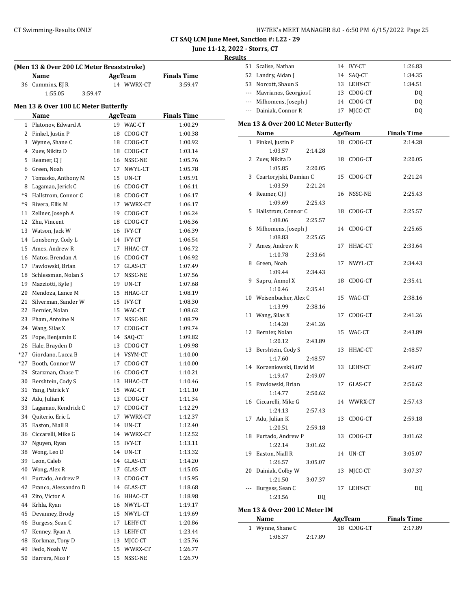| HY-TEK's MEET MANAGER 8.0 - 6:50 PM 6/15/2022 Page 25 |  |  |  |
|-------------------------------------------------------|--|--|--|
|-------------------------------------------------------|--|--|--|

# **June 11-12, 2022 - Storrs, CT**

**Results**

| (Men 13 & Over 200 LC Meter Breaststroke) |                                      |    |                |                    |  |  |
|-------------------------------------------|--------------------------------------|----|----------------|--------------------|--|--|
|                                           | Name                                 |    | AgeTeam        | <b>Finals Time</b> |  |  |
|                                           | 36 Cummins, EJ R                     |    | 14 WWRX-CT     | 3:59.47            |  |  |
|                                           | 1:55.05<br>3:59.47                   |    |                |                    |  |  |
|                                           | Men 13 & Over 100 LC Meter Butterfly |    |                |                    |  |  |
|                                           | Name                                 |    | <b>AgeTeam</b> | <b>Finals Time</b> |  |  |
|                                           | 1 Platonov, Edward A                 |    | 19 WAC-CT      | 1:00.29            |  |  |
|                                           | 2 Finkel, Justin P                   |    | 18 CDOG-CT     | 1:00.38            |  |  |
|                                           | 3 Wynne, Shane C                     |    | 18 CDOG-CT     | 1:00.92            |  |  |
|                                           | 4 Zuev, Nikita D                     |    | 18 CDOG-CT     | 1:03.14            |  |  |
|                                           | 5 Reamer, CJ I                       |    | 16 NSSC-NE     | 1:05.76            |  |  |
|                                           | 6 Green, Noah                        |    | 17 NWYL-CT     | 1:05.78            |  |  |
| 7                                         | Tomasko, Anthony M                   |    | 15 UN-CT       | 1:05.91            |  |  |
|                                           | 8 Lagamao, Jerick C                  |    | 16 CDOG-CT     | 1:06.11            |  |  |
| *9                                        | Hallstrom, Connor C                  |    | 18 CDOG-CT     | 1:06.17            |  |  |
| *9                                        | Rivera, Ellis M                      |    | 17 WWRX-CT     | 1:06.17            |  |  |
|                                           |                                      |    | 19 CDOG-CT     | 1:06.24            |  |  |
| 11<br>12                                  | Zellner, Joseph A                    |    | 18 CDOG-CT     | 1:06.36            |  |  |
|                                           | Zhu, Vincent                         |    |                | 1:06.39            |  |  |
|                                           | 13 Watson, Jack W                    |    | 16 IVY-CT      |                    |  |  |
|                                           | 14 Lonsberry, Cody L                 |    | 14 IVY-CT      | 1:06.54            |  |  |
|                                           | 15 Ames, Andrew R                    |    | 17 HHAC-CT     | 1:06.72            |  |  |
|                                           | 16 Matos, Brendan A                  |    | 16 CDOG-CT     | 1:06.92            |  |  |
|                                           | 17 Pawlowski, Brian                  |    | 17 GLAS-CT     | 1:07.49            |  |  |
|                                           | 18 Schlessman, Nolan S               |    | 17 NSSC-NE     | 1:07.56            |  |  |
|                                           | 19 Mazziotti, Kyle J                 |    | 19 UN-CT       | 1:07.68            |  |  |
|                                           | 20 Mendoza, Lance M                  |    | 15 HHAC-CT     | 1:08.19            |  |  |
| 21                                        | Silverman, Sander W                  |    | 15 IVY-CT      | 1:08.30            |  |  |
| 22                                        | Bernier, Nolan                       |    | 15 WAC-CT      | 1:08.62            |  |  |
| 23                                        | Pham, Antoine N                      |    | 17 NSSC-NE     | 1:08.79            |  |  |
|                                           | 24 Wang, Silas X                     |    | 17 CDOG-CT     | 1:09.74            |  |  |
| 25                                        | Pope, Benjamin E                     |    | 14 SAQ-CT      | 1:09.82            |  |  |
|                                           | 26 Hale, Brayden D                   |    | 13 CDOG-CT     | 1:09.98            |  |  |
| $*27$                                     | Giordano, Lucca B                    |    | 14 VSYM-CT     | 1:10.00            |  |  |
|                                           | *27 Booth, Connor W                  |    | 17 CDOG-CT     | 1:10.00            |  |  |
| 29                                        | Starzman, Chase T                    |    | 16 CDOG-CT     | 1:10.21            |  |  |
|                                           | 30 Bershtein, Cody S                 |    | 13 HHAC-CT     | 1:10.46            |  |  |
| 31                                        | Yang, Patrick Y                      |    | 15 WAC-CT      | 1:11.10            |  |  |
| 32                                        | Adu, Julian K                        | 13 | CDOG-CT        | 1:11.34            |  |  |
| 33                                        | Lagamao, Kendrick C                  | 17 | CDOG-CT        | 1:12.29            |  |  |
| 34                                        | Quiterio, Eric L                     | 17 | WWRX-CT        | 1:12.37            |  |  |
| 35                                        | Easton, Niall R                      | 14 | UN-CT          | 1:12.40            |  |  |
| 36                                        | Ciccarelli, Mike G                   | 14 | WWRX-CT        | 1:12.52            |  |  |
| 37                                        | Nguyen, Ryan                         | 15 | <b>IVY-CT</b>  | 1:13.11            |  |  |
| 38                                        | Wong, Leo D                          | 14 | UN-CT          | 1:13.32            |  |  |
| 39                                        | Leon, Caleb                          | 14 | GLAS-CT        | 1:14.20            |  |  |
| 40                                        | Wong, Alex R                         | 17 | GLAS-CT        | 1:15.05            |  |  |
| 41                                        | Furtado, Andrew P                    | 13 | CDOG-CT        | 1:15.95            |  |  |
| 42                                        | Franco, Alessandro D                 | 14 | GLAS-CT        | 1:18.68            |  |  |
| 43                                        | Zito, Victor A                       | 16 | HHAC-CT        | 1:18.98            |  |  |
| 44                                        | Krhla, Ryan                          | 16 | NWYL-CT        | 1:19.17            |  |  |
| 45                                        | Devanney, Brody                      | 15 | NWYL-CT        | 1:19.69            |  |  |
| 46                                        | Burgess, Sean C                      | 17 | LEHY-CT        | 1:20.86            |  |  |
| 47                                        | Kenney, Ryan A                       | 13 | LEHY-CT        | 1:23.44            |  |  |
| 48                                        | Korkmaz, Tony D                      | 13 | MJCC-CT        | 1:25.76            |  |  |
| 49                                        | Fedo, Noah W                         | 15 | WWRX-CT        | 1:26.77            |  |  |
| 50                                        | Barrera, Nico F                      | 15 | NSSC-NE        | 1:26.79            |  |  |
|                                           |                                      |    |                |                    |  |  |

| 51 | Scalise, Nathan                      |         |    | 14 IVY-CT      | 1:26.83            |  |
|----|--------------------------------------|---------|----|----------------|--------------------|--|
|    | 52 Landry, Aidan J                   |         |    | 14 SAQ-CT      | 1:34.35            |  |
|    | 53 Norcott, Shaun S                  |         |    | 13 LEHY-CT     | 1:34.51            |  |
|    | --- Mavrianos, Georgios I            |         |    | 13 CDOG-CT     | DQ                 |  |
|    | --- Milhomens, Joseph J              |         |    | 14 CDOG-CT     | DQ                 |  |
|    | --- Dainiak, Connor R                |         |    | 17 MJCC-CT     | DQ                 |  |
|    |                                      |         |    |                |                    |  |
|    | Men 13 & Over 200 LC Meter Butterfly |         |    |                |                    |  |
|    | Name                                 |         |    | <b>AgeTeam</b> | <b>Finals Time</b> |  |
|    | 1 Finkel, Justin P                   |         |    | 18 CDOG-CT     | 2:14.28            |  |
|    | 1:03.57                              | 2:14.28 |    |                |                    |  |
|    | 2 Zuev, Nikita D                     |         |    | 18 CDOG-CT     | 2:20.05            |  |
|    | 1:05.85                              | 2:20.05 |    |                |                    |  |
|    | 3 Czartoryjski, Damian C             |         |    | 15 CDOG-CT     | 2:21.24            |  |
|    | 1:03.59                              | 2:21.24 |    |                |                    |  |
|    | 4 Reamer, CJ J                       |         |    | 16 NSSC-NE     | 2:25.43            |  |
|    | 1:09.69                              | 2:25.43 |    |                |                    |  |
| 5  | Hallstrom, Connor C                  |         |    | 18 CDOG-CT     | 2:25.57            |  |
|    | 1:08.06                              | 2:25.57 |    |                |                    |  |
|    | 6 Milhomens, Joseph J                |         |    | 14 CDOG-CT     | 2:25.65            |  |
|    | 1:08.83                              | 2:25.65 |    |                |                    |  |
| 7  | Ames, Andrew R                       |         | 17 | HHAC-CT        | 2:33.64            |  |
|    | 1:10.78                              | 2:33.64 |    |                |                    |  |
|    | 8 Green, Noah                        |         | 17 | NWYL-CT        | 2:34.43            |  |
|    | 1:09.44                              | 2:34.43 |    |                |                    |  |
| 9  | Sapru, Anmol X                       |         | 18 | CDOG-CT        | 2:35.41            |  |
|    | 1:10.46                              | 2:35.41 |    |                |                    |  |
|    | 10 Weisenbacher, Alex C              |         |    | 15 WAC-CT      | 2:38.16            |  |
|    | 1:13.99                              | 2:38.16 |    |                |                    |  |
|    | 11 Wang, Silas X                     |         | 17 | CDOG-CT        | 2:41.26            |  |
|    | 1:14.20                              | 2:41.26 |    |                |                    |  |
| 12 | Bernier, Nolan                       |         |    | 15 WAC-CT      | 2:43.89            |  |
|    | 1:20.12                              | 2:43.89 |    |                |                    |  |
| 13 | Bershtein, Cody S                    |         |    | 13 HHAC-CT     | 2:48.57            |  |
|    | 1:17.60                              | 2:48.57 |    |                |                    |  |
|    | 14 Korzeniowski, David M             |         |    | 13 LEHY-CT     | 2:49.07            |  |
|    | 1:19.47                              | 2:49.07 |    |                |                    |  |
|    | 15 Pawlowski, Brian                  |         | 17 | GLAS-CT        | 2:50.62            |  |
|    | 1:14.77                              | 2:50.62 |    |                |                    |  |
|    | 16 Ciccarelli, Mike G                |         |    | 14 WWRX-CT     | 2:57.43            |  |
|    | 1:24.13                              | 2:57.43 |    |                |                    |  |
| 17 | Adu, Julian K                        |         | 13 | CDOG-CT        | 2:59.18            |  |
|    | 1:20.51                              | 2:59.18 |    |                |                    |  |
| 18 | Furtado, Andrew P                    |         | 13 | CDOG-CT        | 3:01.62            |  |
|    | 1:22.14                              | 3:01.62 |    |                |                    |  |
| 19 | Easton, Niall R                      |         | 14 | UN-CT          | 3:05.07            |  |
|    | 1:26.57                              | 3:05.07 |    |                |                    |  |
| 20 | Dainiak, Colby W                     |         | 13 | MJCC-CT        | 3:07.37            |  |
|    | 1:21.50                              | 3:07.37 |    |                |                    |  |
|    | Burgess, Sean C                      |         | 17 | LEHY-CT        | <b>DQ</b>          |  |
|    | 1:23.56                              | DQ      |    |                |                    |  |
|    |                                      |         |    |                |                    |  |

# **Men 13 & Over 200 LC Meter IM**

| Name             |         | AgeTeam    | <b>Finals Time</b> |  |
|------------------|---------|------------|--------------------|--|
| 1 Wynne, Shane C |         | 18 CDOG-CT | 2:17.89            |  |
| 1:06.37          | 2:17.89 |            |                    |  |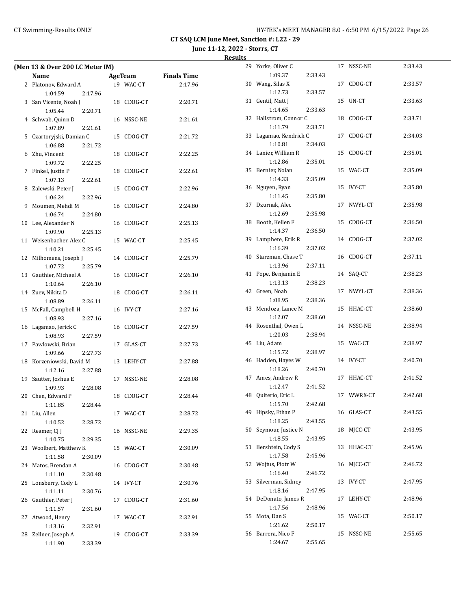**June 11-12, 2022 - Storrs, CT**

|    | (Men 13 & Over 200 LC Meter IM)    |         |    |            |                     |  |
|----|------------------------------------|---------|----|------------|---------------------|--|
|    | Name                               |         |    |            | AgeTeam Finals Time |  |
|    | 2 Platonov, Edward A               |         |    | 19 WAC-CT  | 2:17.96             |  |
|    | 1:04.59                            | 2:17.96 |    |            |                     |  |
|    | 3 San Vicente, Noah J              |         |    | 18 CDOG-CT | 2:20.71             |  |
|    | 1:05.44                            | 2:20.71 |    |            |                     |  |
| 4  | Schwab, Quinn D                    |         |    | 16 NSSC-NE | 2:21.61             |  |
|    | 1:07.89                            | 2:21.61 |    |            |                     |  |
| 5  | Czartoryjski, Damian C             |         |    | 15 CDOG-CT | 2:21.72             |  |
|    | 1:06.88                            | 2:21.72 |    |            |                     |  |
|    | 6 Zhu, Vincent                     |         |    | 18 CDOG-CT | 2:22.25             |  |
|    | 1:09.72                            | 2:22.25 |    |            |                     |  |
|    | 7 Finkel, Justin P                 |         |    | 18 CDOG-CT | 2:22.61             |  |
|    | 1:07.13                            | 2:22.61 |    |            |                     |  |
| 8  | Zalewski, Peter J                  |         |    | 15 CDOG-CT | 2:22.96             |  |
|    | 1:06.24                            | 2:22.96 |    |            |                     |  |
| 9  | Moumen, Mehdi M                    |         |    | 16 CDOG-CT | 2:24.80             |  |
|    | 1:06.74                            | 2:24.80 |    |            |                     |  |
| 10 | Lee, Alexander N                   |         |    | 16 CDOG-CT | 2:25.13             |  |
|    |                                    |         |    |            |                     |  |
|    | 1:09.90<br>11 Weisenbacher, Alex C | 2:25.13 |    |            |                     |  |
|    |                                    |         |    | 15 WAC-CT  | 2:25.45             |  |
|    | 1:10.21                            | 2:25.45 |    |            |                     |  |
|    | 12 Milhomens, Joseph J             |         |    | 14 CDOG-CT | 2:25.79             |  |
|    | 1:07.72                            | 2:25.79 |    |            |                     |  |
|    | 13 Gauthier, Michael A             |         |    | 16 CDOG-CT | 2:26.10             |  |
|    | 1:10.64                            | 2:26.10 |    |            |                     |  |
|    | 14 Zuev, Nikita D                  |         |    | 18 CDOG-CT | 2:26.11             |  |
|    | 1:08.89                            | 2:26.11 |    |            |                     |  |
| 15 | McFall, Campbell H                 |         |    | 16 IVY-CT  | 2:27.16             |  |
|    | 1:08.93                            | 2:27.16 |    |            |                     |  |
|    | 16 Lagamao, Jerick C               |         |    | 16 CDOG-CT | 2:27.59             |  |
|    | 1:08.93                            | 2:27.59 |    |            |                     |  |
|    | 17 Pawlowski, Brian                |         |    | 17 GLAS-CT | 2:27.73             |  |
|    | 1:09.66                            | 2:27.73 |    |            |                     |  |
| 18 | Korzeniowski, David M              |         |    | 13 LEHY-CT | 2:27.88             |  |
|    | 1:12.16                            | 2:27.88 |    |            |                     |  |
| 19 | Sautter, Joshua E                  |         |    | 17 NSSC-NE | 2:28.08             |  |
|    | 1:09.93                            | 2:28.08 |    |            |                     |  |
|    | 20 Chen, Edward P                  |         |    | 18 CDOG-CT | 2:28.44             |  |
|    | 1:11.85                            | 2:28.44 |    |            |                     |  |
|    | 21 Liu, Allen                      |         |    | 17 WAC-CT  | 2:28.72             |  |
|    | 1:10.52                            | 2:28.72 |    |            |                     |  |
| 22 | Reamer, CJ J                       |         |    | 16 NSSC-NE | 2:29.35             |  |
|    | 1:10.75                            | 2:29.35 |    |            |                     |  |
| 23 | Woolbert, Matthew K                |         |    | 15 WAC-CT  | 2:30.09             |  |
|    | 1:11.58                            | 2:30.09 |    |            |                     |  |
| 24 | Matos, Brendan A                   |         |    | 16 CDOG-CT | 2:30.48             |  |
|    | 1:11.10                            | 2:30.48 |    |            |                     |  |
| 25 | Lonsberry, Cody L                  |         |    | 14 IVY-CT  | 2:30.76             |  |
|    | 1:11.11                            | 2:30.76 |    |            |                     |  |
| 26 | Gauthier, Peter J                  |         | 17 | CDOG-CT    | 2:31.60             |  |
|    | 1:11.57                            | 2:31.60 |    |            |                     |  |
| 27 | Atwood, Henry                      |         | 17 | WAC-CT     | 2:32.91             |  |
|    | 1:13.16                            | 2:32.91 |    |            |                     |  |
| 28 | Zellner, Joseph A                  |         | 19 | CDOG-CT    | 2:33.39             |  |
|    | 1:11.90                            | 2:33.39 |    |            |                     |  |
|    |                                    |         |    |            |                     |  |

| 29 | Yorke, Oliver C            |         |    | 17 NSSC-NE | 2:33.43 |
|----|----------------------------|---------|----|------------|---------|
|    | 1:09.37                    | 2:33.43 |    |            |         |
| 30 | Wang, Silas X              |         | 17 | CDOG-CT    | 2:33.57 |
|    | 1:12.73                    | 2:33.57 |    |            |         |
| 31 | Gentil, Matt J             |         | 15 | UN-CT      | 2:33.63 |
|    | 1:14.65                    | 2:33.63 |    |            |         |
| 32 | Hallstrom, Connor C        |         | 18 | CDOG-CT    | 2:33.71 |
|    | 1:11.79                    | 2:33.71 |    |            |         |
| 33 | Lagamao, Kendrick C        |         | 17 | CDOG-CT    | 2:34.03 |
|    | 1:10.81                    | 2:34.03 |    |            |         |
| 34 | Lanier, William R          |         | 15 | CDOG-CT    | 2:35.01 |
|    | 1:12.86                    | 2:35.01 |    |            |         |
| 35 | Bernier, Nolan             |         |    | 15 WAC-CT  | 2:35.09 |
|    | 1:14.33                    | 2:35.09 |    |            |         |
| 36 | Nguyen, Ryan               |         |    | 15 IVY-CT  | 2:35.80 |
|    | 1:11.45                    | 2:35.80 |    |            |         |
| 37 | Dzurnak, Alec              |         |    | 17 NWYL-CT | 2:35.98 |
|    | 1:12.69                    | 2:35.98 |    |            |         |
| 38 | Booth, Kellen F            |         |    | 15 CDOG-CT | 2:36.50 |
|    | 1:14.37                    | 2:36.50 |    |            |         |
| 39 | Lamphere, Erik R           |         |    | 14 CDOG-CT | 2:37.02 |
|    | 1:16.39                    | 2:37.02 |    |            |         |
| 40 | Starzman, Chase T          |         |    | 16 CDOG-CT | 2:37.11 |
|    | 1:13.96                    | 2:37.11 |    |            |         |
| 41 | Pope, Benjamin E           |         |    | 14 SAQ-CT  | 2:38.23 |
|    | 1:13.13                    | 2:38.23 |    |            |         |
| 42 | Green, Noah                |         | 17 | NWYL-CT    | 2:38.36 |
|    | 1:08.95                    | 2:38.36 |    |            |         |
| 43 | Mendoza, Lance M           |         |    | 15 HHAC-CT | 2:38.60 |
|    | 1:12.07                    | 2:38.60 |    |            |         |
| 44 | Rosenthal, Owen L          |         |    | 14 NSSC-NE | 2:38.94 |
|    | 1:20.03                    | 2:38.94 |    |            |         |
| 45 | Liu, Adam                  |         |    | 15 WAC-CT  | 2:38.97 |
|    | 1:15.72                    | 2:38.97 |    |            |         |
| 46 | Hadden, Hayes W            |         |    | 14 IVY-CT  | 2:40.70 |
|    | 1:18.26                    | 2:40.70 |    |            |         |
| 47 | Ames, Andrew R             |         | 17 | HHAC-CT    | 2:41.52 |
|    | 1:12.47                    | 2:41.52 |    |            |         |
| 48 | Quiterio, Eric L           |         | 17 | WWRX-CT    | 2:42.68 |
|    | 1:15.70                    | 2:42.68 |    |            |         |
| 49 | Hipsky, Ethan P            |         |    | 16 GLAS-CT | 2:43.55 |
|    | 1:18.25                    | 2:43.55 |    |            |         |
| 50 | Seymour, Justice N         |         | 18 | MJCC-CT    | 2:43.95 |
|    | 1:18.55                    | 2:43.95 |    |            |         |
| 51 | Bershtein, Cody S          |         | 13 | HHAC-CT    | 2:45.96 |
|    | 1:17.58                    | 2:45.96 |    |            |         |
| 52 | Wojtus, Piotr W            |         | 16 | MJCC-CT    | 2:46.72 |
|    | 1:16.40                    | 2:46.72 |    |            |         |
| 53 | Silverman, Sidney          |         | 13 | IVY-CT     | 2:47.95 |
|    | 1:18.16                    | 2:47.95 |    |            |         |
| 54 | DeDonato, James R          |         | 17 | LEHY-CT    | 2:48.96 |
|    | 1:17.56                    | 2:48.96 |    |            |         |
| 55 |                            |         |    | WAC-CT     | 2:50.17 |
|    | Mota, Dan S                |         | 15 |            |         |
|    | 1:21.62                    | 2:50.17 |    |            |         |
| 56 | Barrera, Nico F<br>1:24.67 |         | 15 | NSSC-NE    | 2:55.65 |